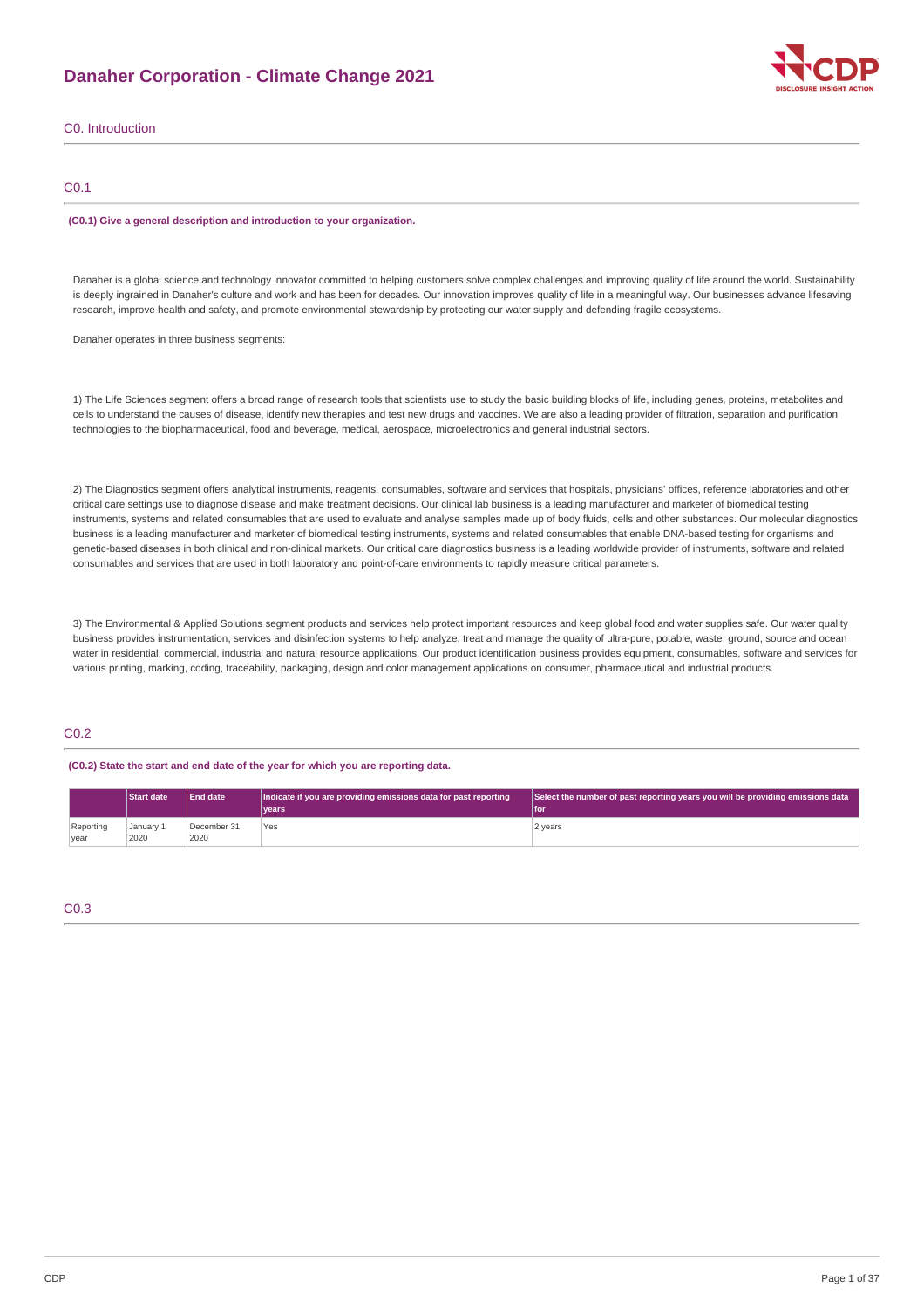## **Danaher Corporation - Climate Change 2021**



### C0. Introduction

### C0.1

#### **(C0.1) Give a general description and introduction to your organization.**

Danaher is a global science and technology innovator committed to helping customers solve complex challenges and improving quality of life around the world. Sustainability is deeply ingrained in Danaher's culture and work and has been for decades. Our innovation improves quality of life in a meaningful way. Our businesses advance lifesaving research, improve health and safety, and promote environmental stewardship by protecting our water supply and defending fragile ecosystems.

Danaher operates in three business segments:

1) The Life Sciences segment offers a broad range of research tools that scientists use to study the basic building blocks of life, including genes, proteins, metabolites and cells to understand the causes of disease, identify new therapies and test new drugs and vaccines. We are also a leading provider of filtration, separation and purification technologies to the biopharmaceutical, food and beverage, medical, aerospace, microelectronics and general industrial sectors.

2) The Diagnostics segment offers analytical instruments, reagents, consumables, software and services that hospitals, physicians' offices, reference laboratories and other critical care settings use to diagnose disease and make treatment decisions. Our clinical lab business is a leading manufacturer and marketer of biomedical testing instruments, systems and related consumables that are used to evaluate and analyse samples made up of body fluids, cells and other substances. Our molecular diagnostics business is a leading manufacturer and marketer of biomedical testing instruments, systems and related consumables that enable DNA-based testing for organisms and genetic-based diseases in both clinical and non-clinical markets. Our critical care diagnostics business is a leading worldwide provider of instruments, software and related consumables and services that are used in both laboratory and point-of-care environments to rapidly measure critical parameters.

3) The Environmental & Applied Solutions segment products and services help protect important resources and keep global food and water supplies safe. Our water quality business provides instrumentation, services and disinfection systems to help analyze, treat and manage the quality of ultra-pure, potable, waste, ground, source and ocean water in residential, commercial, industrial and natural resource applications. Our product identification business provides equipment, consumables, software and services for various printing, marking, coding, traceability, packaging, design and color management applications on consumer, pharmaceutical and industrial products.

### C0.2

#### **(C0.2) State the start and end date of the year for which you are reporting data.**

|           | <b>Start date</b> | <b>End date</b> | Indicate if you are providing emissions data for past reporting | Select the number of past reporting years you will be providing emissions data |  |
|-----------|-------------------|-----------------|-----------------------------------------------------------------|--------------------------------------------------------------------------------|--|
|           |                   |                 | vears                                                           | l for                                                                          |  |
| Reporting | January 1         | December 31     | Yes                                                             | 2 years                                                                        |  |
| year      | 2020              | 2020            |                                                                 |                                                                                |  |

## C0.3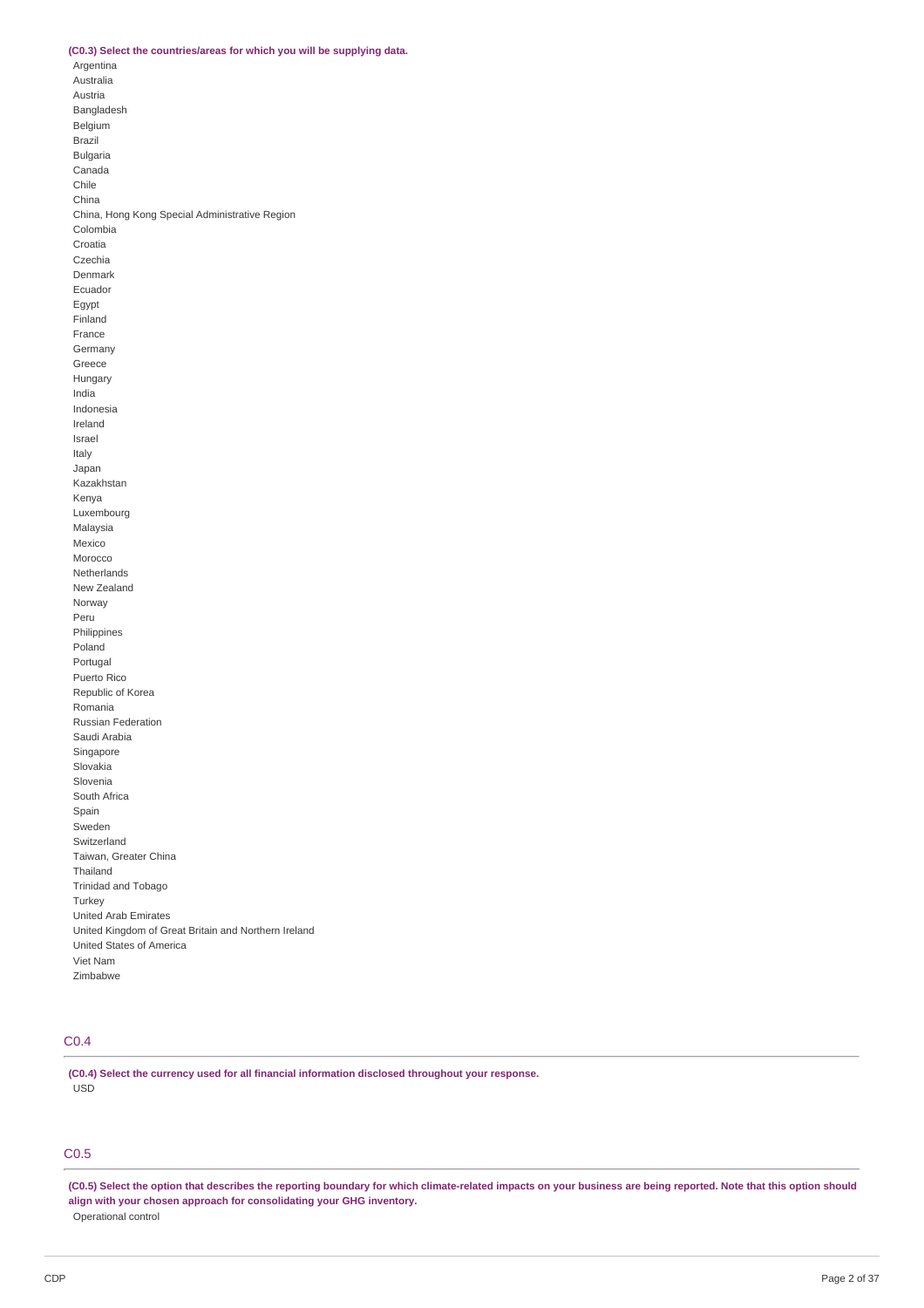### **(C0.3) Select the countries/areas for which you will be supplying data.**

Argentina Australia Austria Bangladesh Belgium Brazil Bulgaria Canada Chile China China, Hong Kong Special Administrative Region Colombia Croatia Czechia Denmark Ecuador Egypt Finland France Germany Greece Hungary India Indonesia Ireland Israel Italy Japan Kazakhstan Kenya Luxembourg Malaysia Mexico Morocco Netherlands New Zealand Norway Peru Philippines Poland Portugal Puerto Rico Republic of Korea Romania Russian Federation Saudi Arabia Singapore Slovakia Slovenia South Africa Spain Sweden Switzerland Taiwan, Greater China Thailand Trinidad and Tobago Turkey United Arab Emirates United Kingdom of Great Britain and Northern Ireland United States of America Viet Nam Zimbabwe

### C0.4

**(C0.4) Select the currency used for all financial information disclosed throughout your response.** USD

### C0.5

(C0.5) Select the option that describes the reporting boundary for which climate-related impacts on your business are being reported. Note that this option should **align with your chosen approach for consolidating your GHG inventory.** Operational control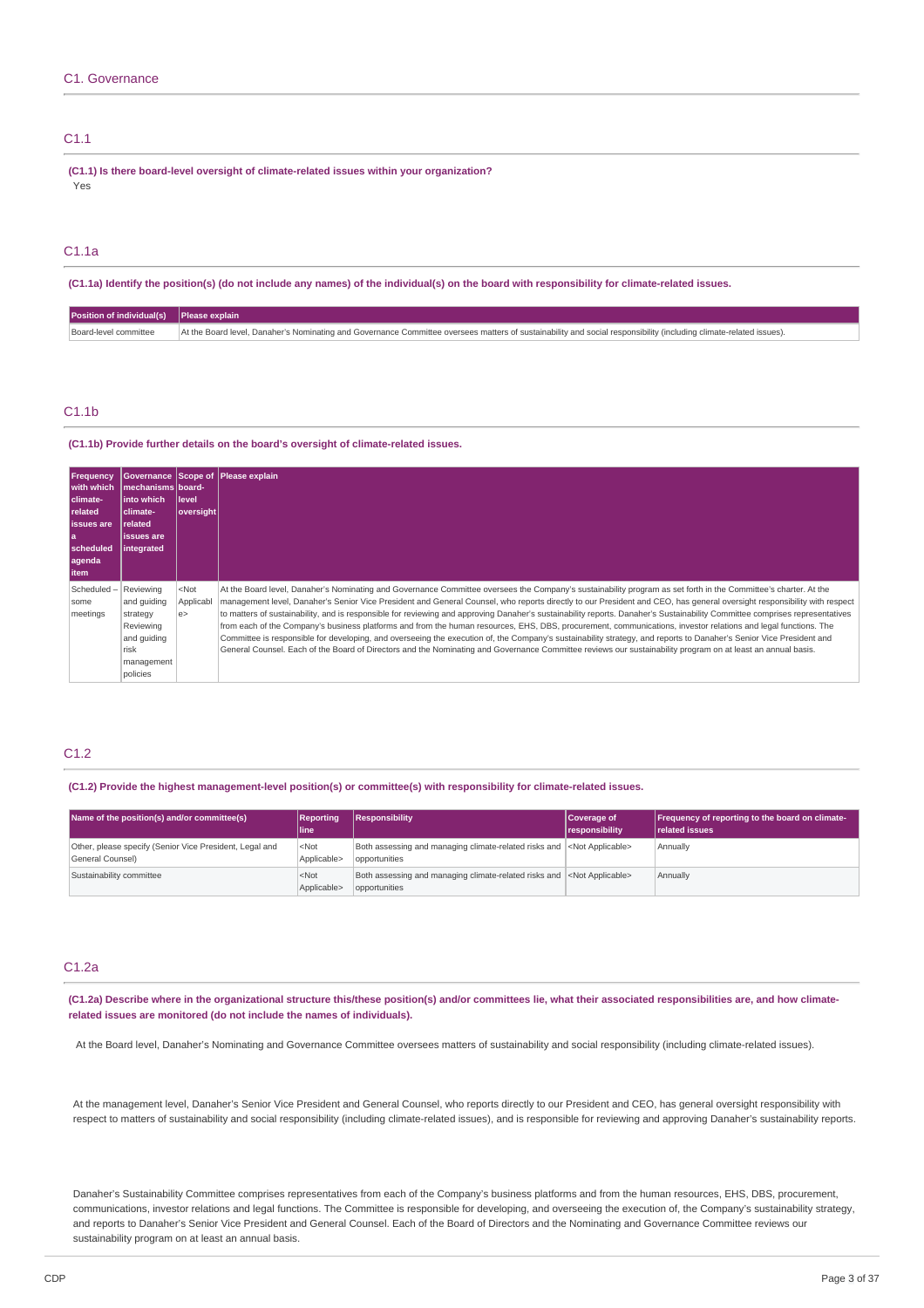### C1.1

**(C1.1) Is there board-level oversight of climate-related issues within your organization?** Yes

### C1.1a

(C1.1a) Identify the position(s) (do not include any names) of the individual(s) on the board with responsibility for climate-related issues.

| Position of individual(s) Please explain |                                                                                                                                                                    |
|------------------------------------------|--------------------------------------------------------------------------------------------------------------------------------------------------------------------|
| Board-level committee                    | At the Board level, Danaher's Nominating and Governance Committee oversees matters of sustainability and social responsibility (including climate-related issues). |

### C1.1b

**(C1.1b) Provide further details on the board's oversight of climate-related issues.**

| <b>Frequency</b><br>with which<br>climate-<br>related<br><b>issues</b> are<br>la<br>scheduled<br>agenda<br>  item | mechanisms board-<br>l into which<br>climate-<br><b>related</b><br>issues are<br>integrated        | l level<br> oversight     | Governance Scope of Please explain                                                                                                                                                                                                                                                                                                                                                                                                                                                                                                                                                                                                                                                                                                                                                                                                                                                                                                                                                                                                |
|-------------------------------------------------------------------------------------------------------------------|----------------------------------------------------------------------------------------------------|---------------------------|-----------------------------------------------------------------------------------------------------------------------------------------------------------------------------------------------------------------------------------------------------------------------------------------------------------------------------------------------------------------------------------------------------------------------------------------------------------------------------------------------------------------------------------------------------------------------------------------------------------------------------------------------------------------------------------------------------------------------------------------------------------------------------------------------------------------------------------------------------------------------------------------------------------------------------------------------------------------------------------------------------------------------------------|
| Scheduled-<br>some<br>meetings                                                                                    | Reviewing<br>and quiding<br>strategy<br>Reviewing<br>and quiding<br>risk<br>management<br>policies | $<$ Not<br>Applicabl<br>e | At the Board level, Danaher's Nominating and Governance Committee oversees the Company's sustainability program as set forth in the Committee's charter. At the<br>management level, Danaher's Senior Vice President and General Counsel, who reports directly to our President and CEO, has general oversight responsibility with respect<br>to matters of sustainability, and is responsible for reviewing and approving Danaher's sustainability reports. Danaher's Sustainability Committee comprises representatives<br>from each of the Company's business platforms and from the human resources, EHS, DBS, procurement, communications, investor relations and legal functions. The<br>Committee is responsible for developing, and overseeing the execution of, the Company's sustainability strategy, and reports to Danaher's Senior Vice President and<br>General Counsel. Each of the Board of Directors and the Nominating and Governance Committee reviews our sustainability program on at least an annual basis. |

### C1.2

**(C1.2) Provide the highest management-level position(s) or committee(s) with responsibility for climate-related issues.**

| Name of the position(s) and/or committee(s)                                 | <b>Reporting</b><br><b>lline</b>    | Responsibility                                                                                    | Coverage of<br>responsibility | Frequency of reporting to the board on climate-<br><b>related issues</b> |
|-----------------------------------------------------------------------------|-------------------------------------|---------------------------------------------------------------------------------------------------|-------------------------------|--------------------------------------------------------------------------|
| Other, please specify (Senior Vice President, Legal and<br>General Counsel) | $ $ <not<br>Applicable&gt;</not<br> | Both assessing and managing climate-related risks and <not applicable=""><br/>opportunities</not> |                               | Annually                                                                 |
| Sustainability committee                                                    | $ $ <not<br>Applicable&gt;</not<br> | Both assessing and managing climate-related risks and <not applicable=""><br/>opportunities</not> |                               | Annually                                                                 |

### C1.2a

(C1.2a) Describe where in the organizational structure this/these position(s) and/or committees lie, what their associated responsibilities are, and how climate**related issues are monitored (do not include the names of individuals).**

At the Board level, Danaher's Nominating and Governance Committee oversees matters of sustainability and social responsibility (including climate-related issues).

At the management level, Danaher's Senior Vice President and General Counsel, who reports directly to our President and CEO, has general oversight responsibility with respect to matters of sustainability and social responsibility (including climate-related issues), and is responsible for reviewing and approving Danaher's sustainability reports.

Danaher's Sustainability Committee comprises representatives from each of the Company's business platforms and from the human resources, EHS, DBS, procurement, communications, investor relations and legal functions. The Committee is responsible for developing, and overseeing the execution of, the Company's sustainability strategy, and reports to Danaher's Senior Vice President and General Counsel. Each of the Board of Directors and the Nominating and Governance Committee reviews our sustainability program on at least an annual basis.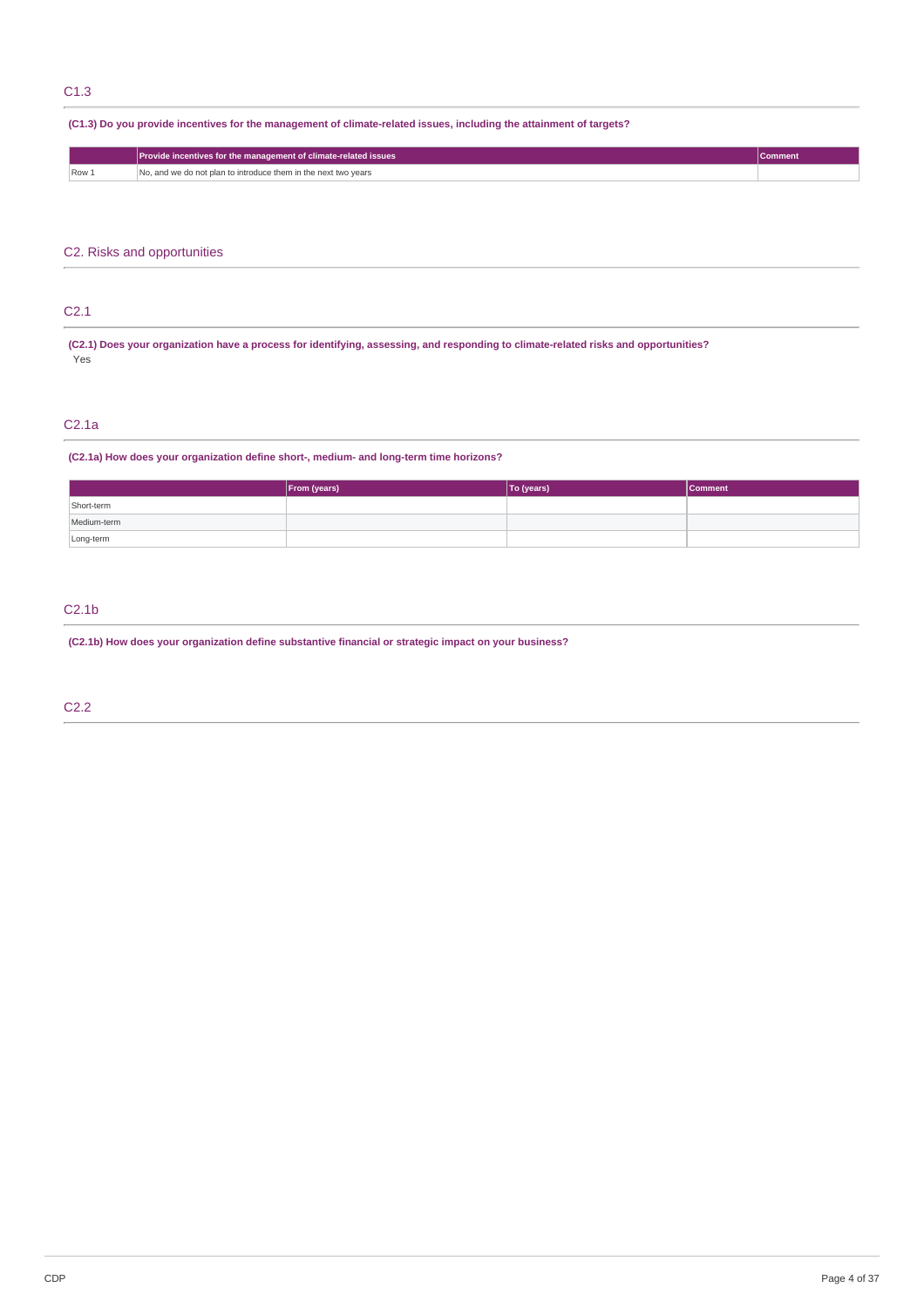### C1.3

### (C1.3) Do you provide incentives for the management of climate-related issues, including the attainment of targets?

|                                                     | Provide incentives for the management of climate-related issues |  |  |
|-----------------------------------------------------|-----------------------------------------------------------------|--|--|
| Row <sub>1</sub><br>the contract of the contract of | No, and we do not plan to introduce them in the next two years  |  |  |

### C2. Risks and opportunities

### C2.1

(C2.1) Does your organization have a process for identifying, assessing, and responding to climate-related risks and opportunities? Yes

### C2.1a

### **(C2.1a) How does your organization define short-, medium- and long-term time horizons?**

|             | From (years) | To (years) | <b>Comment</b> |
|-------------|--------------|------------|----------------|
| Short-term  |              |            |                |
| Medium-term |              |            |                |
| Long-term   |              |            |                |

## C2.1b

**(C2.1b) How does your organization define substantive financial or strategic impact on your business?**

C2.2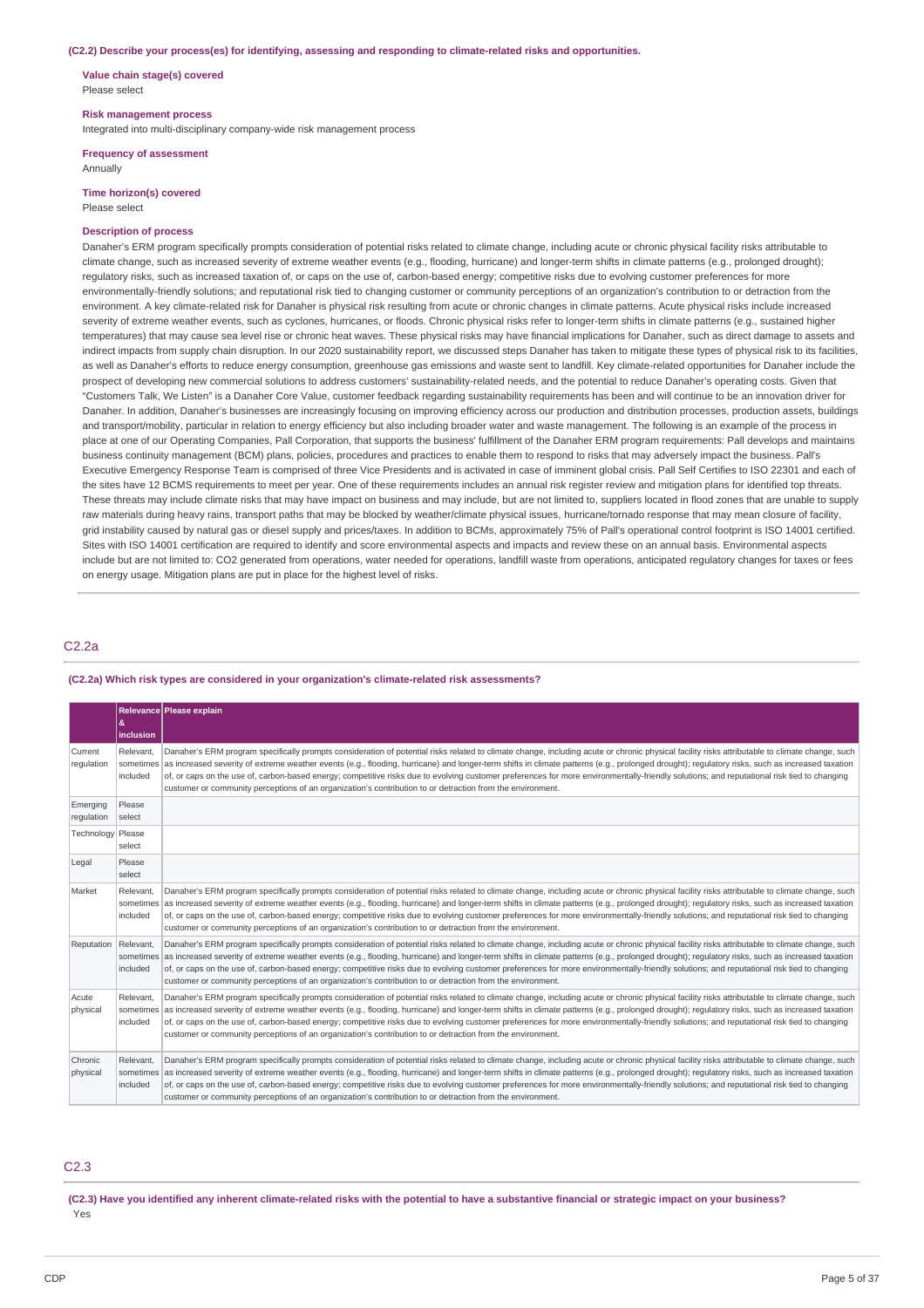#### **(C2.2) Describe your process(es) for identifying, assessing and responding to climate-related risks and opportunities.**

**Value chain stage(s) covered** Please select

#### **Risk management process**

Integrated into multi-disciplinary company-wide risk management process

#### **Frequency of assessment** Annually

**Time horizon(s) covered** Please select

## **Description of process**

Danaher's ERM program specifically prompts consideration of potential risks related to climate change, including acute or chronic physical facility risks attributable to climate change, such as increased severity of extreme weather events (e.g., flooding, hurricane) and longer-term shifts in climate patterns (e.g., prolonged drought); regulatory risks, such as increased taxation of, or caps on the use of, carbon-based energy; competitive risks due to evolving customer preferences for more environmentally-friendly solutions; and reputational risk tied to changing customer or community perceptions of an organization's contribution to or detraction from the environment. A key climate-related risk for Danaher is physical risk resulting from acute or chronic changes in climate patterns. Acute physical risks include increased severity of extreme weather events, such as cyclones, hurricanes, or floods. Chronic physical risks refer to longer-term shifts in climate patterns (e.g., sustained higher temperatures) that may cause sea level rise or chronic heat waves. These physical risks may have financial implications for Danaher, such as direct damage to assets and indirect impacts from supply chain disruption. In our 2020 sustainability report, we discussed steps Danaher has taken to mitigate these types of physical risk to its facilities, as well as Danaher's efforts to reduce energy consumption, greenhouse gas emissions and waste sent to landfill. Key climate-related opportunities for Danaher include the prospect of developing new commercial solutions to address customers' sustainability-related needs, and the potential to reduce Danaher's operating costs. Given that "Customers Talk, We Listen" is a Danaher Core Value, customer feedback regarding sustainability requirements has been and will continue to be an innovation driver for Danaher. In addition, Danaher's businesses are increasingly focusing on improving efficiency across our production and distribution processes, production assets, buildings and transport/mobility, particular in relation to energy efficiency but also including broader water and waste management. The following is an example of the process in place at one of our Operating Companies, Pall Corporation, that supports the business' fulfillment of the Danaher ERM program requirements: Pall develops and maintains business continuity management (BCM) plans, policies, procedures and practices to enable them to respond to risks that may adversely impact the business. Pall's Executive Emergency Response Team is comprised of three Vice Presidents and is activated in case of imminent global crisis. Pall Self Certifies to ISO 22301 and each of the sites have 12 BCMS requirements to meet per year. One of these requirements includes an annual risk register review and mitigation plans for identified top threats. These threats may include climate risks that may have impact on business and may include, but are not limited to, suppliers located in flood zones that are unable to supply raw materials during heavy rains, transport paths that may be blocked by weather/climate physical issues, hurricane/tornado response that may mean closure of facility, grid instability caused by natural gas or diesel supply and prices/taxes. In addition to BCMs, approximately 75% of Pall's operational control footprint is ISO 14001 certified. Sites with ISO 14001 certification are required to identify and score environmental aspects and impacts and review these on an annual basis. Environmental aspects include but are not limited to: CO2 generated from operations, water needed for operations, landfill waste from operations, anticipated regulatory changes for taxes or fees on energy usage. Mitigation plans are put in place for the highest level of risks.

### C2.2a

#### **(C2.2a) Which risk types are considered in your organization's climate-related risk assessments?**

|                        | &<br>inclusion                     | Relevance Please explain                                                                                                                                                                                                                                                                                                                                                                                                                                                                                                                                                                                                                                                                                               |
|------------------------|------------------------------------|------------------------------------------------------------------------------------------------------------------------------------------------------------------------------------------------------------------------------------------------------------------------------------------------------------------------------------------------------------------------------------------------------------------------------------------------------------------------------------------------------------------------------------------------------------------------------------------------------------------------------------------------------------------------------------------------------------------------|
| Current<br>regulation  | Relevant.<br>sometimes<br>included | Danaher's ERM program specifically prompts consideration of potential risks related to climate change, including acute or chronic physical facility risks attributable to climate change, such<br>as increased severity of extreme weather events (e.g., flooding, hurricane) and longer-term shifts in climate patterns (e.g., prolonged drought); regulatory risks, such as increased taxation<br>of, or caps on the use of, carbon-based energy; competitive risks due to evolving customer preferences for more environmentally-friendly solutions; and reputational risk tied to changing<br>customer or community perceptions of an organization's contribution to or detraction from the environment.           |
| Emerging<br>requlation | Please<br>select                   |                                                                                                                                                                                                                                                                                                                                                                                                                                                                                                                                                                                                                                                                                                                        |
| Technology Please      | select                             |                                                                                                                                                                                                                                                                                                                                                                                                                                                                                                                                                                                                                                                                                                                        |
| Legal                  | Please<br>select                   |                                                                                                                                                                                                                                                                                                                                                                                                                                                                                                                                                                                                                                                                                                                        |
| Market                 | Relevant.<br>sometimes<br>included | Danaher's ERM program specifically prompts consideration of potential risks related to climate change, including acute or chronic physical facility risks attributable to climate change, such<br>as increased severity of extreme weather events (e.g., flooding, hurricane) and longer-term shifts in climate patterns (e.g., prolonged drought); regulatory risks, such as increased taxation<br>of, or caps on the use of, carbon-based energy; competitive risks due to evolving customer preferences for more environmentally-friendly solutions; and reputational risk tied to changing<br>customer or community perceptions of an organization's contribution to or detraction from the environment.           |
| Reputation             | Relevant,<br>included              | Danaher's ERM program specifically prompts consideration of potential risks related to climate change, including acute or chronic physical facility risks attributable to climate change, such<br>sometimes as increased severity of extreme weather events (e.g., flooding, hurricane) and longer-term shifts in climate patterns (e.g., prolonged drought); regulatory risks, such as increased taxation<br>of, or caps on the use of, carbon-based energy; competitive risks due to evolving customer preferences for more environmentally-friendly solutions; and reputational risk tied to changing<br>customer or community perceptions of an organization's contribution to or detraction from the environment. |
| Acute<br>physical      | Relevant.<br>sometimes<br>included | Danaher's ERM program specifically prompts consideration of potential risks related to climate change, including acute or chronic physical facility risks attributable to climate change, such<br>as increased severity of extreme weather events (e.g., flooding, hurricane) and longer-term shifts in climate patterns (e.g., prolonged drought); regulatory risks, such as increased taxation<br>of, or caps on the use of, carbon-based energy; competitive risks due to evolving customer preferences for more environmentally-friendly solutions; and reputational risk tied to changing<br>customer or community perceptions of an organization's contribution to or detraction from the environment.           |
| Chronic<br>physical    | Relevant.<br>included              | Danaher's ERM program specifically prompts consideration of potential risks related to climate change, including acute or chronic physical facility risks attributable to climate change, such<br>sometimes as increased severity of extreme weather events (e.g., flooding, hurricane) and longer-term shifts in climate patterns (e.g., prolonged drought); regulatory risks, such as increased taxation<br>of, or caps on the use of, carbon-based energy; competitive risks due to evolving customer preferences for more environmentally-friendly solutions; and reputational risk tied to changing<br>customer or community perceptions of an organization's contribution to or detraction from the environment. |

### C2.3

(C2.3) Have you identified any inherent climate-related risks with the potential to have a substantive financial or strategic impact on your business? Yes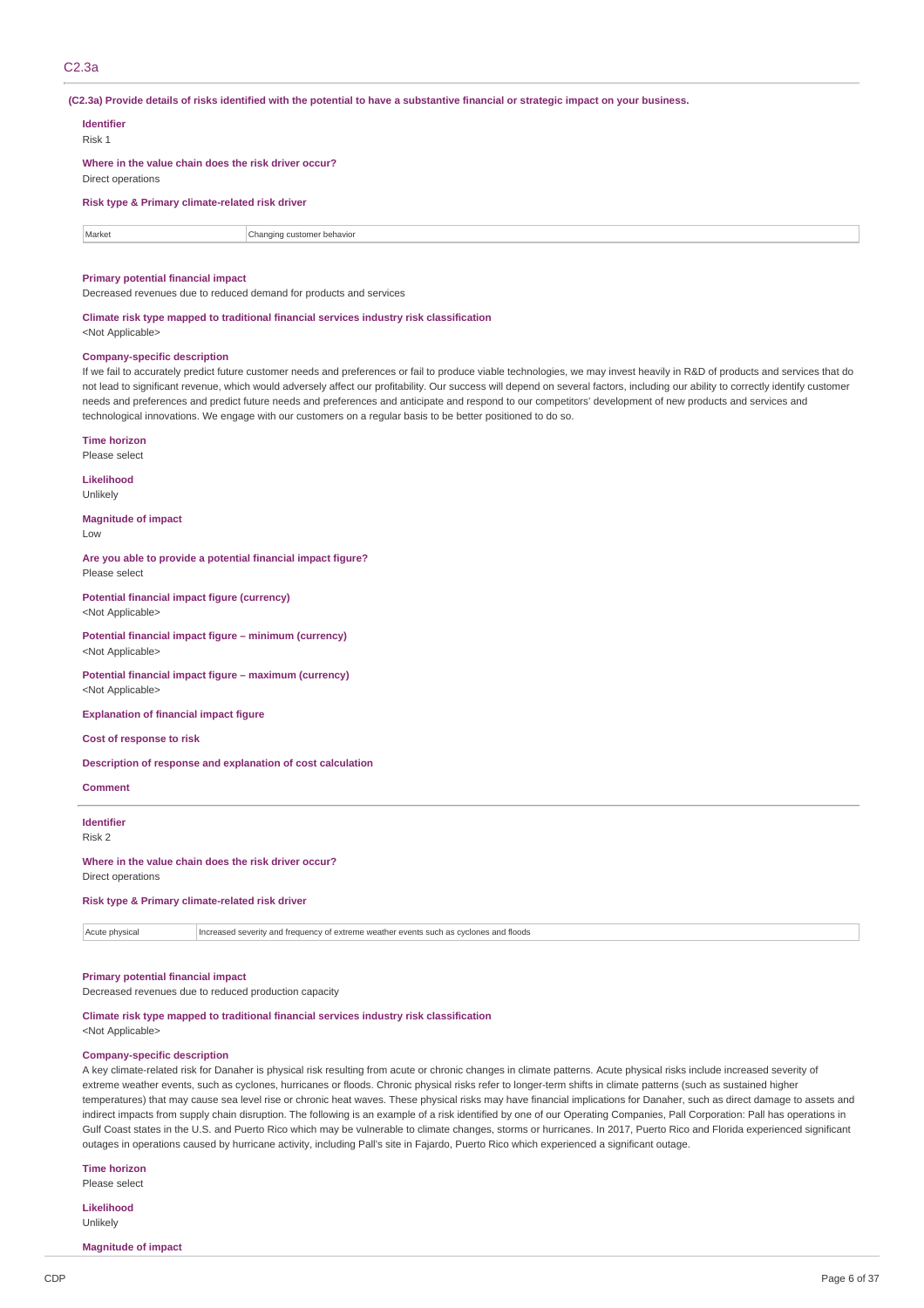### C2.3a

(C2.3a) Provide details of risks identified with the potential to have a substantive financial or strategic impact on your business.

### **Identifier**

Risk 1

**Where in the value chain does the risk driver occur?** Direct operations

#### **Risk type & Primary climate-related risk driver**

Market **Changing customer behavior** Changing customer behavior

### **Primary potential financial impact**

Decreased revenues due to reduced demand for products and services

## **Climate risk type mapped to traditional financial services industry risk classification**

<Not Applicable>

#### **Company-specific description**

If we fail to accurately predict future customer needs and preferences or fail to produce viable technologies, we may invest heavily in R&D of products and services that do not lead to significant revenue, which would adversely affect our profitability. Our success will depend on several factors, including our ability to correctly identify customer needs and preferences and predict future needs and preferences and anticipate and respond to our competitors' development of new products and services and technological innovations. We engage with our customers on a regular basis to be better positioned to do so.

#### **Time horizon**

Please select

#### **Likelihood**

Unlikely

#### **Magnitude of impact** Low

**Are you able to provide a potential financial impact figure?** Please select

**Potential financial impact figure (currency)** <Not Applicable>

**Potential financial impact figure – minimum (currency)** <Not Applicable>

**Potential financial impact figure – maximum (currency)** <Not Applicable>

**Explanation of financial impact figure**

**Cost of response to risk**

### **Description of response and explanation of cost calculation**

**Comment**

#### **Identifier** Risk 2

#### **Where in the value chain does the risk driver occur?** Direct operations

**Risk type & Primary climate-related risk driver**

Acute physical Increased severity and frequency of extreme weather events such as cyclones and floods

### **Primary potential financial impact**

Decreased revenues due to reduced production capacity

### **Climate risk type mapped to traditional financial services industry risk classification**

<Not Applicable>

### **Company-specific description**

A key climate-related risk for Danaher is physical risk resulting from acute or chronic changes in climate patterns. Acute physical risks include increased severity of extreme weather events, such as cyclones, hurricanes or floods. Chronic physical risks refer to longer-term shifts in climate patterns (such as sustained higher temperatures) that may cause sea level rise or chronic heat waves. These physical risks may have financial implications for Danaher, such as direct damage to assets and indirect impacts from supply chain disruption. The following is an example of a risk identified by one of our Operating Companies, Pall Corporation: Pall has operations in Gulf Coast states in the U.S. and Puerto Rico which may be vulnerable to climate changes, storms or hurricanes. In 2017, Puerto Rico and Florida experienced significant outages in operations caused by hurricane activity, including Pall's site in Fajardo, Puerto Rico which experienced a significant outage.

**Time horizon**

Please select

**Likelihood** Unlikely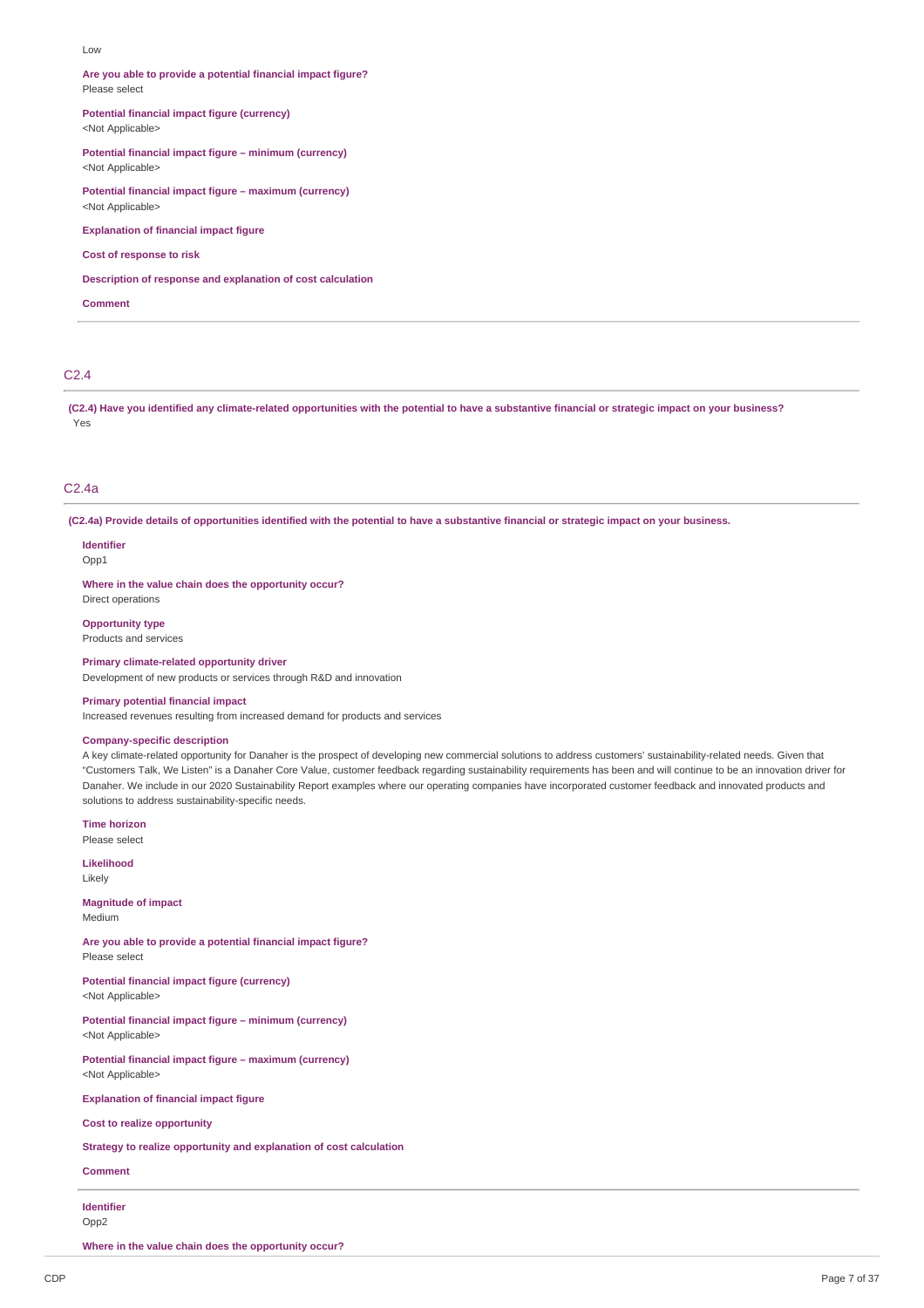#### Low

**Are you able to provide a potential financial impact figure?** Please select

**Potential financial impact figure (currency)**

<Not Applicable>

**Potential financial impact figure – minimum (currency)** <Not Applicable>

**Potential financial impact figure – maximum (currency)** <Not Applicable>

**Explanation of financial impact figure**

**Cost of response to risk**

**Description of response and explanation of cost calculation**

**Comment**

### C2.4

(C2.4) Have you identified any climate-related opportunities with the potential to have a substantive financial or strategic impact on your business? Yes

### C2.4a

(C2.4a) Provide details of opportunities identified with the potential to have a substantive financial or strategic impact on your business.

**Identifier** Opp1

**Where in the value chain does the opportunity occur?** Direct operations

**Opportunity type** Products and services

**Primary climate-related opportunity driver** Development of new products or services through R&D and innovation

### **Primary potential financial impact**

Increased revenues resulting from increased demand for products and services

### **Company-specific description**

A key climate-related opportunity for Danaher is the prospect of developing new commercial solutions to address customers' sustainability-related needs. Given that "Customers Talk, We Listen" is a Danaher Core Value, customer feedback regarding sustainability requirements has been and will continue to be an innovation driver for Danaher. We include in our 2020 Sustainability Report examples where our operating companies have incorporated customer feedback and innovated products and solutions to address sustainability-specific needs.

**Time horizon** Please select

**Likelihood**

Likely

**Magnitude of impact** Medium

**Are you able to provide a potential financial impact figure?** Please select

**Potential financial impact figure (currency)** <Not Applicable>

**Potential financial impact figure – minimum (currency)** <Not Applicable>

**Potential financial impact figure – maximum (currency)** <Not Applicable>

**Explanation of financial impact figure**

**Cost to realize opportunity**

**Strategy to realize opportunity and explanation of cost calculation**

### **Comment**

**Identifier** Opp2

**Where in the value chain does the opportunity occur?**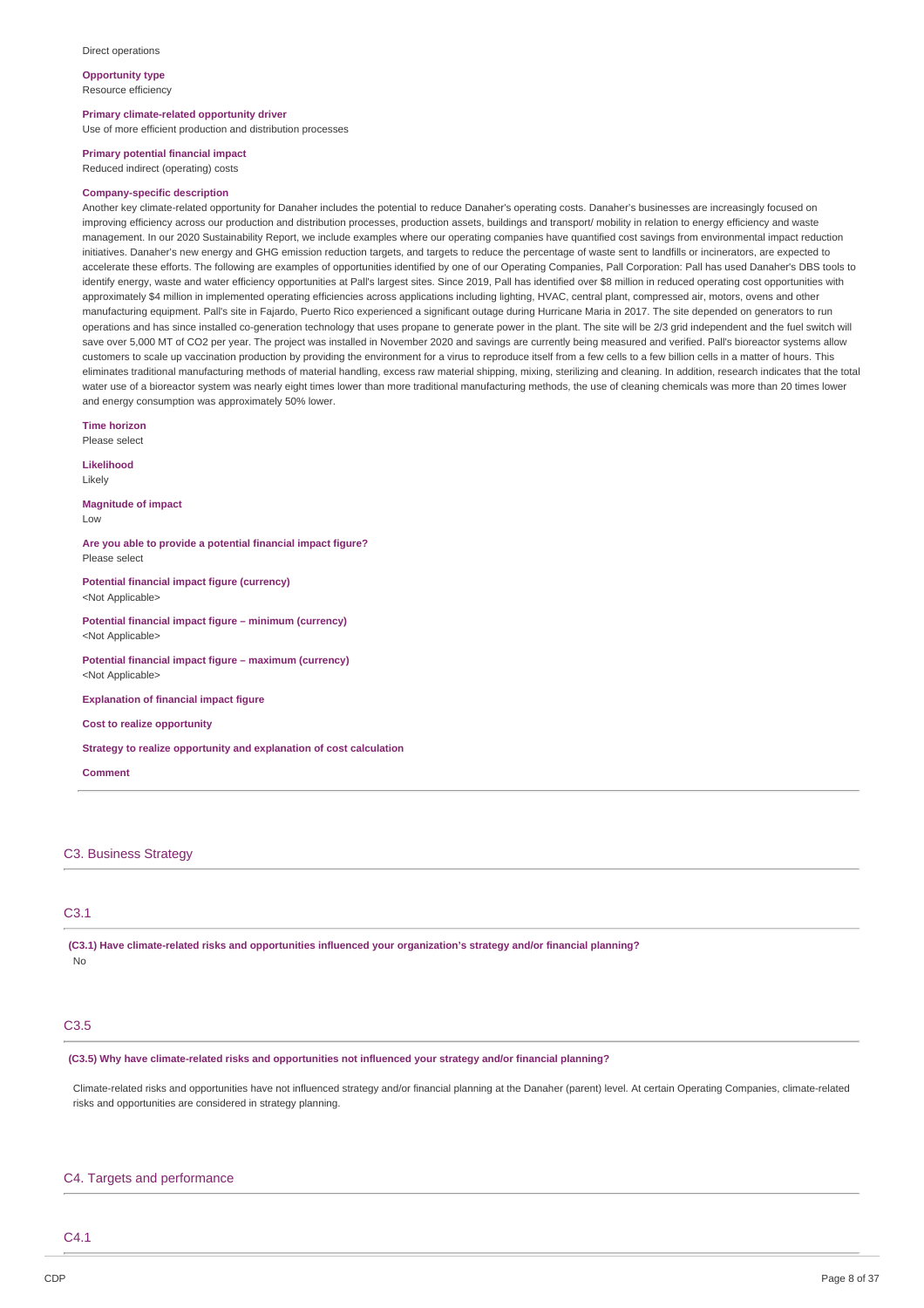**Opportunity type**

Resource efficiency

**Primary climate-related opportunity driver**

Use of more efficient production and distribution processes

### **Primary potential financial impact**

Reduced indirect (operating) costs

#### **Company-specific description**

Another key climate-related opportunity for Danaher includes the potential to reduce Danaher's operating costs. Danaher's businesses are increasingly focused on improving efficiency across our production and distribution processes, production assets, buildings and transport/ mobility in relation to energy efficiency and waste management. In our 2020 Sustainability Report, we include examples where our operating companies have quantified cost savings from environmental impact reduction initiatives. Danaher's new energy and GHG emission reduction targets, and targets to reduce the percentage of waste sent to landfills or incinerators, are expected to accelerate these efforts. The following are examples of opportunities identified by one of our Operating Companies, Pall Corporation: Pall has used Danaher's DBS tools to identify energy, waste and water efficiency opportunities at Pall's largest sites. Since 2019, Pall has identified over \$8 million in reduced operating cost opportunities with approximately \$4 million in implemented operating efficiencies across applications including lighting, HVAC, central plant, compressed air, motors, ovens and other manufacturing equipment. Pall's site in Fajardo, Puerto Rico experienced a significant outage during Hurricane Maria in 2017. The site depended on generators to run operations and has since installed co-generation technology that uses propane to generate power in the plant. The site will be 2/3 grid independent and the fuel switch will save over 5,000 MT of CO2 per year. The project was installed in November 2020 and savings are currently being measured and verified. Pall's bioreactor systems allow customers to scale up vaccination production by providing the environment for a virus to reproduce itself from a few cells to a few billion cells in a matter of hours. This eliminates traditional manufacturing methods of material handling, excess raw material shipping, mixing, sterilizing and cleaning. In addition, research indicates that the total water use of a bioreactor system was nearly eight times lower than more traditional manufacturing methods, the use of cleaning chemicals was more than 20 times lower and energy consumption was approximately 50% lower.

**Time horizon**

Please select

**Likelihood** Likely

**Magnitude of impact**

Low

**Are you able to provide a potential financial impact figure?** Please select

**Potential financial impact figure (currency)** <Not Applicable>

**Potential financial impact figure – minimum (currency)** <Not Applicable>

**Potential financial impact figure – maximum (currency)** <Not Applicable>

**Explanation of financial impact figure**

**Cost to realize opportunity**

**Strategy to realize opportunity and explanation of cost calculation**

**Comment**

### C3. Business Strategy

### C3.1

**(C3.1) Have climate-related risks and opportunities influenced your organization's strategy and/or financial planning?** No

### C3.5

**(C3.5) Why have climate-related risks and opportunities not influenced your strategy and/or financial planning?**

Climate-related risks and opportunities have not influenced strategy and/or financial planning at the Danaher (parent) level. At certain Operating Companies, climate-related risks and opportunities are considered in strategy planning.

### C4. Targets and performance

C4.1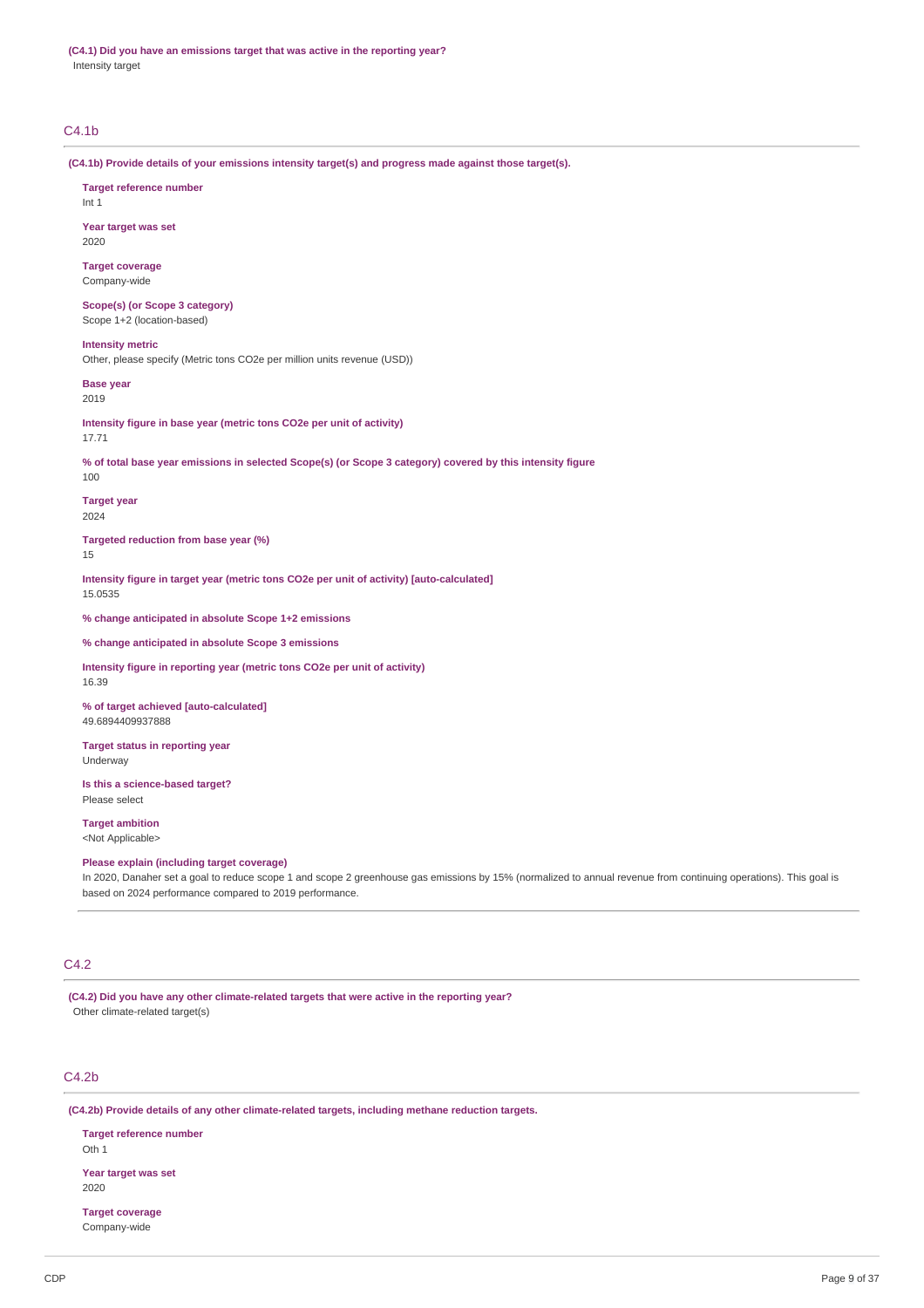**(C4.1) Did you have an emissions target that was active in the reporting year?** Intensity target

### C4.1b

**(C4.1b) Provide details of your emissions intensity target(s) and progress made against those target(s).**

## **Target reference number** Int 1 **Year target was set** 2020 **Target coverage** Company-wide **Scope(s) (or Scope 3 category)** Scope 1+2 (location-based) **Intensity metric** Other, please specify (Metric tons CO2e per million units revenue (USD)) **Base year** 2019 **Intensity figure in base year (metric tons CO2e per unit of activity)** 17.71 % of total base year emissions in selected Scope(s) (or Scope 3 category) covered by this intensity figure 100 **Target year** 2024 **Targeted reduction from base year (%)** 15 **Intensity figure in target year (metric tons CO2e per unit of activity) [auto-calculated]** 15.0535 **% change anticipated in absolute Scope 1+2 emissions % change anticipated in absolute Scope 3 emissions Intensity figure in reporting year (metric tons CO2e per unit of activity)** 16.39 **% of target achieved [auto-calculated]** 49.6894409937888 **Target status in reporting year** Underway **Is this a science-based target?** Please select **Target ambition** <Not Applicable> **Please explain (including target coverage)** In 2020, Danaher set a goal to reduce scope 1 and scope 2 greenhouse gas emissions by 15% (normalized to annual revenue from continuing operations). This goal is based on 2024 performance compared to 2019 performance.

### C4.2

**(C4.2) Did you have any other climate-related targets that were active in the reporting year?** Other climate-related target(s)

### C4.2b

**(C4.2b) Provide details of any other climate-related targets, including methane reduction targets.**

**Target reference number** Oth 1

**Year target was set** 2020

**Target coverage** Company-wide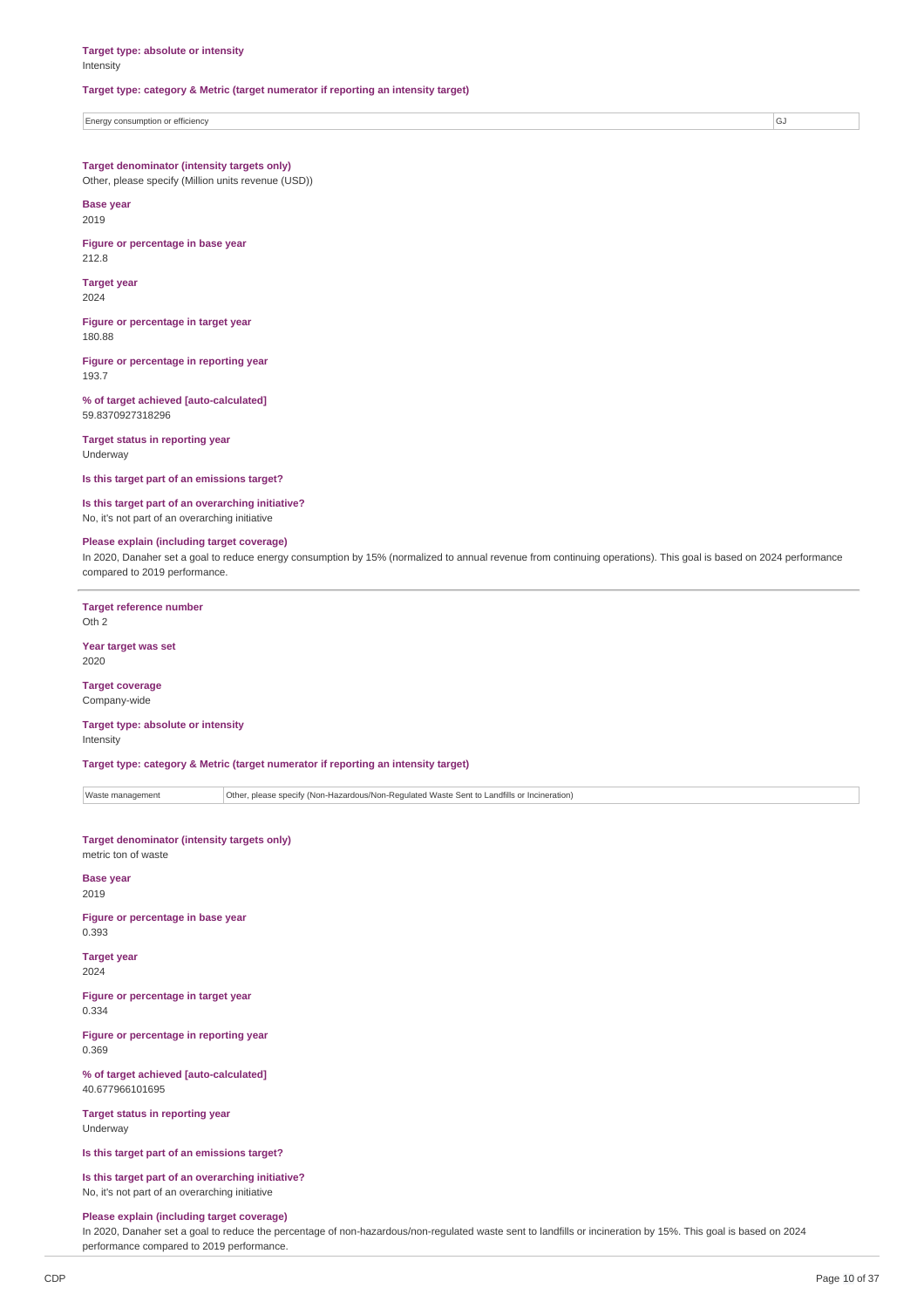#### **Target type: category & Metric (target numerator if reporting an intensity target)**

Energy consumption or efficiency GJ

#### **Target denominator (intensity targets only)**

Other, please specify (Million units revenue (USD))

**Base year** 2019

**Figure or percentage in base year** 212.8

**Target year** 2024

**Figure or percentage in target year** 180.88

**Figure or percentage in reporting year** 193.7

**% of target achieved [auto-calculated]** 59.8370927318296

**Target status in reporting year** Underway

**Is this target part of an emissions target?**

### **Is this target part of an overarching initiative?**

No, it's not part of an overarching initiative

### **Please explain (including target coverage)**

In 2020, Danaher set a goal to reduce energy consumption by 15% (normalized to annual revenue from continuing operations). This goal is based on 2024 performance compared to 2019 performance.

**Target reference number** Oth 2

**Year target was set** 2020

### **Target coverage**

Company-wide

#### **Target type: absolute or intensity** Intensity

**Target type: category & Metric (target numerator if reporting an intensity target)**

Waste management **Other, please specify (Non-Hazardous/Non-Regulated Waste Sent to Landfills or Incineration)** 

## **Target denominator (intensity targets only)**

metric ton of waste

**Base year** 2019

**Figure or percentage in base year** 0.393

**Target year** 2024

**Figure or percentage in target year** 0.334

**Figure or percentage in reporting year** 0.369

**% of target achieved [auto-calculated]** 40.677966101695

**Target status in reporting year** Underway

**Is this target part of an emissions target?**

**Is this target part of an overarching initiative?** No, it's not part of an overarching initiative

### **Please explain (including target coverage)**

In 2020, Danaher set a goal to reduce the percentage of non-hazardous/non-regulated waste sent to landfills or incineration by 15%. This goal is based on 2024 performance compared to 2019 performance.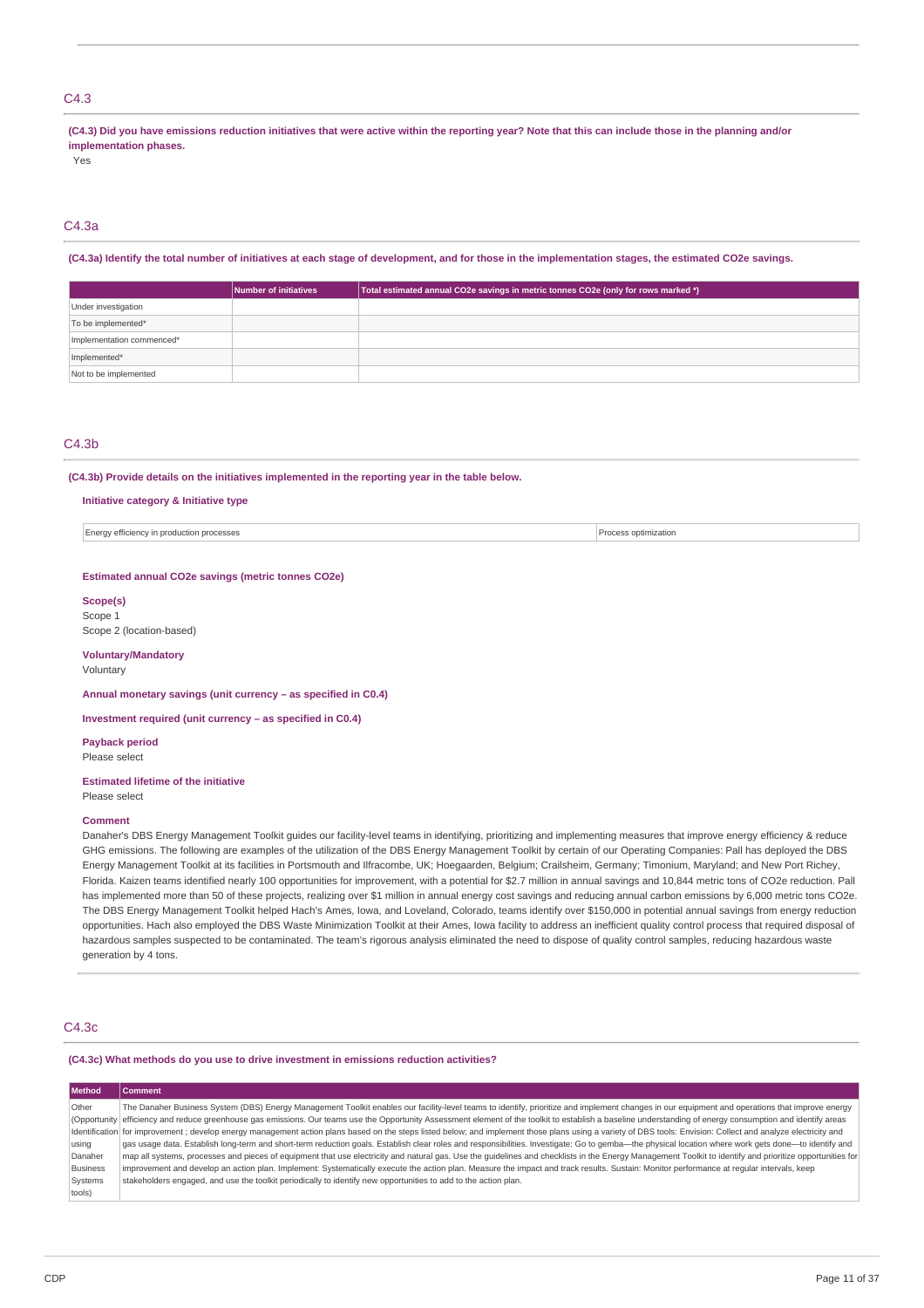### C4.3

(C4.3) Did you have emissions reduction initiatives that were active within the reporting year? Note that this can include those in the planning and/or **implementation phases.**

Yes

### C4.3a

### (C4.3a) Identify the total number of initiatives at each stage of development, and for those in the implementation stages, the estimated CO2e savings.

|                           | Number of initiatives | Total estimated annual CO2e savings in metric tonnes CO2e (only for rows marked *) |
|---------------------------|-----------------------|------------------------------------------------------------------------------------|
| Under investigation       |                       |                                                                                    |
| To be implemented*        |                       |                                                                                    |
| Implementation commenced* |                       |                                                                                    |
| Implemented*              |                       |                                                                                    |
| Not to be implemented     |                       |                                                                                    |

#### C4.3b

### **(C4.3b) Provide details on the initiatives implemented in the reporting year in the table below.**

### **Initiative category & Initiative type**

Energy efficiency in production processes **Process optimization Process optimization** 

#### **Estimated annual CO2e savings (metric tonnes CO2e)**

**Scope(s)** Scope 1 Scope 2 (location-based)

**Voluntary/Mandatory** Voluntary

**Annual monetary savings (unit currency – as specified in C0.4)**

**Investment required (unit currency – as specified in C0.4)**

**Payback period** Please select

### **Estimated lifetime of the initiative**

Please select

#### **Comment**

Danaher's DBS Energy Management Toolkit guides our facility-level teams in identifying, prioritizing and implementing measures that improve energy efficiency & reduce GHG emissions. The following are examples of the utilization of the DBS Energy Management Toolkit by certain of our Operating Companies: Pall has deployed the DBS Energy Management Toolkit at its facilities in Portsmouth and Ilfracombe, UK; Hoegaarden, Belgium; Crailsheim, Germany; Timonium, Maryland; and New Port Richey, Florida. Kaizen teams identified nearly 100 opportunities for improvement, with a potential for \$2.7 million in annual savings and 10,844 metric tons of CO2e reduction. Pall has implemented more than 50 of these projects, realizing over \$1 million in annual energy cost savings and reducing annual carbon emissions by 6,000 metric tons CO2e. The DBS Energy Management Toolkit helped Hach's Ames, Iowa, and Loveland, Colorado, teams identify over \$150,000 in potential annual savings from energy reduction opportunities. Hach also employed the DBS Waste Minimization Toolkit at their Ames, Iowa facility to address an inefficient quality control process that required disposal of hazardous samples suspected to be contaminated. The team's rigorous analysis eliminated the need to dispose of quality control samples, reducing hazardous waste generation by 4 tons.

### C4.3c

### **(C4.3c) What methods do you use to drive investment in emissions reduction activities?**

| Method          | Comment                                                                                                                                                                                                       |
|-----------------|---------------------------------------------------------------------------------------------------------------------------------------------------------------------------------------------------------------|
| Other           | The Danaher Business System (DBS) Energy Management Toolkit enables our facility-level teams to identify, prioritize and implement changes in our equipment and operations that improve energy                |
|                 | (Opportunity efficiency and reduce greenhouse gas emissions. Our teams use the Opportunity Assessment element of the toolkit to establish a baseline understanding of energy consumption and identify areas   |
|                 | Identification for improvement; develop energy management action plans based on the steps listed below; and implement those plans using a variety of DBS tools: Envision: Collect and analyze electricity and |
| using           | gas usage data. Establish long-term and short-term reduction goals. Establish clear roles and responsibilities. Investigate: Go to gemba-the physical location where work gets done-to identify and           |
| Danaher         | map all systems, processes and pieces of equipment that use electricity and natural gas. Use the quidelines and checklists in the Energy Management Toolkit to identify and prioritize opportunities for      |
| <b>Business</b> | improvement and develop an action plan. Implement: Systematically execute the action plan. Measure the impact and track results. Sustain: Monitor performance at reqular intervals, keep                      |
| Systems         | stakeholders engaged, and use the toolkit periodically to identify new opportunities to add to the action plan.                                                                                               |
| tools)          |                                                                                                                                                                                                               |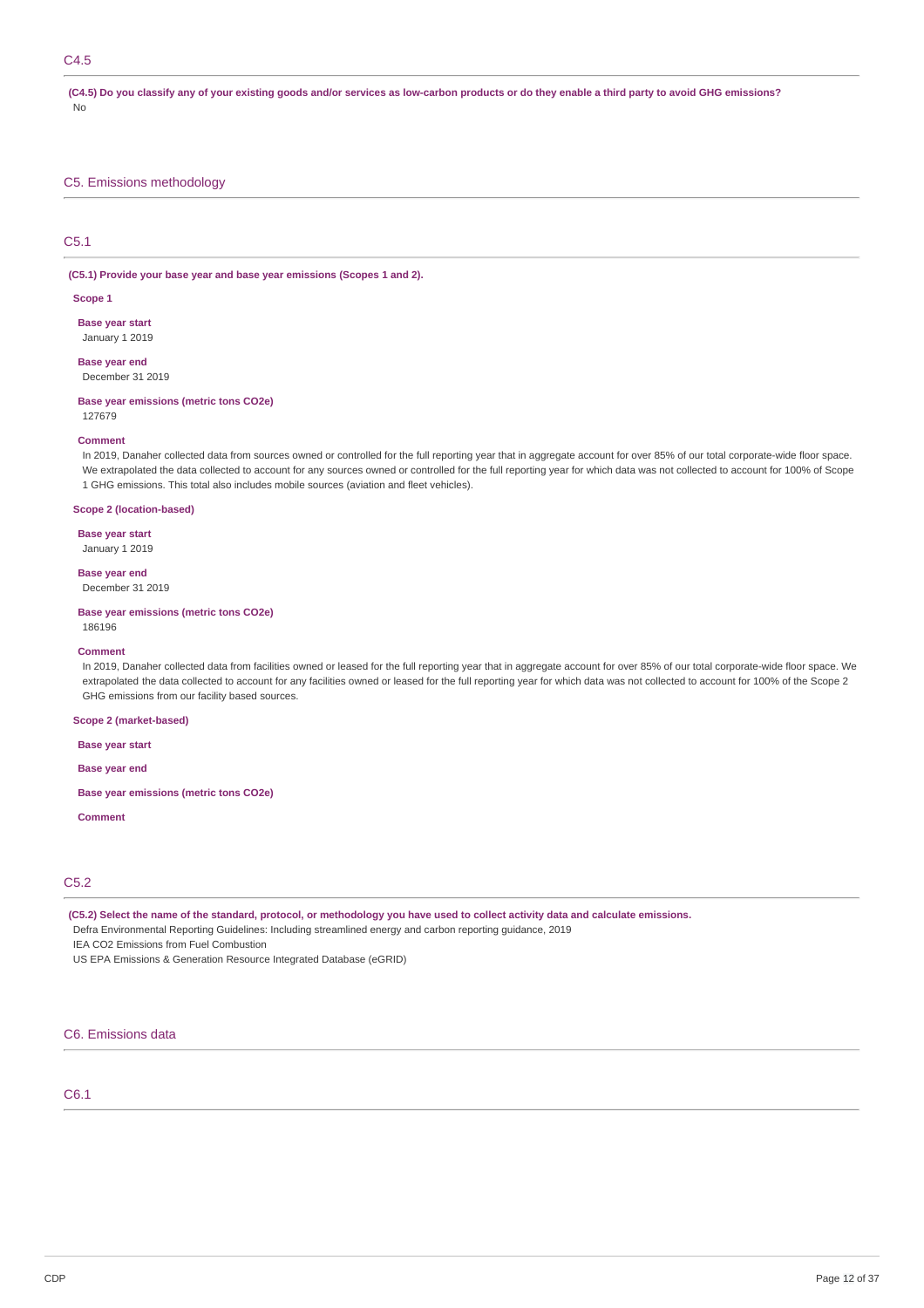### C4.5

(C4.5) Do you classify any of your existing goods and/or services as low-carbon products or do they enable a third party to avoid GHG emissions? No

### C5. Emissions methodology

#### C5.1

**(C5.1) Provide your base year and base year emissions (Scopes 1 and 2).**

#### **Scope 1**

**Base year start** January 1 2019

**Base year end** December 31 2019

#### **Base year emissions (metric tons CO2e)**

127679

### **Comment**

In 2019, Danaher collected data from sources owned or controlled for the full reporting year that in aggregate account for over 85% of our total corporate-wide floor space. We extrapolated the data collected to account for any sources owned or controlled for the full reporting year for which data was not collected to account for 100% of Scope 1 GHG emissions. This total also includes mobile sources (aviation and fleet vehicles).

### **Scope 2 (location-based)**

**Base year start**

January 1 2019

### **Base year end**

December 31 2019

#### **Base year emissions (metric tons CO2e)** 186196

## **Comment**

In 2019, Danaher collected data from facilities owned or leased for the full reporting year that in aggregate account for over 85% of our total corporate-wide floor space. We extrapolated the data collected to account for any facilities owned or leased for the full reporting year for which data was not collected to account for 100% of the Scope 2 GHG emissions from our facility based sources.

### **Scope 2 (market-based)**

**Base year start**

**Base year end**

**Base year emissions (metric tons CO2e)**

#### **Comment**

### C5.2

(C5.2) Select the name of the standard, protocol, or methodology you have used to collect activity data and calculate emissions.

Defra Environmental Reporting Guidelines: Including streamlined energy and carbon reporting guidance, 2019

IEA CO2 Emissions from Fuel Combustion

US EPA Emissions & Generation Resource Integrated Database (eGRID)

## C6. Emissions data

### C6.1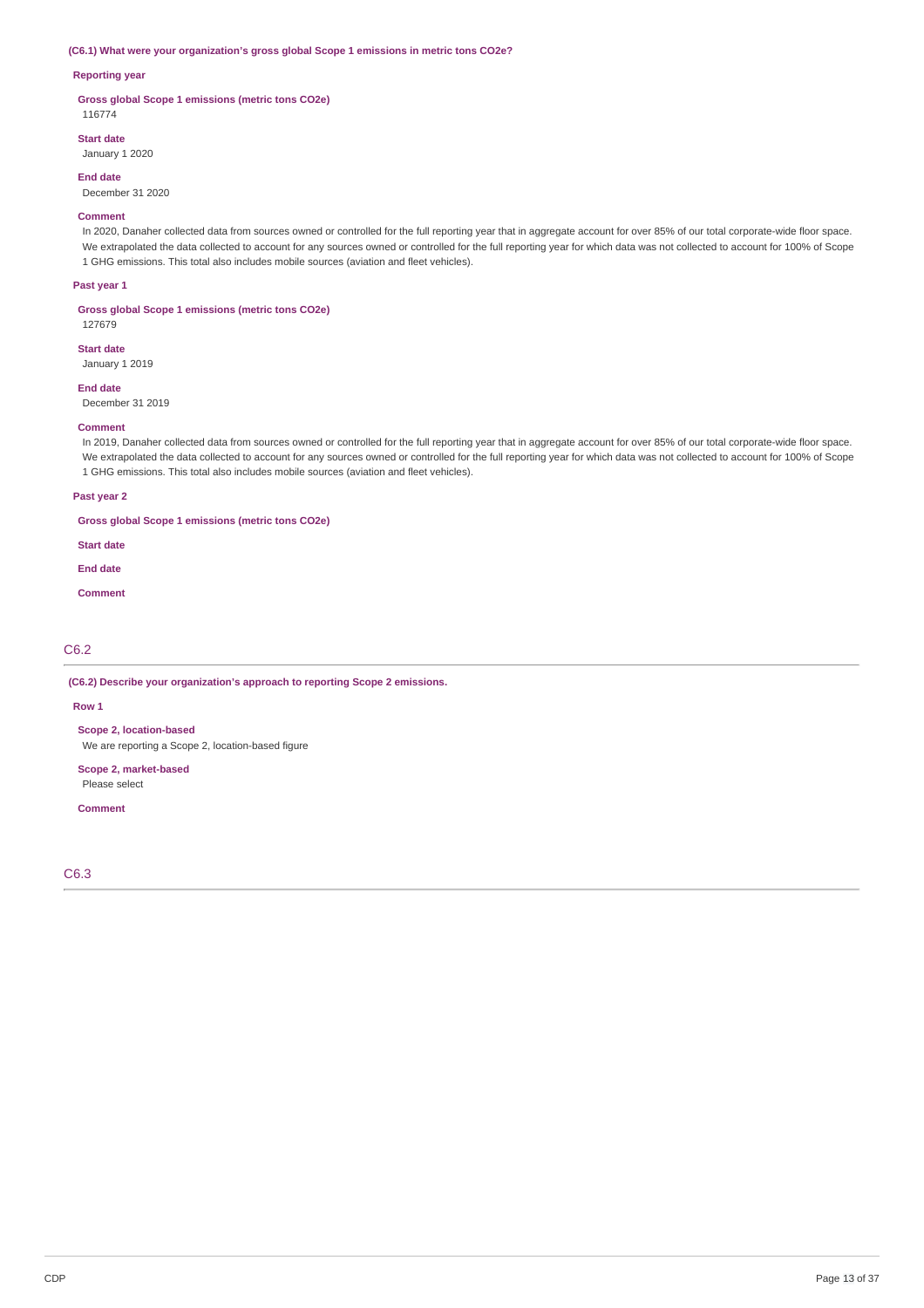#### **(C6.1) What were your organization's gross global Scope 1 emissions in metric tons CO2e?**

### **Reporting year**

**Gross global Scope 1 emissions (metric tons CO2e)** 116774

**Start date**

January 1 2020

**End date**

December 31 2020

#### **Comment**

In 2020, Danaher collected data from sources owned or controlled for the full reporting year that in aggregate account for over 85% of our total corporate-wide floor space. We extrapolated the data collected to account for any sources owned or controlled for the full reporting year for which data was not collected to account for 100% of Scope 1 GHG emissions. This total also includes mobile sources (aviation and fleet vehicles).

#### **Past year 1**

127679

**Gross global Scope 1 emissions (metric tons CO2e)**

**Start date**

January 1 2019

**End date** December 31 2019

#### **Comment**

In 2019, Danaher collected data from sources owned or controlled for the full reporting year that in aggregate account for over 85% of our total corporate-wide floor space. We extrapolated the data collected to account for any sources owned or controlled for the full reporting year for which data was not collected to account for 100% of Scope 1 GHG emissions. This total also includes mobile sources (aviation and fleet vehicles).

#### **Past year 2**

**Gross global Scope 1 emissions (metric tons CO2e)**

**Start date**

**End date**

**Comment**

### C6.2

**(C6.2) Describe your organization's approach to reporting Scope 2 emissions.**

#### **Row 1**

**Scope 2, location-based**

We are reporting a Scope 2, location-based figure

**Scope 2, market-based**

Please select

**Comment**

C6.3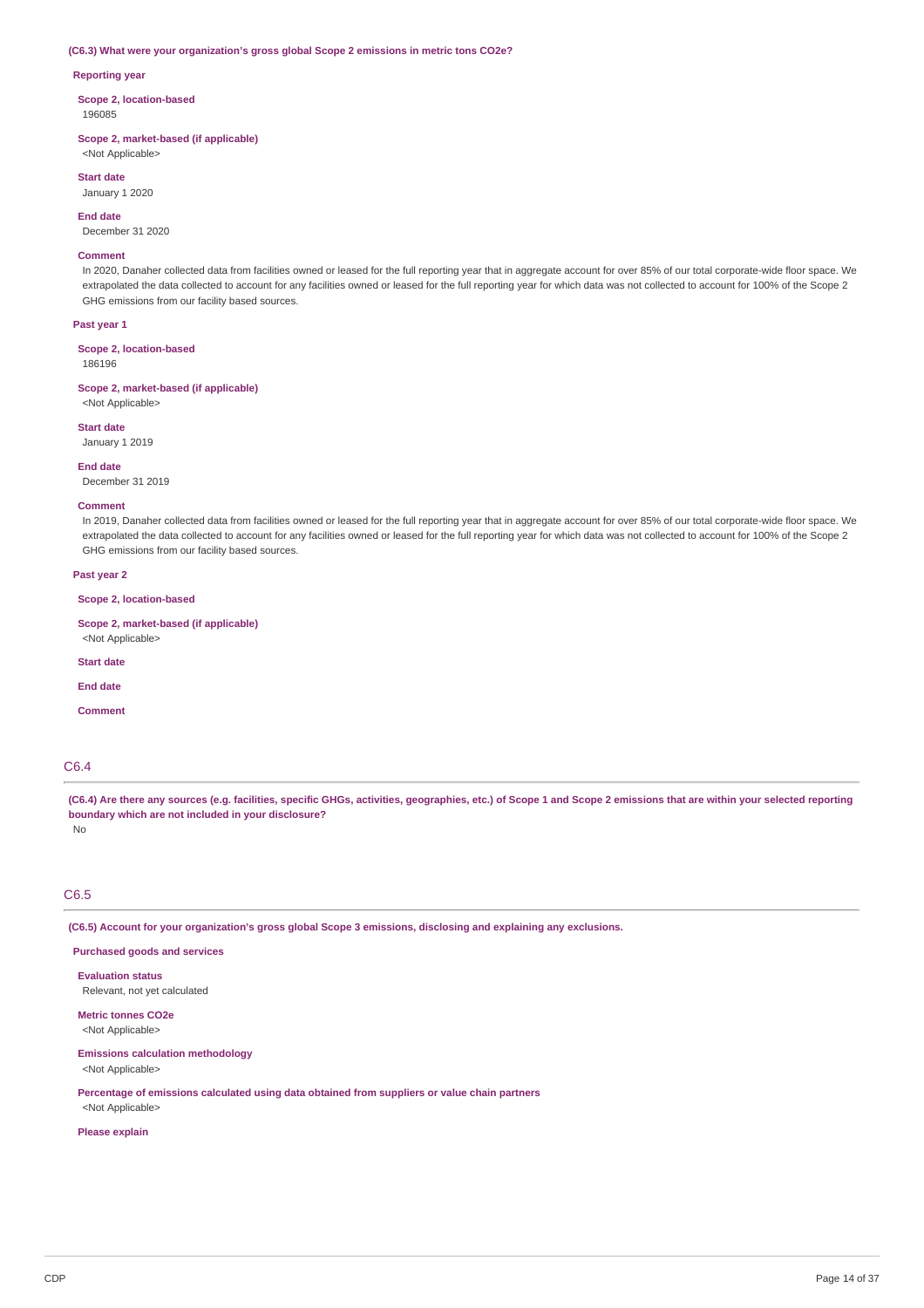#### **(C6.3) What were your organization's gross global Scope 2 emissions in metric tons CO2e?**

#### **Reporting year**

**Scope 2, location-based** 196085

**Scope 2, market-based (if applicable)** <Not Applicable>

**Start date**

January 1 2020

**End date**

December 31 2020

### **Comment**

In 2020, Danaher collected data from facilities owned or leased for the full reporting year that in aggregate account for over 85% of our total corporate-wide floor space. We extrapolated the data collected to account for any facilities owned or leased for the full reporting year for which data was not collected to account for 100% of the Scope 2 GHG emissions from our facility based sources.

#### **Past year 1**

**Scope 2, location-based** 186196

**Scope 2, market-based (if applicable)** <Not Applicable>

#### **Start date**

January 1 2019

#### **End date**

December 31 2019

### **Comment**

In 2019, Danaher collected data from facilities owned or leased for the full reporting year that in aggregate account for over 85% of our total corporate-wide floor space. We extrapolated the data collected to account for any facilities owned or leased for the full reporting year for which data was not collected to account for 100% of the Scope 2 GHG emissions from our facility based sources.

#### **Past year 2**

**Scope 2, location-based**

**Scope 2, market-based (if applicable)**

<Not Applicable>

**Start date**

**End date**

**Comment**

### C6.4

(C6.4) Are there any sources (e.g. facilities, specific GHGs, activities, geographies, etc.) of Scope 1 and Scope 2 emissions that are within your selected reporting **boundary which are not included in your disclosure?** No

### C6.5

**(C6.5) Account for your organization's gross global Scope 3 emissions, disclosing and explaining any exclusions.**

### **Purchased goods and services**

**Evaluation status** Relevant, not yet calculated

**Metric tonnes CO2e** <Not Applicable>

### **Emissions calculation methodology**

<Not Applicable>

**Percentage of emissions calculated using data obtained from suppliers or value chain partners** <Not Applicable>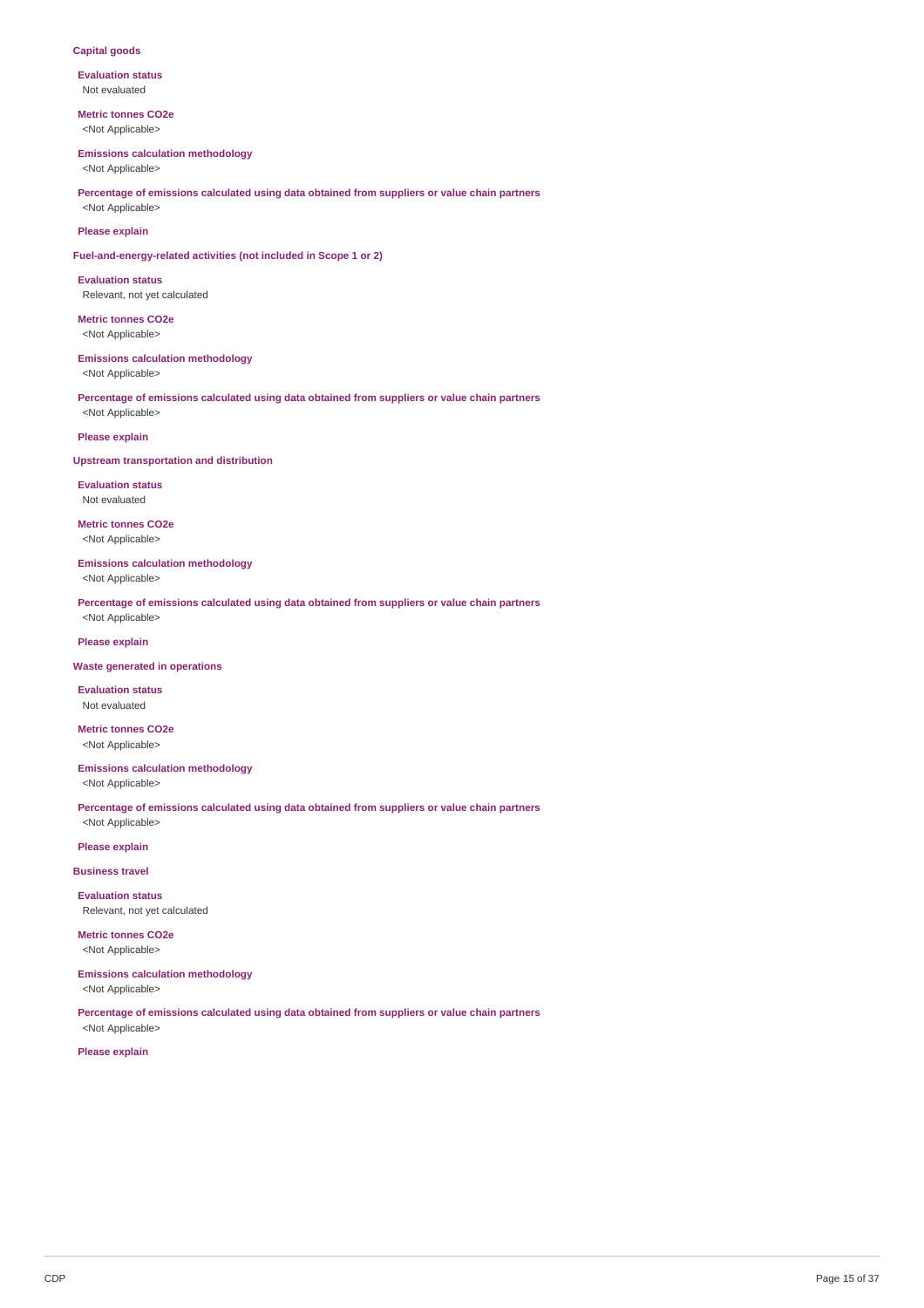### **Capital goods**

**Evaluation status** Not evaluated

**Metric tonnes CO2e** <Not Applicable>

#### **Emissions calculation methodology**

<Not Applicable>

**Percentage of emissions calculated using data obtained from suppliers or value chain partners** <Not Applicable>

### **Please explain**

**Fuel-and-energy-related activities (not included in Scope 1 or 2)**

**Evaluation status** Relevant, not yet calculated

**Metric tonnes CO2e** <Not Applicable>

### **Emissions calculation methodology**

<Not Applicable>

**Percentage of emissions calculated using data obtained from suppliers or value chain partners** <Not Applicable>

### **Please explain**

### **Upstream transportation and distribution**

**Evaluation status** Not evaluated

**Metric tonnes CO2e** <Not Applicable>

### **Emissions calculation methodology**

<Not Applicable>

**Percentage of emissions calculated using data obtained from suppliers or value chain partners** <Not Applicable>

### **Please explain**

#### **Waste generated in operations**

**Evaluation status** Not evaluated

**Metric tonnes CO2e** <Not Applicable>

### **Emissions calculation methodology** <Not Applicable>

**Percentage of emissions calculated using data obtained from suppliers or value chain partners** <Not Applicable>

**Please explain**

#### **Business travel**

**Evaluation status** Relevant, not yet calculated

**Metric tonnes CO2e** <Not Applicable>

## **Emissions calculation methodology**

<Not Applicable>

**Percentage of emissions calculated using data obtained from suppliers or value chain partners** <Not Applicable>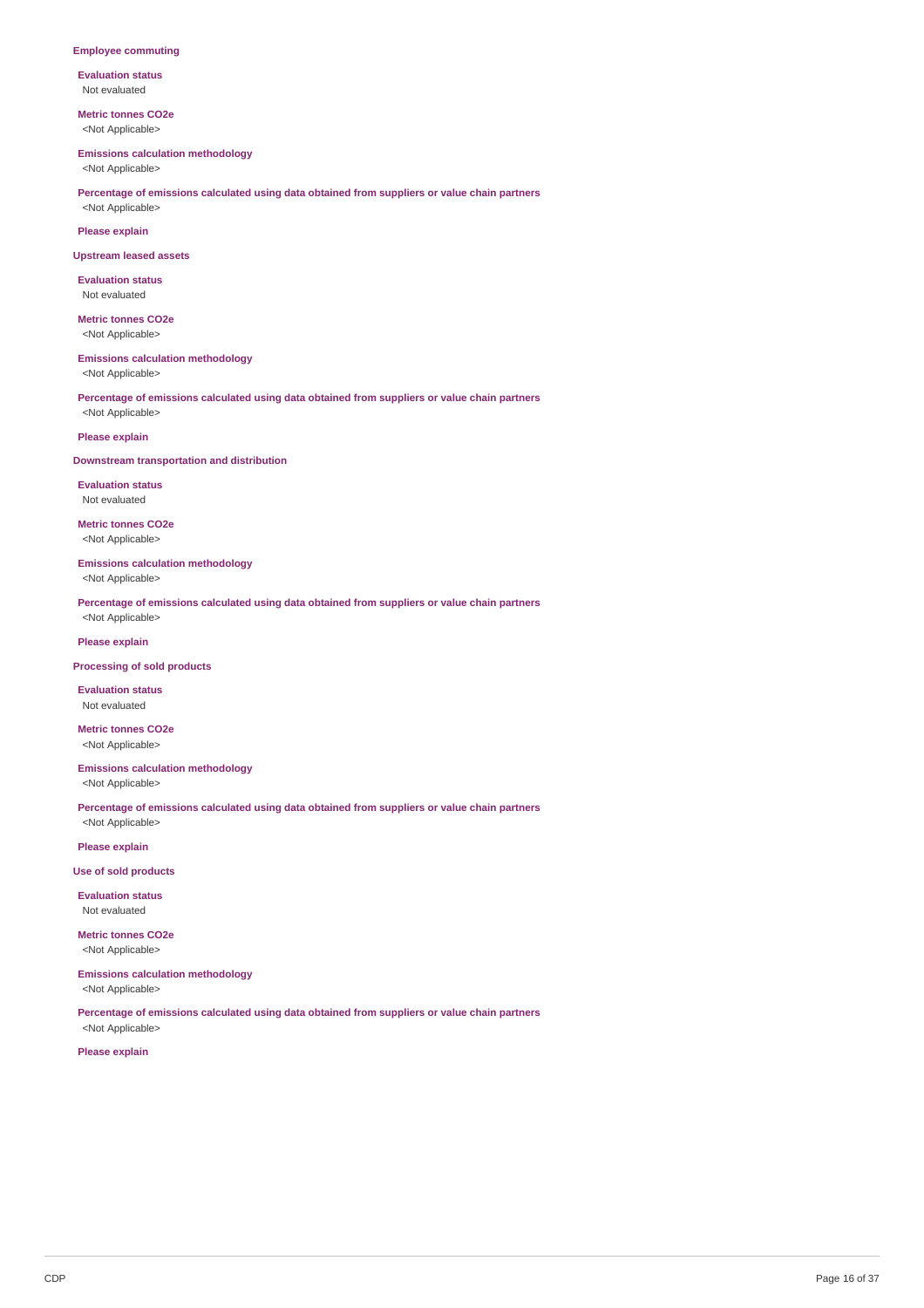#### **Employee commuting**

**Evaluation status** Not evaluated

**Metric tonnes CO2e** <Not Applicable>

#### **Emissions calculation methodology**

<Not Applicable>

### **Percentage of emissions calculated using data obtained from suppliers or value chain partners** <Not Applicable>

### **Please explain**

#### **Upstream leased assets**

**Evaluation status** Not evaluated

**Metric tonnes CO2e** <Not Applicable>

### **Emissions calculation methodology**

<Not Applicable>

**Percentage of emissions calculated using data obtained from suppliers or value chain partners** <Not Applicable>

### **Please explain**

### **Downstream transportation and distribution**

**Evaluation status** Not evaluated

**Metric tonnes CO2e** <Not Applicable>

### **Emissions calculation methodology**

<Not Applicable>

**Percentage of emissions calculated using data obtained from suppliers or value chain partners** <Not Applicable>

### **Please explain**

#### **Processing of sold products**

**Evaluation status** Not evaluated

**Metric tonnes CO2e** <Not Applicable>

### **Emissions calculation methodology** <Not Applicable>

**Percentage of emissions calculated using data obtained from suppliers or value chain partners** <Not Applicable>

**Please explain**

### **Use of sold products**

**Evaluation status** Not evaluated

**Metric tonnes CO2e** <Not Applicable>

## **Emissions calculation methodology**

<Not Applicable>

**Percentage of emissions calculated using data obtained from suppliers or value chain partners** <Not Applicable>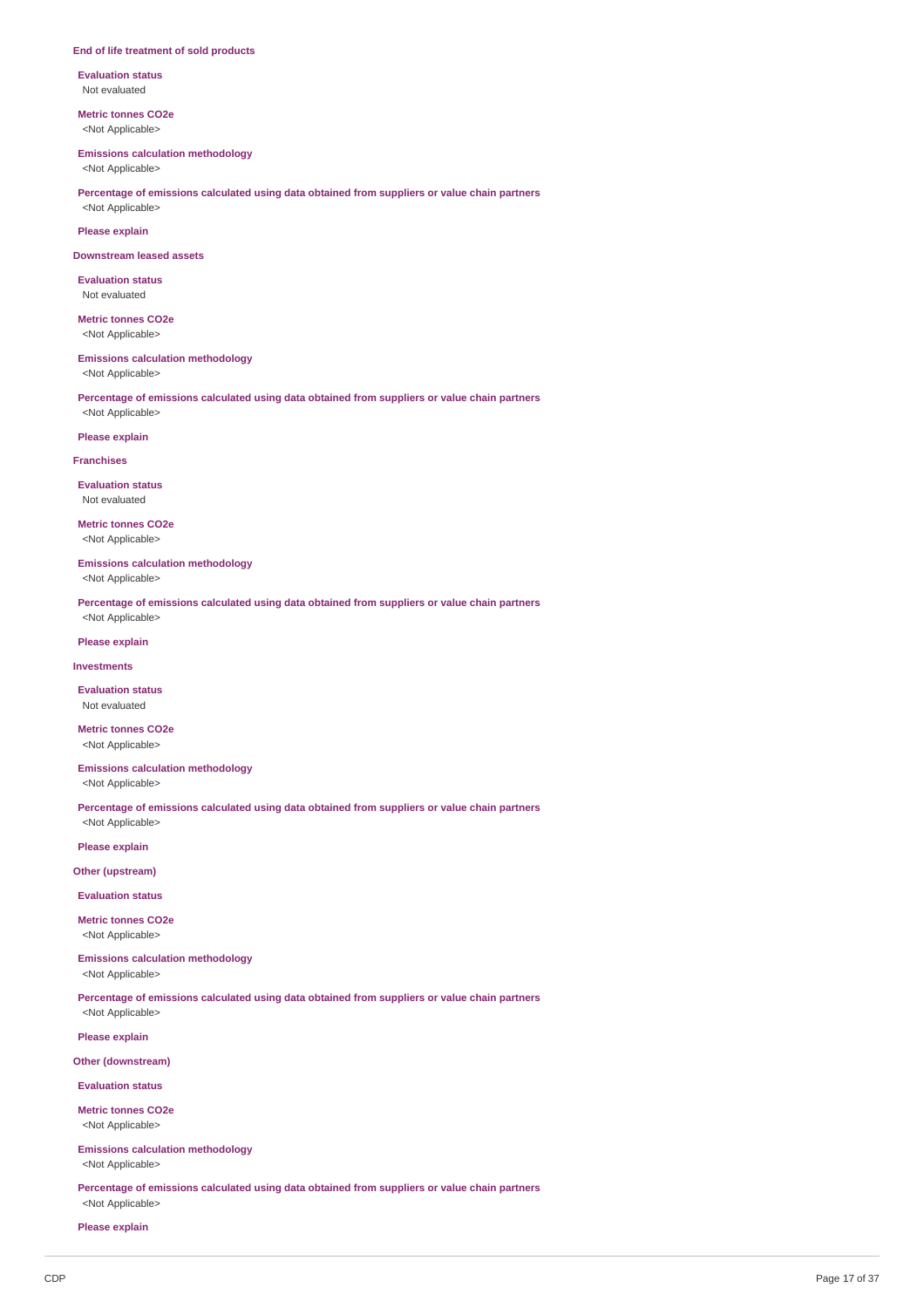#### **End of life treatment of sold products**

**Evaluation status** Not evaluated

**Metric tonnes CO2e** <Not Applicable>

#### **Emissions calculation methodology**

<Not Applicable>

**Percentage of emissions calculated using data obtained from suppliers or value chain partners** <Not Applicable>

### **Please explain**

#### **Downstream leased assets**

**Evaluation status** Not evaluated

**Metric tonnes CO2e** <Not Applicable>

### **Emissions calculation methodology**

<Not Applicable>

**Percentage of emissions calculated using data obtained from suppliers or value chain partners** <Not Applicable>

### **Please explain**

#### **Franchises**

**Evaluation status** Not evaluated

**Metric tonnes CO2e** <Not Applicable>

### **Emissions calculation methodology**

<Not Applicable>

**Percentage of emissions calculated using data obtained from suppliers or value chain partners** <Not Applicable>

### **Please explain**

**Investments**

### **Evaluation status** Not evaluated

**Metric tonnes CO2e** <Not Applicable>

## **Emissions calculation methodology**

<Not Applicable>

**Percentage of emissions calculated using data obtained from suppliers or value chain partners** <Not Applicable>

**Please explain**

### **Other (upstream)**

**Evaluation status**

## **Metric tonnes CO2e**

<Not Applicable>

## **Emissions calculation methodology**

<Not Applicable>

**Percentage of emissions calculated using data obtained from suppliers or value chain partners** <Not Applicable>

**Please explain**

### **Other (downstream)**

**Evaluation status**

**Metric tonnes CO2e**

## <Not Applicable>

**Emissions calculation methodology** <Not Applicable>

**Percentage of emissions calculated using data obtained from suppliers or value chain partners** <Not Applicable>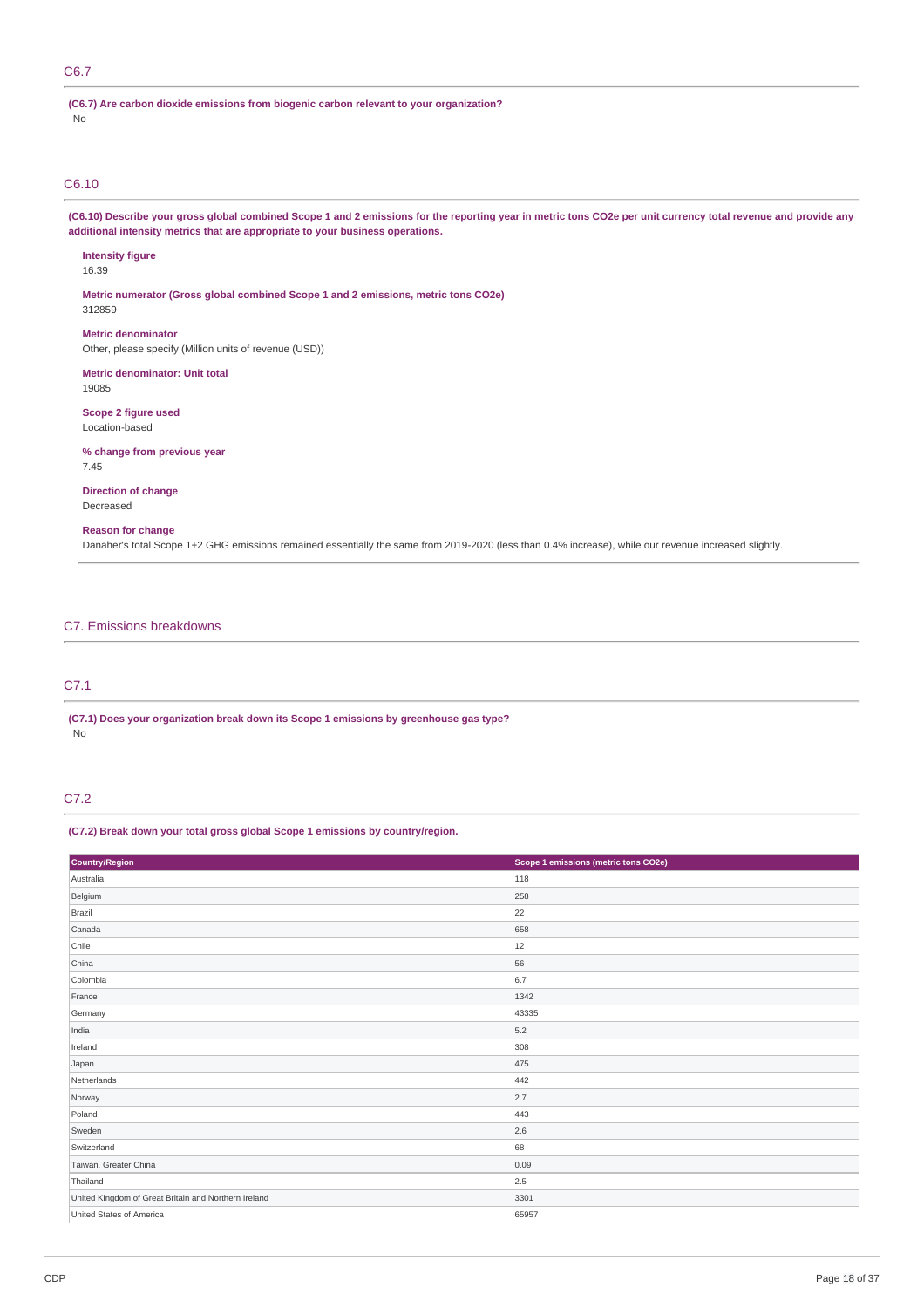### C6.7

**(C6.7) Are carbon dioxide emissions from biogenic carbon relevant to your organization?** No

### C6.10

(C6.10) Describe your gross global combined Scope 1 and 2 emissions for the reporting year in metric tons CO2e per unit currency total revenue and provide any **additional intensity metrics that are appropriate to your business operations.**

**Intensity figure** 16.39 **Metric numerator (Gross global combined Scope 1 and 2 emissions, metric tons CO2e)** 312859 **Metric denominator** Other, please specify (Million units of revenue (USD)) **Metric denominator: Unit total** 19085 **Scope 2 figure used** Location-based

**% change from previous year** 7.45

**Direction of change** Decreased

#### **Reason for change**

Danaher's total Scope 1+2 GHG emissions remained essentially the same from 2019-2020 (less than 0.4% increase), while our revenue increased slightly.

### C7. Emissions breakdowns

### C7.1

**(C7.1) Does your organization break down its Scope 1 emissions by greenhouse gas type?** No

### C7.2

### **(C7.2) Break down your total gross global Scope 1 emissions by country/region.**

| Country/Region                                       | Scope 1 emissions (metric tons CO2e) |
|------------------------------------------------------|--------------------------------------|
| Australia                                            | 118                                  |
| Belgium                                              | 258                                  |
| Brazil                                               | 22                                   |
| Canada                                               | 658                                  |
| Chile                                                | 12                                   |
| China                                                | 56                                   |
| Colombia                                             | 6.7                                  |
| France                                               | 1342                                 |
| Germany                                              | 43335                                |
| India                                                | 5.2                                  |
| Ireland                                              | 308                                  |
| Japan                                                | 475                                  |
| Netherlands                                          | 442                                  |
| Norway                                               | 2.7                                  |
| Poland                                               | 443                                  |
| Sweden                                               | 2.6                                  |
| Switzerland                                          | 68                                   |
| Taiwan, Greater China                                | 0.09                                 |
| Thailand                                             | 2.5                                  |
| United Kingdom of Great Britain and Northern Ireland | 3301                                 |
| United States of America                             | 65957                                |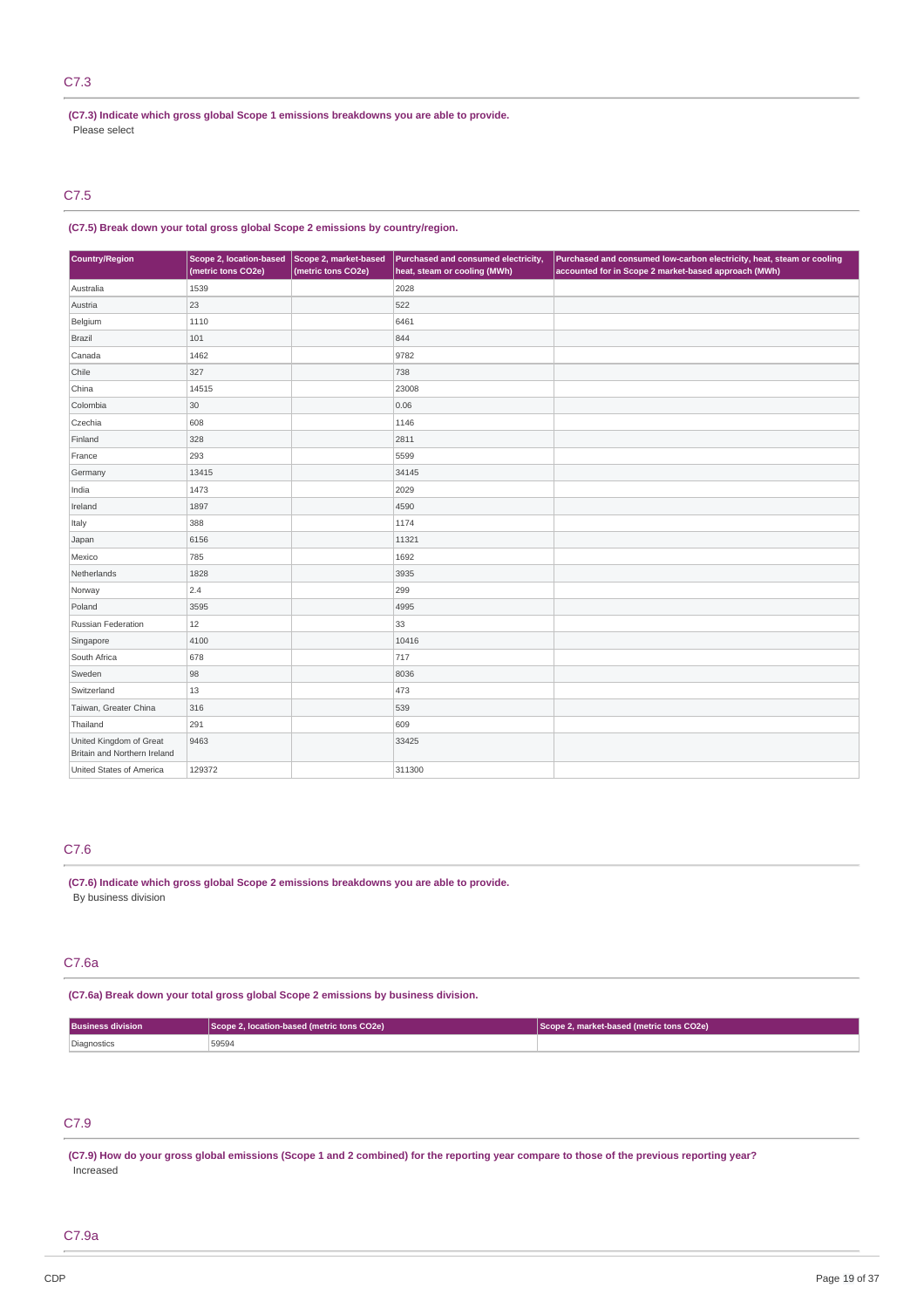### C7.3

**(C7.3) Indicate which gross global Scope 1 emissions breakdowns you are able to provide.** Please select

### C7.5

### **(C7.5) Break down your total gross global Scope 2 emissions by country/region.**

| Country/Region                                          | Scope 2, location-based<br>(metric tons CO2e) | Scope 2, market-based<br>(metric tons CO2e) | Purchased and consumed electricity,<br>heat, steam or cooling (MWh) | Purchased and consumed low-carbon electricity, heat, steam or cooling<br>accounted for in Scope 2 market-based approach (MWh) |
|---------------------------------------------------------|-----------------------------------------------|---------------------------------------------|---------------------------------------------------------------------|-------------------------------------------------------------------------------------------------------------------------------|
| Australia                                               | 1539                                          |                                             | 2028                                                                |                                                                                                                               |
| Austria                                                 | 23                                            |                                             | 522                                                                 |                                                                                                                               |
| Belgium                                                 | 1110                                          |                                             | 6461                                                                |                                                                                                                               |
| Brazil                                                  | 101                                           |                                             | 844                                                                 |                                                                                                                               |
| Canada                                                  | 1462                                          |                                             | 9782                                                                |                                                                                                                               |
| Chile                                                   | 327                                           |                                             | 738                                                                 |                                                                                                                               |
| China                                                   | 14515                                         |                                             | 23008                                                               |                                                                                                                               |
| Colombia                                                | 30                                            |                                             | 0.06                                                                |                                                                                                                               |
| Czechia                                                 | 608                                           |                                             | 1146                                                                |                                                                                                                               |
| Finland                                                 | 328                                           |                                             | 2811                                                                |                                                                                                                               |
| France                                                  | 293                                           |                                             | 5599                                                                |                                                                                                                               |
| Germany                                                 | 13415                                         |                                             | 34145                                                               |                                                                                                                               |
| India                                                   | 1473                                          |                                             | 2029                                                                |                                                                                                                               |
| Ireland                                                 | 1897                                          |                                             | 4590                                                                |                                                                                                                               |
| Italy                                                   | 388                                           |                                             | 1174                                                                |                                                                                                                               |
| Japan                                                   | 6156                                          |                                             | 11321                                                               |                                                                                                                               |
| Mexico                                                  | 785                                           |                                             | 1692                                                                |                                                                                                                               |
| Netherlands                                             | 1828                                          |                                             | 3935                                                                |                                                                                                                               |
| Norway                                                  | 2.4                                           |                                             | 299                                                                 |                                                                                                                               |
| Poland                                                  | 3595                                          |                                             | 4995                                                                |                                                                                                                               |
| Russian Federation                                      | 12                                            |                                             | 33                                                                  |                                                                                                                               |
| Singapore                                               | 4100                                          |                                             | 10416                                                               |                                                                                                                               |
| South Africa                                            | 678                                           |                                             | 717                                                                 |                                                                                                                               |
| Sweden                                                  | 98                                            |                                             | 8036                                                                |                                                                                                                               |
| Switzerland                                             | 13                                            |                                             | 473                                                                 |                                                                                                                               |
| Taiwan, Greater China                                   | 316                                           |                                             | 539                                                                 |                                                                                                                               |
| Thailand                                                | 291                                           |                                             | 609                                                                 |                                                                                                                               |
| United Kingdom of Great<br>Britain and Northern Ireland | 9463                                          |                                             | 33425                                                               |                                                                                                                               |
| United States of America                                | 129372                                        |                                             | 311300                                                              |                                                                                                                               |

### C7.6

**(C7.6) Indicate which gross global Scope 2 emissions breakdowns you are able to provide.** By business division

### C7.6a

### **(C7.6a) Break down your total gross global Scope 2 emissions by business division.**

| <b>Business division</b> | Scope 2, location-based (metric tons CO2e) | Scope 2, market-based (metric tons CO2e) |  |
|--------------------------|--------------------------------------------|------------------------------------------|--|
| Diagnostics              | 59594                                      |                                          |  |

## C7.9

(C7.9) How do your gross global emissions (Scope 1 and 2 combined) for the reporting year compare to those of the previous reporting year? Increased

### C7.9a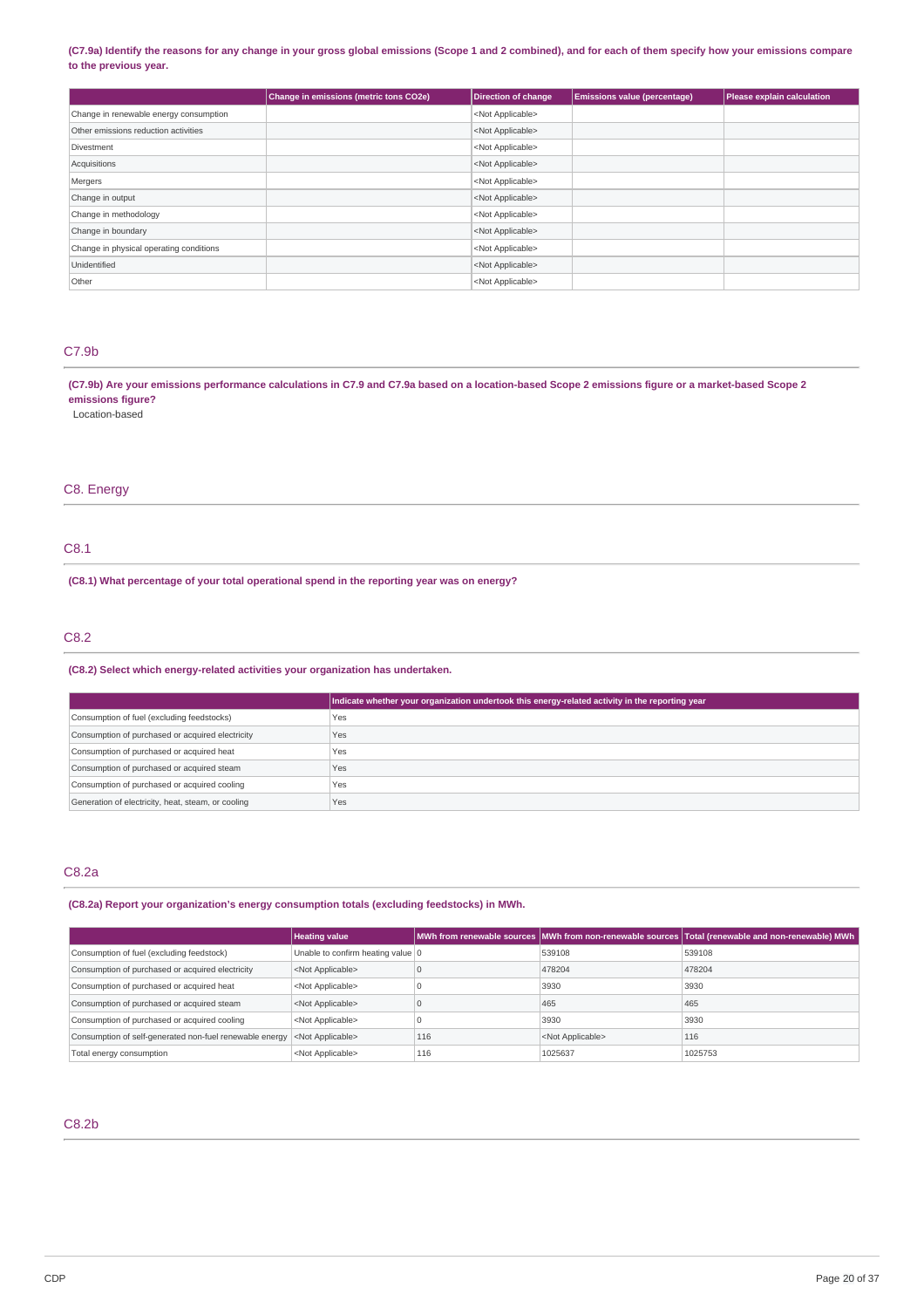### (C7.9a) Identify the reasons for any change in your gross global emissions (Scope 1 and 2 combined), and for each of them specify how your emissions compare **to the previous year.**

|                                         | Change in emissions (metric tons CO2e) | <b>Direction of change</b> | <b>Emissions value (percentage)</b> | Please explain calculation |
|-----------------------------------------|----------------------------------------|----------------------------|-------------------------------------|----------------------------|
| Change in renewable energy consumption  |                                        | <not applicable=""></not>  |                                     |                            |
| Other emissions reduction activities    |                                        | <not applicable=""></not>  |                                     |                            |
| Divestment                              |                                        | <not applicable=""></not>  |                                     |                            |
| Acquisitions                            |                                        | <not applicable=""></not>  |                                     |                            |
| Mergers                                 |                                        | <not applicable=""></not>  |                                     |                            |
| Change in output                        |                                        | <not applicable=""></not>  |                                     |                            |
| Change in methodology                   |                                        | <not applicable=""></not>  |                                     |                            |
| Change in boundary                      |                                        | <not applicable=""></not>  |                                     |                            |
| Change in physical operating conditions |                                        | <not applicable=""></not>  |                                     |                            |
| Unidentified                            |                                        | <not applicable=""></not>  |                                     |                            |
| Other                                   |                                        | <not applicable=""></not>  |                                     |                            |

### C7.9b

(C7.9b) Are your emissions performance calculations in C7.9 and C7.9a based on a location-based Scope 2 emissions figure or a market-based Scope 2 **emissions figure?**

Location-based

### C8. Energy

### C8.1

**(C8.1) What percentage of your total operational spend in the reporting year was on energy?**

### C8.2

### **(C8.2) Select which energy-related activities your organization has undertaken.**

|                                                    | Indicate whether your organization undertook this energy-related activity in the reporting year |
|----------------------------------------------------|-------------------------------------------------------------------------------------------------|
| Consumption of fuel (excluding feedstocks)         | Yes                                                                                             |
| Consumption of purchased or acquired electricity   | Yes                                                                                             |
| Consumption of purchased or acquired heat          | Yes                                                                                             |
| Consumption of purchased or acquired steam         | Yes                                                                                             |
| Consumption of purchased or acquired cooling       | Yes                                                                                             |
| Generation of electricity, heat, steam, or cooling | Yes                                                                                             |

### C8.2a

**(C8.2a) Report your organization's energy consumption totals (excluding feedstocks) in MWh.**

|                                                         | <b>Heating value</b>              |     |                           | MWh from renewable sources MWh from non-renewable sources Total (renewable and non-renewable) MWh |
|---------------------------------------------------------|-----------------------------------|-----|---------------------------|---------------------------------------------------------------------------------------------------|
| Consumption of fuel (excluding feedstock)               | Unable to confirm heating value 0 |     | 539108                    | 539108                                                                                            |
| Consumption of purchased or acquired electricity        | <not applicable=""></not>         |     | 478204                    | 478204                                                                                            |
| Consumption of purchased or acquired heat               | <not applicable=""></not>         |     | 3930                      | 3930                                                                                              |
| Consumption of purchased or acquired steam              | <not applicable=""></not>         |     | 465                       | 465                                                                                               |
| Consumption of purchased or acquired cooling            | <not applicable=""></not>         |     | 3930                      | 3930                                                                                              |
| Consumption of self-generated non-fuel renewable energy | <not applicable=""></not>         | 116 | <not applicable=""></not> | 116                                                                                               |
| Total energy consumption                                | <not applicable=""></not>         | 116 | 1025637                   | 1025753                                                                                           |

### C8.2b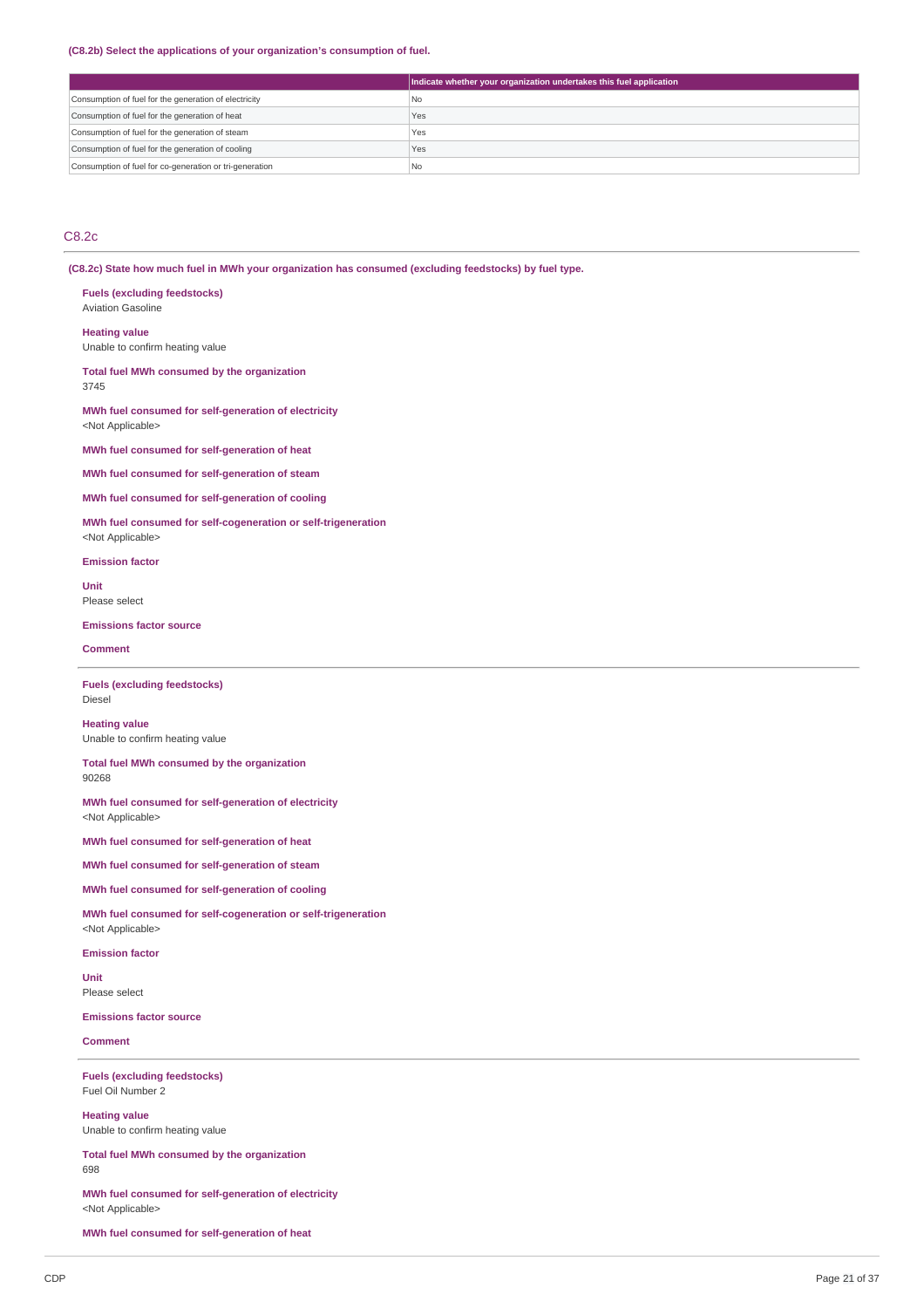#### **(C8.2b) Select the applications of your organization's consumption of fuel.**

|                                                         | Indicate whether your organization undertakes this fuel application |
|---------------------------------------------------------|---------------------------------------------------------------------|
| Consumption of fuel for the generation of electricity   | l No                                                                |
| Consumption of fuel for the generation of heat          | Yes                                                                 |
| Consumption of fuel for the generation of steam         | Yes                                                                 |
| Consumption of fuel for the generation of cooling       | Yes                                                                 |
| Consumption of fuel for co-generation or tri-generation | ! No                                                                |

### C8.2c

**(C8.2c) State how much fuel in MWh your organization has consumed (excluding feedstocks) by fuel type.**

**Fuels (excluding feedstocks)** Aviation Gasoline

**Heating value** Unable to confirm heating value

**Total fuel MWh consumed by the organization** 3745

**MWh fuel consumed for self-generation of electricity** <Not Applicable>

**MWh fuel consumed for self-generation of heat**

**MWh fuel consumed for self-generation of steam**

**MWh fuel consumed for self-generation of cooling**

**MWh fuel consumed for self-cogeneration or self-trigeneration** <Not Applicable>

**Emission factor**

**Unit** Please select

**Emissions factor source**

**Comment**

**Fuels (excluding feedstocks)** Diesel

**Heating value** Unable to confirm heating value

**Total fuel MWh consumed by the organization** 90268

**MWh fuel consumed for self-generation of electricity** <Not Applicable>

**MWh fuel consumed for self-generation of heat**

**MWh fuel consumed for self-generation of steam**

**MWh fuel consumed for self-generation of cooling**

**MWh fuel consumed for self-cogeneration or self-trigeneration** <Not Applicable>

**Emission factor**

**Unit** Please select

**Emissions factor source**

**Comment**

**Fuels (excluding feedstocks)** Fuel Oil Number 2

**Heating value** Unable to confirm heating value

**Total fuel MWh consumed by the organization** 698

**MWh fuel consumed for self-generation of electricity** <Not Applicable>

**MWh fuel consumed for self-generation of heat**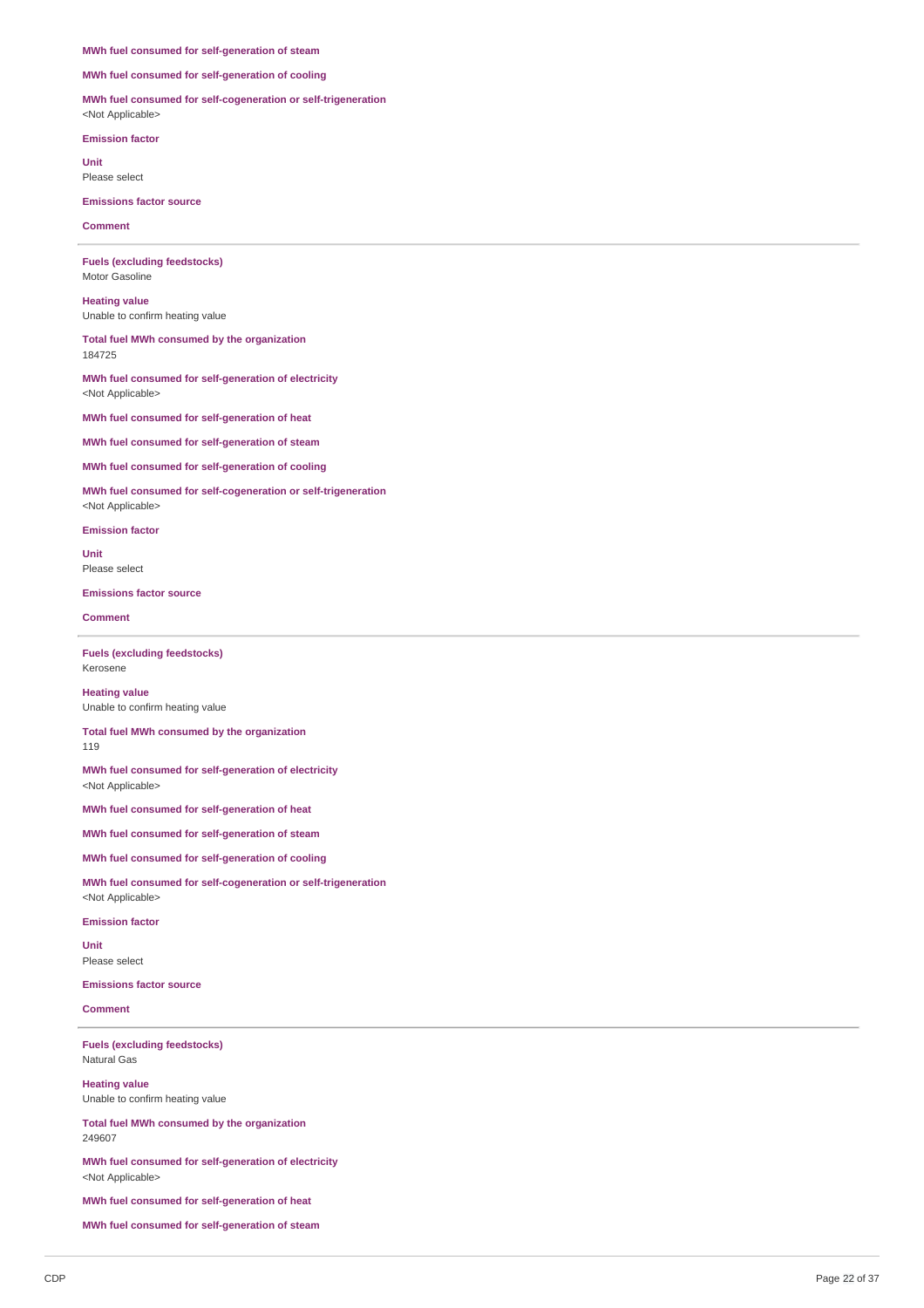#### **MWh fuel consumed for self-generation of steam**

**MWh fuel consumed for self-generation of cooling**

**MWh fuel consumed for self-cogeneration or self-trigeneration** <Not Applicable>

**Emission factor**

**Unit** Please select

**Emissions factor source**

**Comment**

**Fuels (excluding feedstocks)** Motor Gasoline

**Heating value** Unable to confirm heating value

**Total fuel MWh consumed by the organization** 184725

**MWh fuel consumed for self-generation of electricity** <Not Applicable>

**MWh fuel consumed for self-generation of heat**

**MWh fuel consumed for self-generation of steam**

**MWh fuel consumed for self-generation of cooling**

**MWh fuel consumed for self-cogeneration or self-trigeneration** <Not Applicable>

**Emission factor**

**Unit** Please select

**Emissions factor source**

**Comment**

**Fuels (excluding feedstocks)** Kerosene

**Heating value** Unable to confirm heating value

**Total fuel MWh consumed by the organization** 119

**MWh fuel consumed for self-generation of electricity** <Not Applicable>

**MWh fuel consumed for self-generation of heat**

**MWh fuel consumed for self-generation of steam**

**MWh fuel consumed for self-generation of cooling**

**MWh fuel consumed for self-cogeneration or self-trigeneration** <Not Applicable>

**Emission factor**

**Unit** Please select

**Emissions factor source**

**Comment**

**Fuels (excluding feedstocks)** Natural Gas

**Heating value** Unable to confirm heating value

**Total fuel MWh consumed by the organization** 249607

**MWh fuel consumed for self-generation of electricity** <Not Applicable>

**MWh fuel consumed for self-generation of heat**

**MWh fuel consumed for self-generation of steam**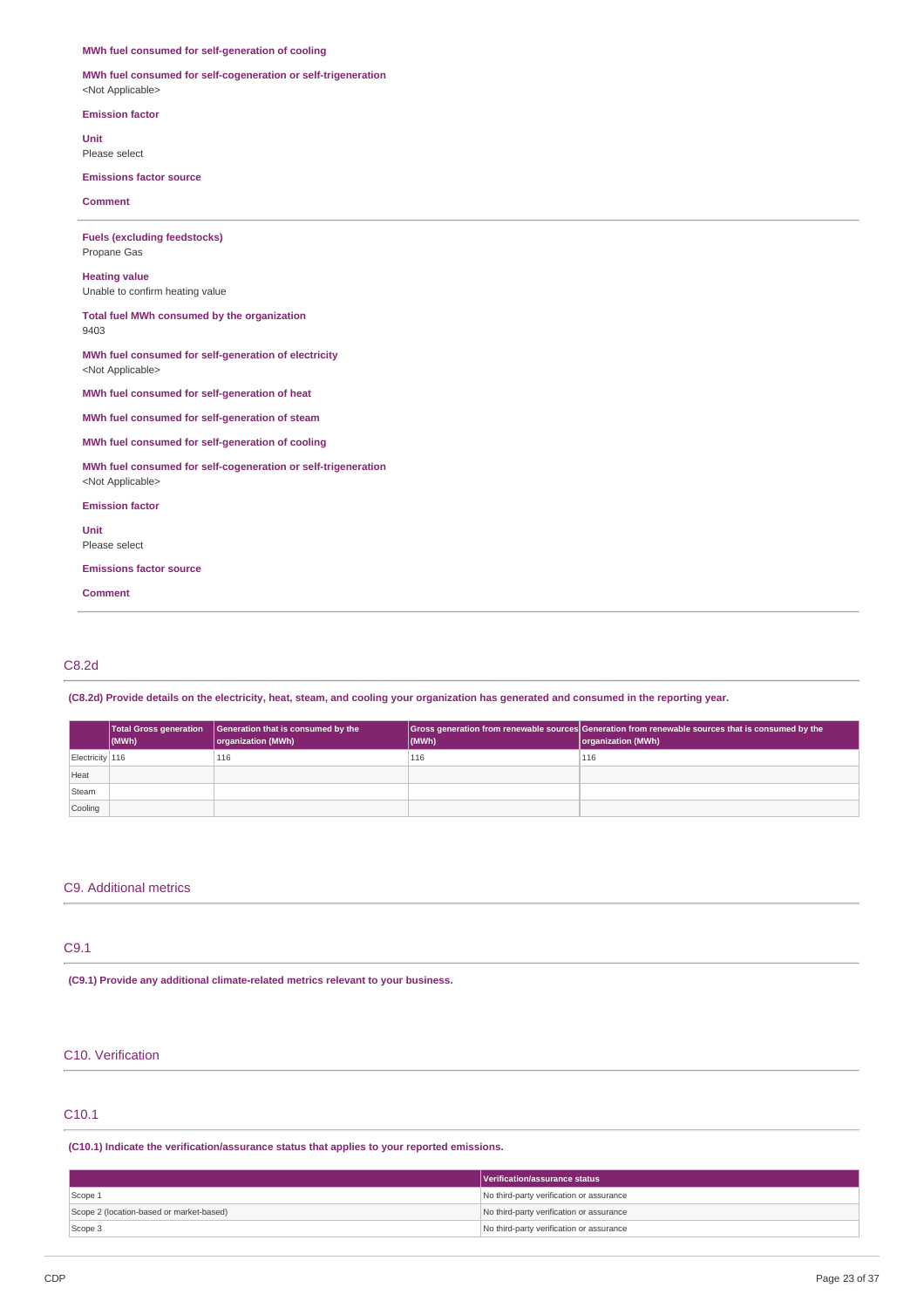### **MWh fuel consumed for self-generation of cooling**

**MWh fuel consumed for self-cogeneration or self-trigeneration** <Not Applicable>

**Emission factor**

**Unit** Please select

**Emissions factor source**

**Comment**

**Fuels (excluding feedstocks)** Propane Gas **Heating value** Unable to confirm heating value **Total fuel MWh consumed by the organization** 9403 **MWh fuel consumed for self-generation of electricity** <Not Applicable> **MWh fuel consumed for self-generation of heat MWh fuel consumed for self-generation of steam MWh fuel consumed for self-generation of cooling MWh fuel consumed for self-cogeneration or self-trigeneration** <Not Applicable> **Emission factor Unit** Please select **Emissions factor source**

**Comment**

### C8.2d

(C8.2d) Provide details on the electricity, heat, steam, and cooling your organization has generated and consumed in the reporting year.

|                 | $ $ (MWh) | Total Gross generation   Generation that is consumed by the<br>organization (MWh) | (MWh) | Gross generation from renewable sources Generation from renewable sources that is consumed by the<br>organization (MWh) |
|-----------------|-----------|-----------------------------------------------------------------------------------|-------|-------------------------------------------------------------------------------------------------------------------------|
| Electricity 116 |           | 116                                                                               | 116   | 116                                                                                                                     |
| Heat            |           |                                                                                   |       |                                                                                                                         |
| Steam           |           |                                                                                   |       |                                                                                                                         |
| Cooling         |           |                                                                                   |       |                                                                                                                         |

### C9. Additional metrics

### C9.1

**(C9.1) Provide any additional climate-related metrics relevant to your business.**

### C10. Verification

### C10.1

**(C10.1) Indicate the verification/assurance status that applies to your reported emissions.**

|                                          | Verification/assurance status            |
|------------------------------------------|------------------------------------------|
| Scope 1                                  | No third-party verification or assurance |
| Scope 2 (location-based or market-based) | No third-party verification or assurance |
| Scope 3                                  | No third-party verification or assurance |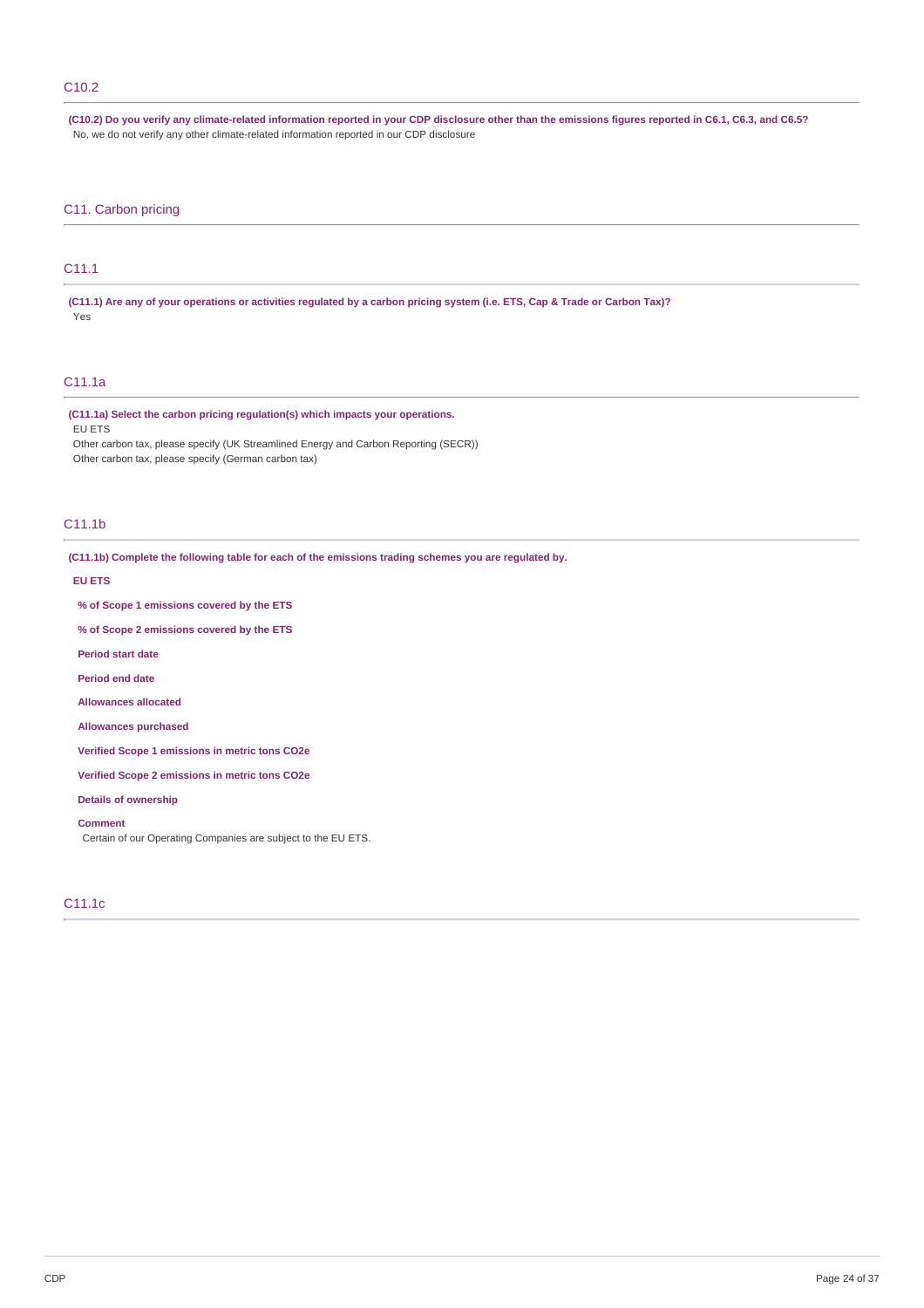### C10.2

(C10.2) Do you verify any climate-related information reported in your CDP disclosure other than the emissions figures reported in C6.1, C6.3, and C6.5? No, we do not verify any other climate-related information reported in our CDP disclosure

### C11. Carbon pricing

### C11.1

(C11.1) Are any of your operations or activities regulated by a carbon pricing system (i.e. ETS, Cap & Trade or Carbon Tax)? Yes

### C11.1a

### **(C11.1a) Select the carbon pricing regulation(s) which impacts your operations.**

EU ETS

Other carbon tax, please specify (UK Streamlined Energy and Carbon Reporting (SECR)) Other carbon tax, please specify (German carbon tax)

### C11.1b

**(C11.1b) Complete the following table for each of the emissions trading schemes you are regulated by.**

**EU ETS**

**% of Scope 1 emissions covered by the ETS**

**% of Scope 2 emissions covered by the ETS**

**Period start date**

**Period end date**

**Allowances allocated**

**Allowances purchased**

**Verified Scope 1 emissions in metric tons CO2e**

**Verified Scope 2 emissions in metric tons CO2e**

**Details of ownership**

**Comment**

Certain of our Operating Companies are subject to the EU ETS.

### C11.1c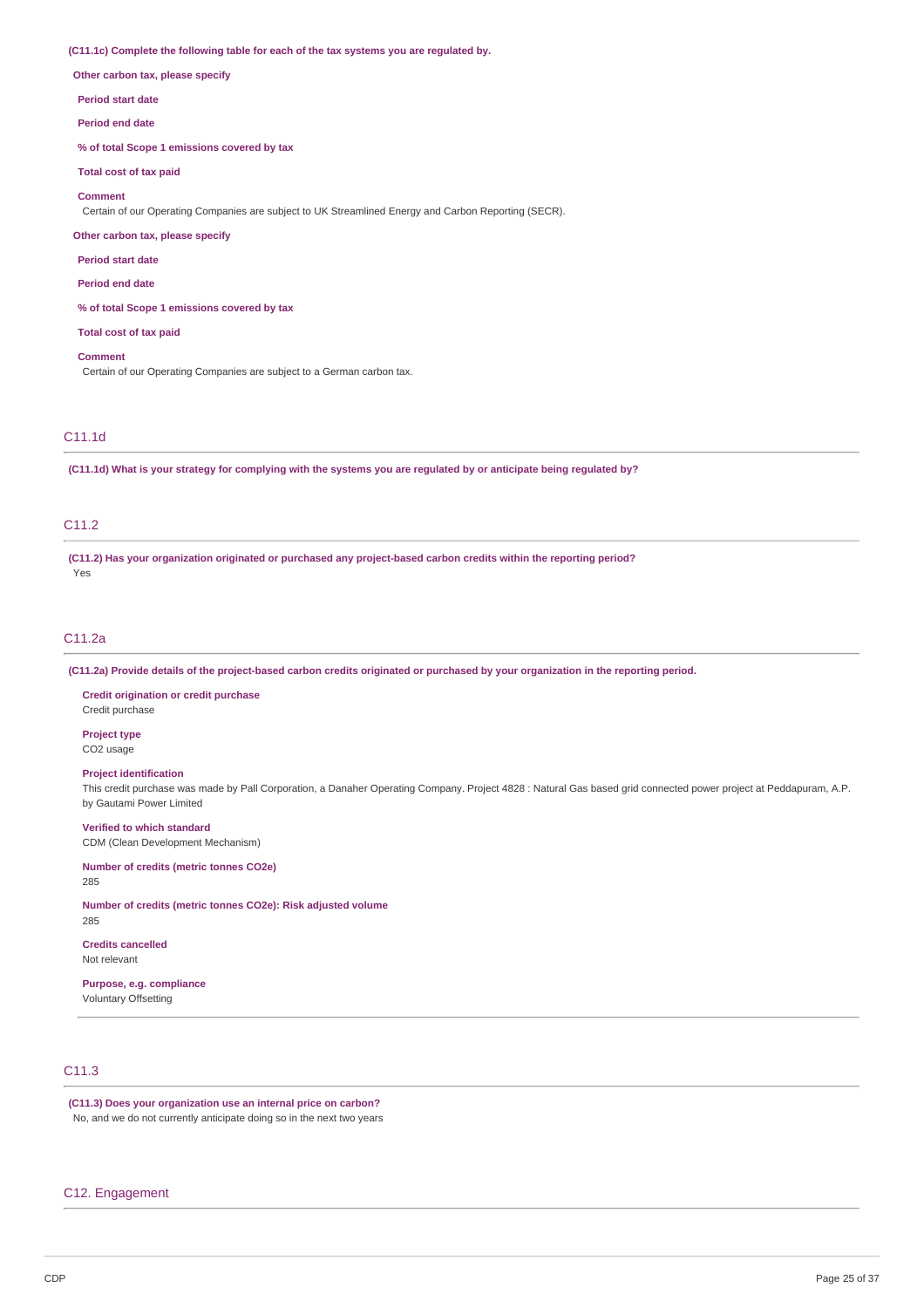#### **(C11.1c) Complete the following table for each of the tax systems you are regulated by.**

**Other carbon tax, please specify**

#### **Period start date**

**Period end date**

**% of total Scope 1 emissions covered by tax**

**Total cost of tax paid**

### **Comment**

Certain of our Operating Companies are subject to UK Streamlined Energy and Carbon Reporting (SECR).

### **Other carbon tax, please specify**

**Period start date**

**Period end date**

**% of total Scope 1 emissions covered by tax**

#### **Total cost of tax paid**

**Comment**

Certain of our Operating Companies are subject to a German carbon tax.

### C11.1d

(C11.1d) What is your strategy for complying with the systems you are regulated by or anticipate being regulated by?

### C<sub>11.2</sub>

**(C11.2) Has your organization originated or purchased any project-based carbon credits within the reporting period?** Yes

### C11.2a

(C11.2a) Provide details of the project-based carbon credits originated or purchased by your organization in the reporting period.

#### **Credit origination or credit purchase** Credit purchase

**Project type** CO2 usage

### **Project identification**

This credit purchase was made by Pall Corporation, a Danaher Operating Company. Project 4828 : Natural Gas based grid connected power project at Peddapuram, A.P. by Gautami Power Limited

### **Verified to which standard**

CDM (Clean Development Mechanism)

### **Number of credits (metric tonnes CO2e)**

285

285

### **Number of credits (metric tonnes CO2e): Risk adjusted volume**

**Credits cancelled** Not relevant

### **Purpose, e.g. compliance** Voluntary Offsetting

### C11.3

**(C11.3) Does your organization use an internal price on carbon?** No, and we do not currently anticipate doing so in the next two years

### C12. Engagement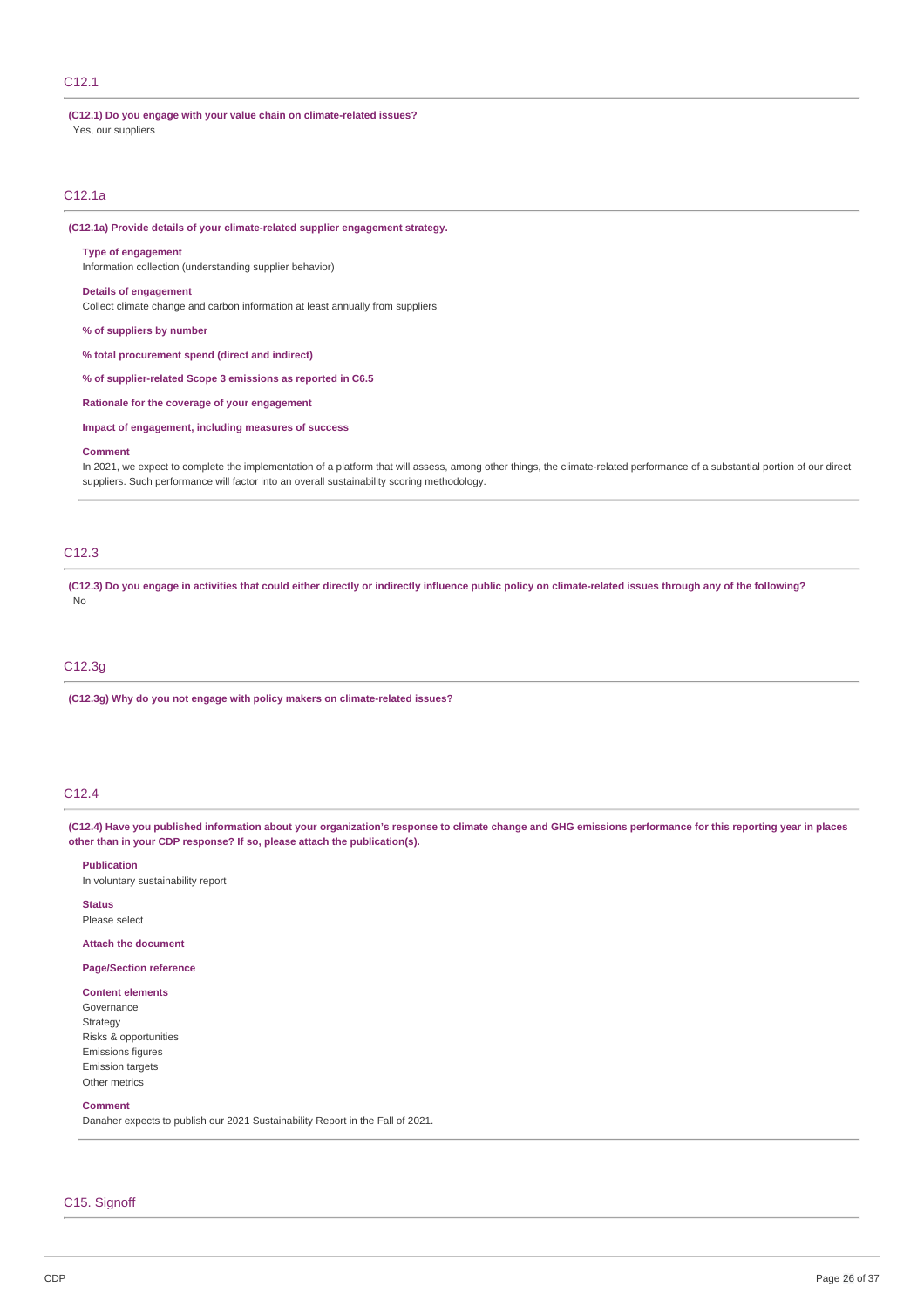### C12.1

# **(C12.1) Do you engage with your value chain on climate-related issues?**

Yes, our suppliers

### C12.1a

**(C12.1a) Provide details of your climate-related supplier engagement strategy.**

### **Type of engagement**

Information collection (understanding supplier behavior)

#### **Details of engagement**

Collect climate change and carbon information at least annually from suppliers

**% of suppliers by number**

**% total procurement spend (direct and indirect)**

**% of supplier-related Scope 3 emissions as reported in C6.5**

**Rationale for the coverage of your engagement**

**Impact of engagement, including measures of success**

#### **Comment**

In 2021, we expect to complete the implementation of a platform that will assess, among other things, the climate-related performance of a substantial portion of our direct suppliers. Such performance will factor into an overall sustainability scoring methodology.

### C12.3

(C12.3) Do you engage in activities that could either directly or indirectly influence public policy on climate-related issues through any of the following? No

### C12.3g

**(C12.3g) Why do you not engage with policy makers on climate-related issues?**

### C12.4

(C12.4) Have you published information about your organization's response to climate change and GHG emissions performance for this reporting year in places **other than in your CDP response? If so, please attach the publication(s).**

**Publication**

In voluntary sustainability report

**Status** Please select

**Attach the document**

## **Page/Section reference**

#### **Content elements** Governance

Strategy Risks & opportunities Emissions figures Emission targets Other metrics

#### **Comment**

Danaher expects to publish our 2021 Sustainability Report in the Fall of 2021.

### C15. Signoff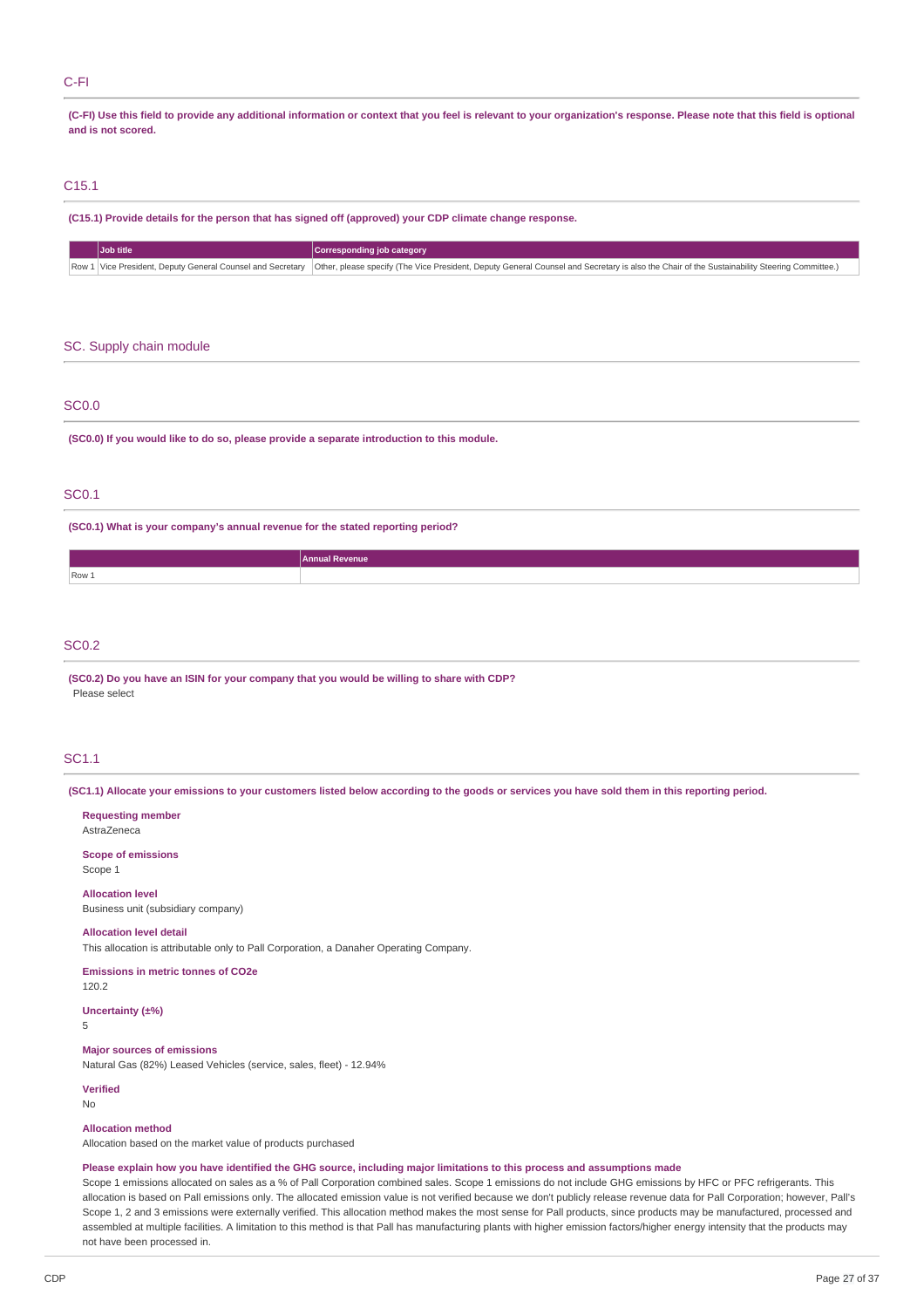### C-FI

(C-FI) Use this field to provide any additional information or context that you feel is relevant to your organization's response. Please note that this field is optional **and is not scored.**

### C15.1

**(C15.1) Provide details for the person that has signed off (approved) your CDP climate change response.**

| Job title |  | Corresponding job category                                                                                                                                                                                  |  |  |
|-----------|--|-------------------------------------------------------------------------------------------------------------------------------------------------------------------------------------------------------------|--|--|
|           |  | Row 1   Vice President, Deputy General Counsel and Secretary   Other, please specify (The Vice President, Deputy General Counsel and Secretary is also the Chair of the Sustainability Steering Committee.) |  |  |

### SC. Supply chain module

### SC0.0

**(SC0.0) If you would like to do so, please provide a separate introduction to this module.**

### SC0.1

**(SC0.1) What is your company's annual revenue for the stated reporting period?**

|       | Annual Revenue |
|-------|----------------|
| Row 1 |                |
|       |                |

### SC0.2

**(SC0.2) Do you have an ISIN for your company that you would be willing to share with CDP?** Please select

### SC1.1

(SC1.1) Allocate your emissions to your customers listed below according to the goods or services you have sold them in this reporting period.

**Requesting member** AstraZeneca

**Scope of emissions** Scope 1

**Allocation level** Business unit (subsidiary company)

#### **Allocation level detail**

This allocation is attributable only to Pall Corporation, a Danaher Operating Company.

**Emissions in metric tonnes of CO2e**

**Uncertainty (±%)**

5

120.2

### **Major sources of emissions**

Natural Gas (82%) Leased Vehicles (service, sales, fleet) - 12.94%

**Verified**

No

### **Allocation method**

Allocation based on the market value of products purchased

### Please explain how you have identified the GHG source, including major limitations to this process and assumptions made

Scope 1 emissions allocated on sales as a % of Pall Corporation combined sales. Scope 1 emissions do not include GHG emissions by HFC or PFC refrigerants. This allocation is based on Pall emissions only. The allocated emission value is not verified because we don't publicly release revenue data for Pall Corporation; however, Pall's Scope 1, 2 and 3 emissions were externally verified. This allocation method makes the most sense for Pall products, since products may be manufactured, processed and assembled at multiple facilities. A limitation to this method is that Pall has manufacturing plants with higher emission factors/higher energy intensity that the products may not have been processed in.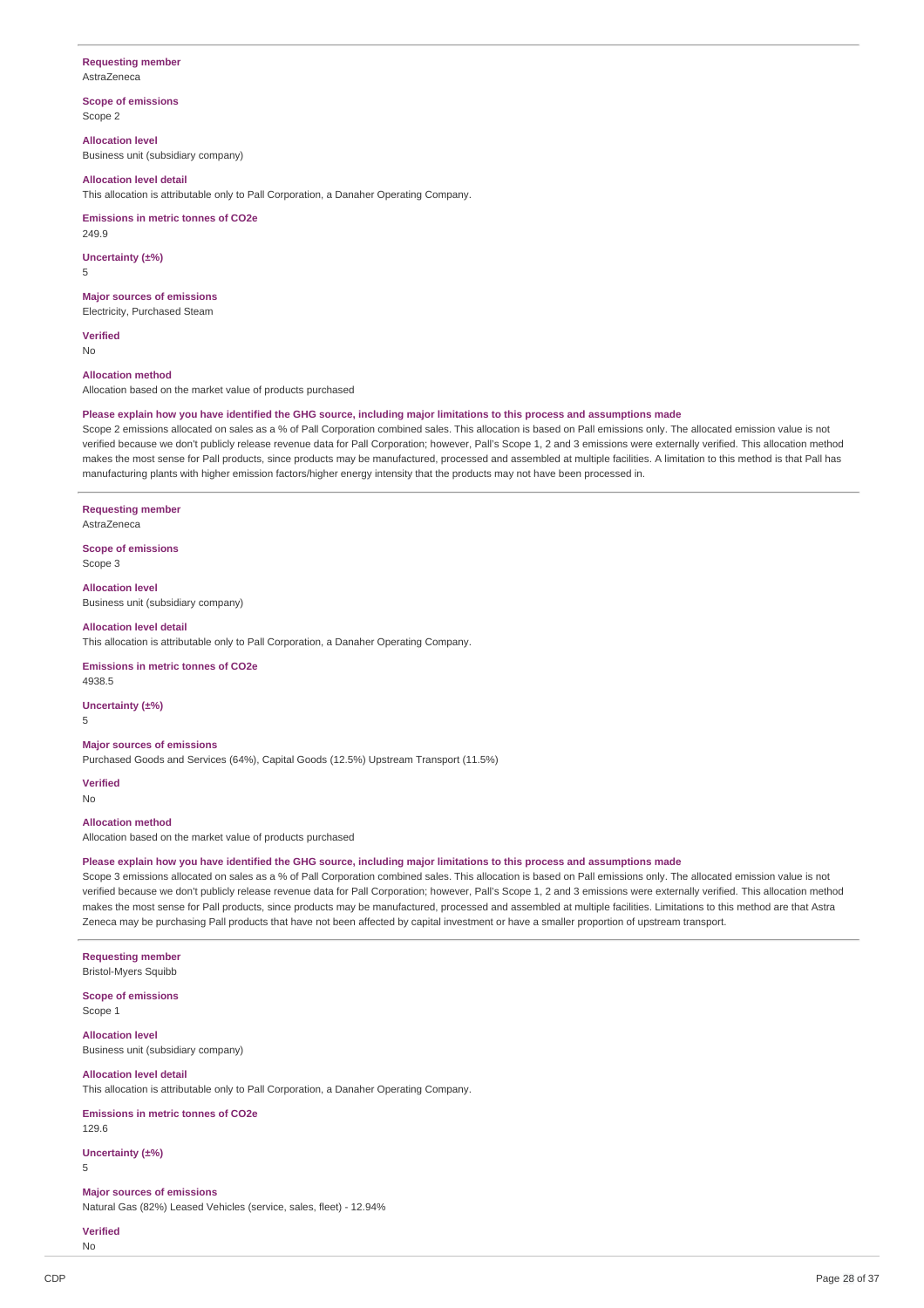## **Requesting member**

AstraZeneca

**Scope of emissions** Scope 2

**Allocation level**

Business unit (subsidiary company)

### **Allocation level detail**

This allocation is attributable only to Pall Corporation, a Danaher Operating Company.

### **Emissions in metric tonnes of CO2e**

249.9

**Uncertainty (±%)** 5

### **Major sources of emissions**

Electricity, Purchased Steam

**Verified** No

### **Allocation method**

Allocation based on the market value of products purchased

#### Please explain how you have identified the GHG source, including major limitations to this process and assumptions made

Scope 2 emissions allocated on sales as a % of Pall Corporation combined sales. This allocation is based on Pall emissions only. The allocated emission value is not verified because we don't publicly release revenue data for Pall Corporation; however, Pall's Scope 1, 2 and 3 emissions were externally verified. This allocation method makes the most sense for Pall products, since products may be manufactured, processed and assembled at multiple facilities. A limitation to this method is that Pall has manufacturing plants with higher emission factors/higher energy intensity that the products may not have been processed in.

#### **Requesting member**

AstraZeneca

**Scope of emissions** Scope 3

**Allocation level** Business unit (subsidiary company)

#### **Allocation level detail**

This allocation is attributable only to Pall Corporation, a Danaher Operating Company.

### **Emissions in metric tonnes of CO2e**

4938.5

### **Uncertainty (±%)**

5

### **Major sources of emissions**

Purchased Goods and Services (64%), Capital Goods (12.5%) Upstream Transport (11.5%)

**Verified** No

#### **Allocation method**

Allocation based on the market value of products purchased

#### Please explain how you have identified the GHG source, including major limitations to this process and assumptions made

Scope 3 emissions allocated on sales as a % of Pall Corporation combined sales. This allocation is based on Pall emissions only. The allocated emission value is not verified because we don't publicly release revenue data for Pall Corporation; however, Pall's Scope 1, 2 and 3 emissions were externally verified. This allocation method makes the most sense for Pall products, since products may be manufactured, processed and assembled at multiple facilities. Limitations to this method are that Astra Zeneca may be purchasing Pall products that have not been affected by capital investment or have a smaller proportion of upstream transport.

### **Requesting member** Bristol-Myers Squibb

**Scope of emissions** Scope 1

**Allocation level**

Business unit (subsidiary company)

#### **Allocation level detail**

This allocation is attributable only to Pall Corporation, a Danaher Operating Company.

**Emissions in metric tonnes of CO2e**

129.6

### **Uncertainty (±%)**

5

### **Major sources of emissions**

Natural Gas (82%) Leased Vehicles (service, sales, fleet) - 12.94%

**Verified** No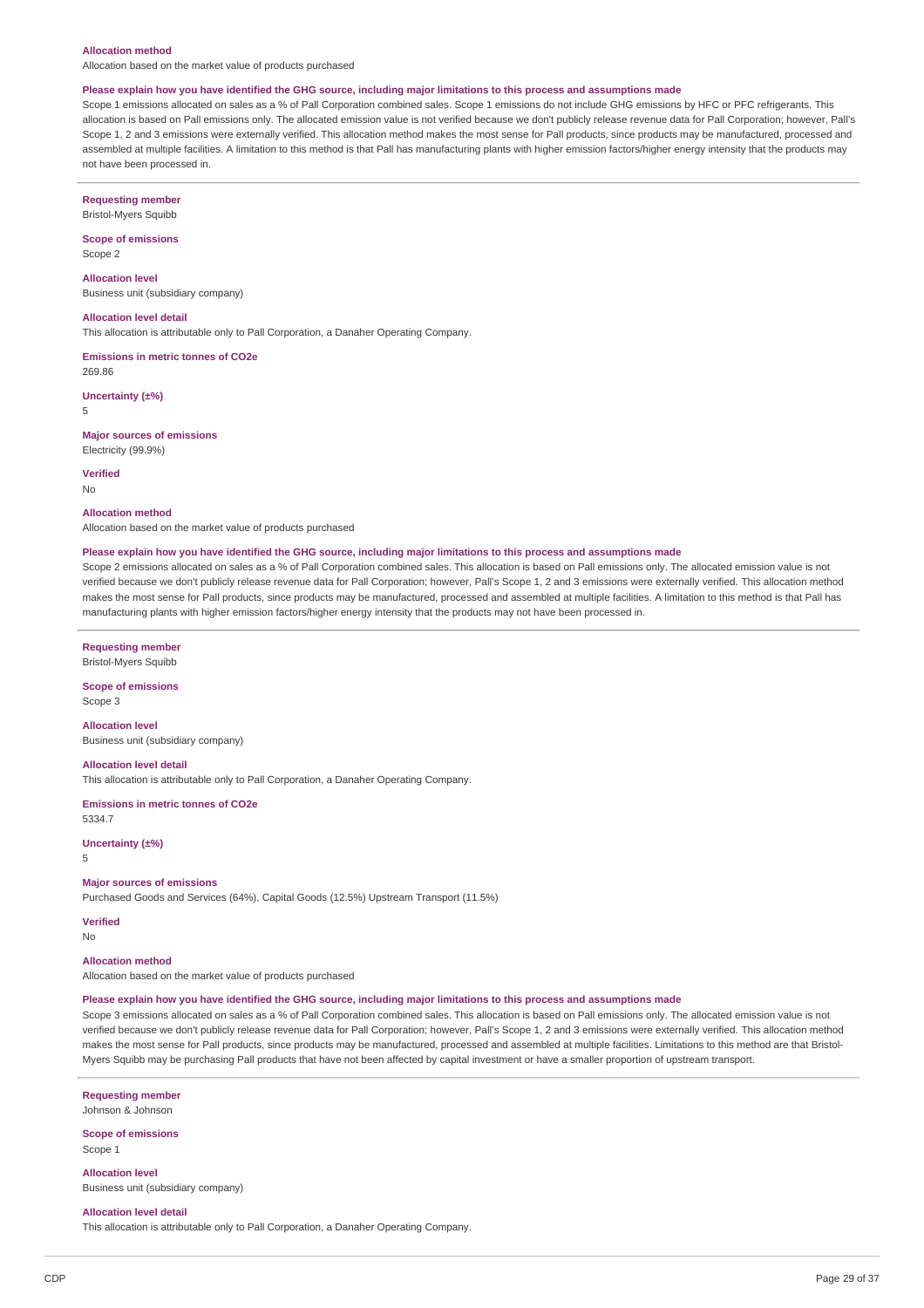#### **Allocation method**

Allocation based on the market value of products purchased

#### Please explain how you have identified the GHG source, including major limitations to this process and assumptions made

Scope 1 emissions allocated on sales as a % of Pall Corporation combined sales. Scope 1 emissions do not include GHG emissions by HFC or PFC refrigerants. This allocation is based on Pall emissions only. The allocated emission value is not verified because we don't publicly release revenue data for Pall Corporation; however, Pall's Scope 1, 2 and 3 emissions were externally verified. This allocation method makes the most sense for Pall products, since products may be manufactured, processed and assembled at multiple facilities. A limitation to this method is that Pall has manufacturing plants with higher emission factors/higher energy intensity that the products may not have been processed in.

**Requesting member** Bristol-Myers Squibb

**Scope of emissions** Scope 2

**Allocation level** Business unit (subsidiary company)

**Allocation level detail**

This allocation is attributable only to Pall Corporation, a Danaher Operating Company.

**Emissions in metric tonnes of CO2e** 269.86

**Uncertainty (±%)** 5

**Major sources of emissions** Electricity (99.9%)

**Verified**

No

#### **Allocation method**

Allocation based on the market value of products purchased

#### Please explain how you have identified the GHG source, including major limitations to this process and assumptions made

Scope 2 emissions allocated on sales as a % of Pall Corporation combined sales. This allocation is based on Pall emissions only. The allocated emission value is not verified because we don't publicly release revenue data for Pall Corporation; however, Pall's Scope 1, 2 and 3 emissions were externally verified. This allocation method makes the most sense for Pall products, since products may be manufactured, processed and assembled at multiple facilities. A limitation to this method is that Pall has manufacturing plants with higher emission factors/higher energy intensity that the products may not have been processed in.

**Requesting member**

Bristol-Myers Squibb **Scope of emissions**

Scope 3

**Allocation level** Business unit (subsidiary company)

**Allocation level detail** This allocation is attributable only to Pall Corporation, a Danaher Operating Company.

**Emissions in metric tonnes of CO2e** 5334.7

**Uncertainty (±%)**

5

#### **Major sources of emissions**

Purchased Goods and Services (64%), Capital Goods (12.5%) Upstream Transport (11.5%)

**Verified**

No

#### **Allocation method**

Allocation based on the market value of products purchased

#### Please explain how you have identified the GHG source, including major limitations to this process and assumptions made

Scope 3 emissions allocated on sales as a % of Pall Corporation combined sales. This allocation is based on Pall emissions only. The allocated emission value is not verified because we don't publicly release revenue data for Pall Corporation; however, Pall's Scope 1, 2 and 3 emissions were externally verified. This allocation method makes the most sense for Pall products, since products may be manufactured, processed and assembled at multiple facilities. Limitations to this method are that Bristol-Myers Squibb may be purchasing Pall products that have not been affected by capital investment or have a smaller proportion of upstream transport.

**Requesting member** Johnson & Johnson

**Scope of emissions** Scope 1

**Allocation level** Business unit (subsidiary company)

**Allocation level detail**

This allocation is attributable only to Pall Corporation, a Danaher Operating Company.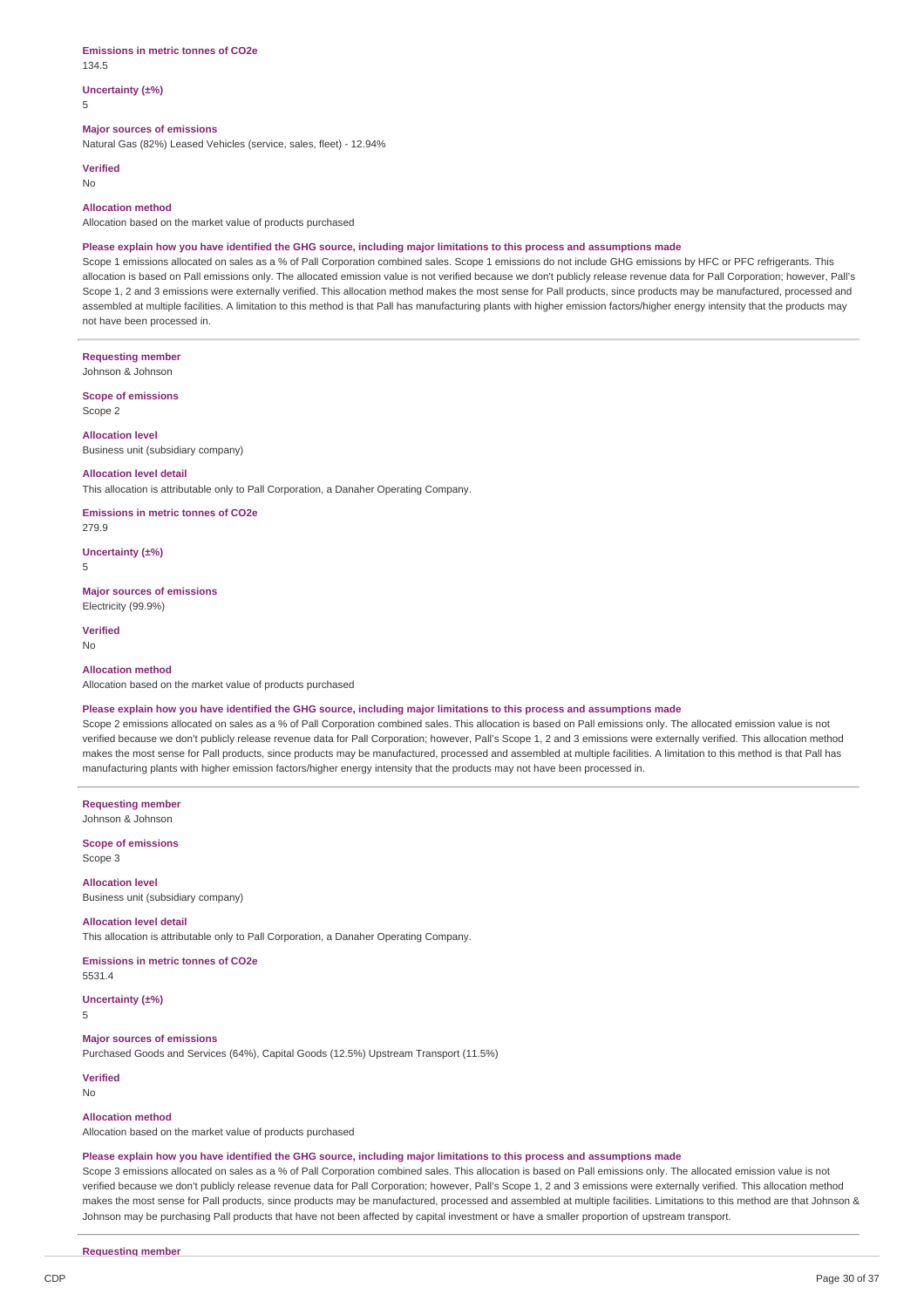#### **Emissions in metric tonnes of CO2e** 134.5

## **Uncertainty (±%)**

5

#### **Major sources of emissions**

Natural Gas (82%) Leased Vehicles (service, sales, fleet) - 12.94%

**Verified**

## No

### **Allocation method**

Allocation based on the market value of products purchased

#### Please explain how you have identified the GHG source, including major limitations to this process and assumptions made

Scope 1 emissions allocated on sales as a % of Pall Corporation combined sales. Scope 1 emissions do not include GHG emissions by HFC or PFC refrigerants. This allocation is based on Pall emissions only. The allocated emission value is not verified because we don't publicly release revenue data for Pall Corporation; however, Pall's Scope 1, 2 and 3 emissions were externally verified. This allocation method makes the most sense for Pall products, since products may be manufactured, processed and assembled at multiple facilities. A limitation to this method is that Pall has manufacturing plants with higher emission factors/higher energy intensity that the products may not have been processed in.

**Requesting member**

Johnson & Johnson

**Scope of emissions** Scope 2

**Allocation level** Business unit (subsidiary company)

#### **Allocation level detail**

This allocation is attributable only to Pall Corporation, a Danaher Operating Company.

**Emissions in metric tonnes of CO2e**

279.9

**Uncertainty (±%)** 5

### **Major sources of emissions**

Electricity (99.9%) **Verified**

No

### **Allocation method**

Allocation based on the market value of products purchased

#### Please explain how you have identified the GHG source, including major limitations to this process and assumptions made

Scope 2 emissions allocated on sales as a % of Pall Corporation combined sales. This allocation is based on Pall emissions only. The allocated emission value is not verified because we don't publicly release revenue data for Pall Corporation; however, Pall's Scope 1, 2 and 3 emissions were externally verified. This allocation method makes the most sense for Pall products, since products may be manufactured, processed and assembled at multiple facilities. A limitation to this method is that Pall has manufacturing plants with higher emission factors/higher energy intensity that the products may not have been processed in.

**Requesting member** Johnson & Johnson

**Scope of emissions** Scope 3

**Allocation level**

Business unit (subsidiary company)

### **Allocation level detail**

This allocation is attributable only to Pall Corporation, a Danaher Operating Company.

**Emissions in metric tonnes of CO2e**

5531.4

**Uncertainty (±%)**

5

### **Major sources of emissions**

Purchased Goods and Services (64%), Capital Goods (12.5%) Upstream Transport (11.5%)

### **Verified**

No

#### **Allocation method**

Allocation based on the market value of products purchased

### Please explain how you have identified the GHG source, including major limitations to this process and assumptions made

Scope 3 emissions allocated on sales as a % of Pall Corporation combined sales. This allocation is based on Pall emissions only. The allocated emission value is not verified because we don't publicly release revenue data for Pall Corporation; however, Pall's Scope 1, 2 and 3 emissions were externally verified. This allocation method makes the most sense for Pall products, since products may be manufactured, processed and assembled at multiple facilities. Limitations to this method are that Johnson & Johnson may be purchasing Pall products that have not been affected by capital investment or have a smaller proportion of upstream transport.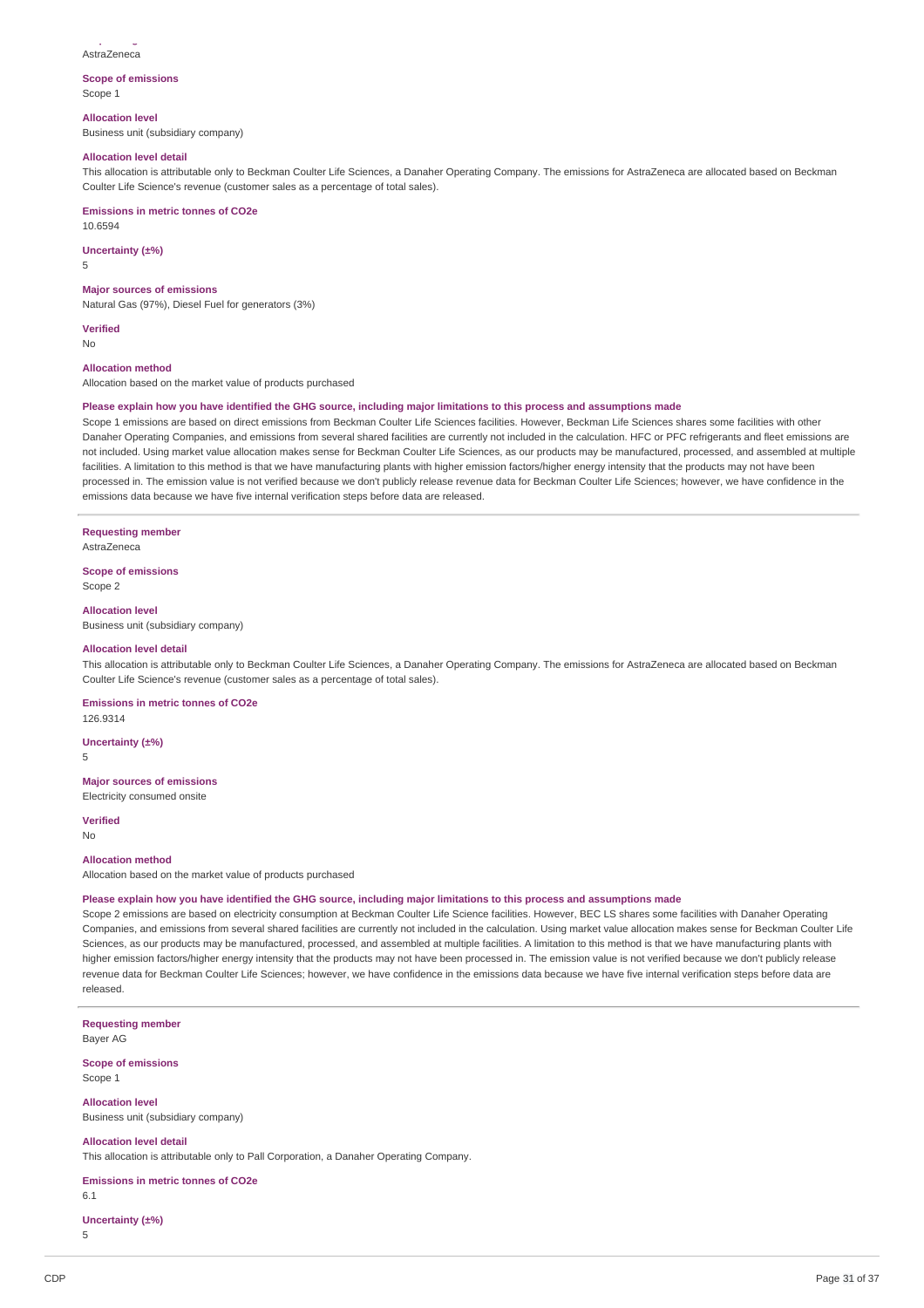**Requesting member** AstraZeneca

### **Scope of emissions** Scope 1

**Allocation level**

Business unit (subsidiary company)

### **Allocation level detail**

This allocation is attributable only to Beckman Coulter Life Sciences, a Danaher Operating Company. The emissions for AstraZeneca are allocated based on Beckman Coulter Life Science's revenue (customer sales as a percentage of total sales).

#### **Emissions in metric tonnes of CO2e**

10.6594

### **Uncertainty (±%)**

5

### **Major sources of emissions**

Natural Gas (97%), Diesel Fuel for generators (3%)

**Verified**

No

### **Allocation method**

Allocation based on the market value of products purchased

### Please explain how you have identified the GHG source, including major limitations to this process and assumptions made

Scope 1 emissions are based on direct emissions from Beckman Coulter Life Sciences facilities. However, Beckman Life Sciences shares some facilities with other Danaher Operating Companies, and emissions from several shared facilities are currently not included in the calculation. HFC or PFC refrigerants and fleet emissions are not included. Using market value allocation makes sense for Beckman Coulter Life Sciences, as our products may be manufactured, processed, and assembled at multiple facilities. A limitation to this method is that we have manufacturing plants with higher emission factors/higher energy intensity that the products may not have been processed in. The emission value is not verified because we don't publicly release revenue data for Beckman Coulter Life Sciences; however, we have confidence in the emissions data because we have five internal verification steps before data are released.

#### **Requesting member**

AstraZeneca

#### **Scope of emissions** Scope 2

**Allocation level**

Business unit (subsidiary company)

#### **Allocation level detail**

This allocation is attributable only to Beckman Coulter Life Sciences, a Danaher Operating Company. The emissions for AstraZeneca are allocated based on Beckman Coulter Life Science's revenue (customer sales as a percentage of total sales).

### **Emissions in metric tonnes of CO2e**

126.9314

### **Uncertainty (±%)**

5

### **Major sources of emissions**

Electricity consumed onsite

**Verified**

### No

### **Allocation method**

Allocation based on the market value of products purchased

### Please explain how you have identified the GHG source, including major limitations to this process and assumptions made

Scope 2 emissions are based on electricity consumption at Beckman Coulter Life Science facilities. However, BEC LS shares some facilities with Danaher Operating Companies, and emissions from several shared facilities are currently not included in the calculation. Using market value allocation makes sense for Beckman Coulter Life Sciences, as our products may be manufactured, processed, and assembled at multiple facilities. A limitation to this method is that we have manufacturing plants with higher emission factors/higher energy intensity that the products may not have been processed in. The emission value is not verified because we don't publicly release revenue data for Beckman Coulter Life Sciences; however, we have confidence in the emissions data because we have five internal verification steps before data are released.

**Requesting member**

Bayer AG

**Scope of emissions** Scope 1

**Allocation level** Business unit (subsidiary company)

**Allocation level detail**

This allocation is attributable only to Pall Corporation, a Danaher Operating Company.

#### **Emissions in metric tonnes of CO2e**

6.1

### **Uncertainty (±%)**

5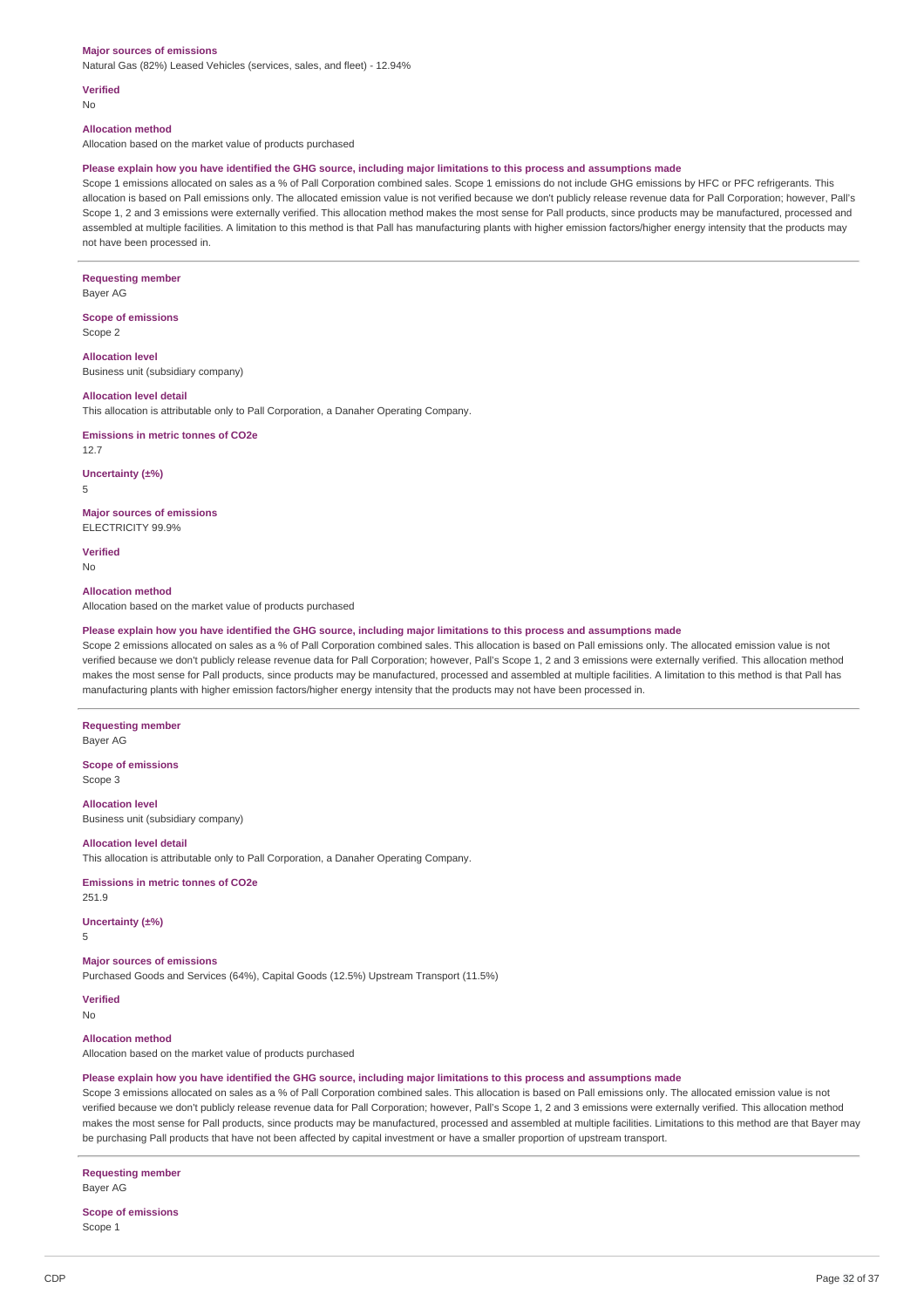#### **Major sources of emissions**

Natural Gas (82%) Leased Vehicles (services, sales, and fleet) - 12.94%

### **Verified**

No

#### **Allocation method**

Allocation based on the market value of products purchased

#### Please explain how you have identified the GHG source, including major limitations to this process and assumptions made

Scope 1 emissions allocated on sales as a % of Pall Corporation combined sales. Scope 1 emissions do not include GHG emissions by HFC or PFC refrigerants. This allocation is based on Pall emissions only. The allocated emission value is not verified because we don't publicly release revenue data for Pall Corporation; however, Pall's Scope 1, 2 and 3 emissions were externally verified. This allocation method makes the most sense for Pall products, since products may be manufactured, processed and assembled at multiple facilities. A limitation to this method is that Pall has manufacturing plants with higher emission factors/higher energy intensity that the products may not have been processed in.

### **Requesting member**

Bayer AG

#### **Scope of emissions** Scope 2

**Allocation level**

Business unit (subsidiary company)

### **Allocation level detail**

This allocation is attributable only to Pall Corporation, a Danaher Operating Company.

#### **Emissions in metric tonnes of CO2e**

12.7

#### **Uncertainty (±%)**

5

### **Major sources of emissions**

ELECTRICITY 99.9%

**Verified** No

#### **Allocation method**

Allocation based on the market value of products purchased

#### Please explain how you have identified the GHG source, including major limitations to this process and assumptions made

Scope 2 emissions allocated on sales as a % of Pall Corporation combined sales. This allocation is based on Pall emissions only. The allocated emission value is not verified because we don't publicly release revenue data for Pall Corporation; however, Pall's Scope 1, 2 and 3 emissions were externally verified. This allocation method makes the most sense for Pall products, since products may be manufactured, processed and assembled at multiple facilities. A limitation to this method is that Pall has manufacturing plants with higher emission factors/higher energy intensity that the products may not have been processed in.

#### **Requesting member**

Bayer AG

#### **Scope of emissions** Scope 3

**Allocation level** Business unit (subsidiary company)

#### **Allocation level detail**

This allocation is attributable only to Pall Corporation, a Danaher Operating Company.

#### **Emissions in metric tonnes of CO2e**

251.9

### **Uncertainty (±%)**

5

### **Major sources of emissions**

Purchased Goods and Services (64%), Capital Goods (12.5%) Upstream Transport (11.5%)

**Verified**

No

#### **Allocation method**

Allocation based on the market value of products purchased

#### Please explain how you have identified the GHG source, including major limitations to this process and assumptions made

Scope 3 emissions allocated on sales as a % of Pall Corporation combined sales. This allocation is based on Pall emissions only. The allocated emission value is not verified because we don't publicly release revenue data for Pall Corporation; however, Pall's Scope 1, 2 and 3 emissions were externally verified. This allocation method makes the most sense for Pall products, since products may be manufactured, processed and assembled at multiple facilities. Limitations to this method are that Bayer may be purchasing Pall products that have not been affected by capital investment or have a smaller proportion of upstream transport.

#### **Requesting member** Bayer AG

### **Scope of emissions** Scope 1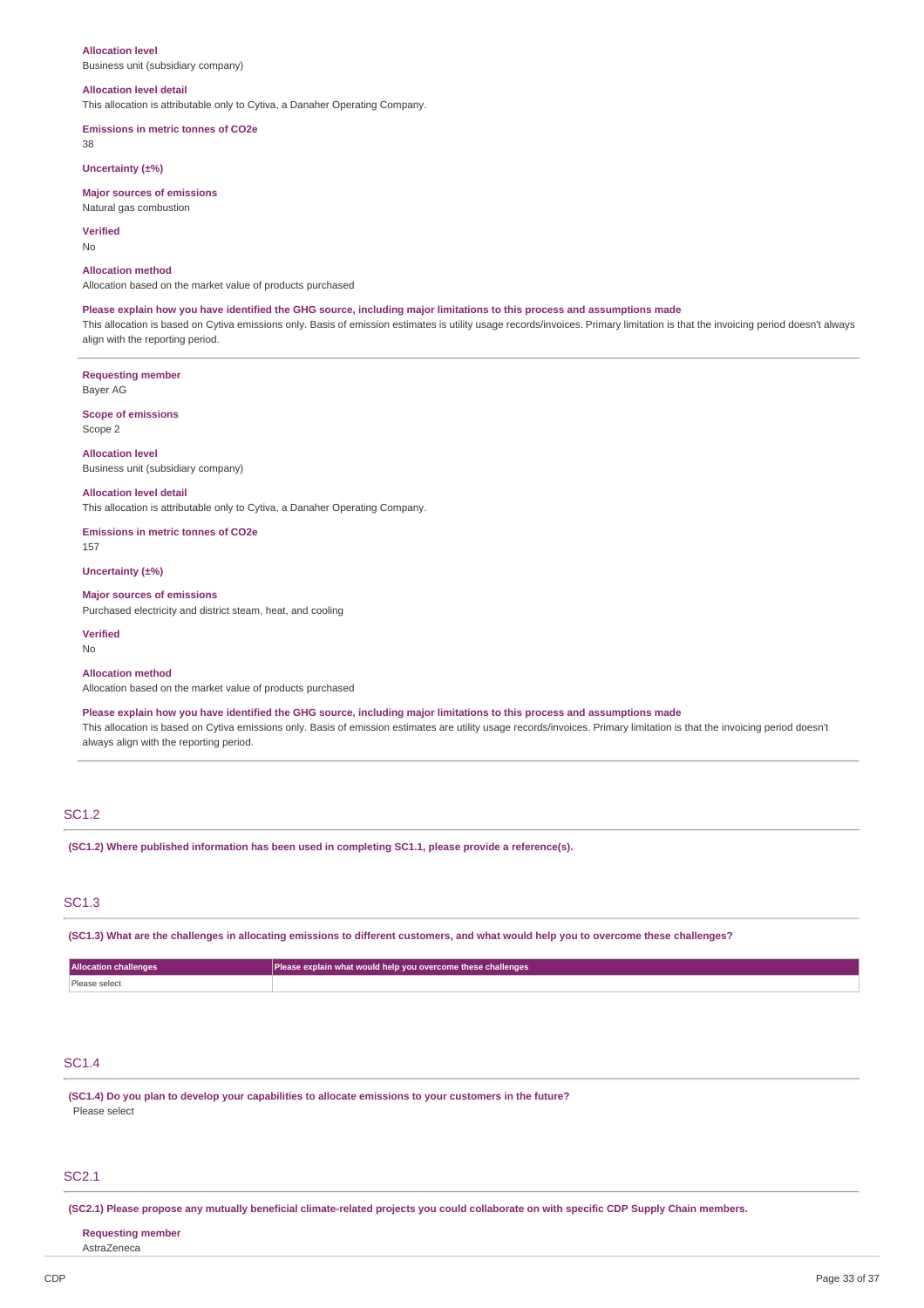#### **Allocation level**

Business unit (subsidiary company)

#### **Allocation level detail**

This allocation is attributable only to Cytiva, a Danaher Operating Company.

**Emissions in metric tonnes of CO2e**

38

**Uncertainty (±%)**

#### **Major sources of emissions** Natural gas combustion

**Verified**

No

### **Allocation method**

Allocation based on the market value of products purchased

#### Please explain how you have identified the GHG source, including major limitations to this process and assumptions made

This allocation is based on Cytiva emissions only. Basis of emission estimates is utility usage records/invoices. Primary limitation is that the invoicing period doesn't always align with the reporting period.

**Requesting member** Bayer AG

**Scope of emissions** Scope 2

**Allocation level** Business unit (subsidiary company)

### **Allocation level detail**

This allocation is attributable only to Cytiva, a Danaher Operating Company.

**Emissions in metric tonnes of CO2e**

157

**Uncertainty (±%)**

#### **Major sources of emissions**

Purchased electricity and district steam, heat, and cooling

**Verified** No

#### **Allocation method**

Allocation based on the market value of products purchased

Please explain how you have identified the GHG source, including major limitations to this process and assumptions made

This allocation is based on Cytiva emissions only. Basis of emission estimates are utility usage records/invoices. Primary limitation is that the invoicing period doesn't always align with the reporting period.

### SC1.2

**(SC1.2) Where published information has been used in completing SC1.1, please provide a reference(s).**

### SC1.3

(SC1.3) What are the challenges in allocating emissions to different customers, and what would help you to overcome these challenges?

| <b>Allocation challenges</b> | Please explain what would help you overcome these challenges |
|------------------------------|--------------------------------------------------------------|
| Please select                |                                                              |

### SC1.4

**(SC1.4) Do you plan to develop your capabilities to allocate emissions to your customers in the future?** Please select

#### SC2.1

(SC2.1) Please propose any mutually beneficial climate-related projects you could collaborate on with specific CDP Supply Chain members.

#### **Requesting member**

AstraZeneca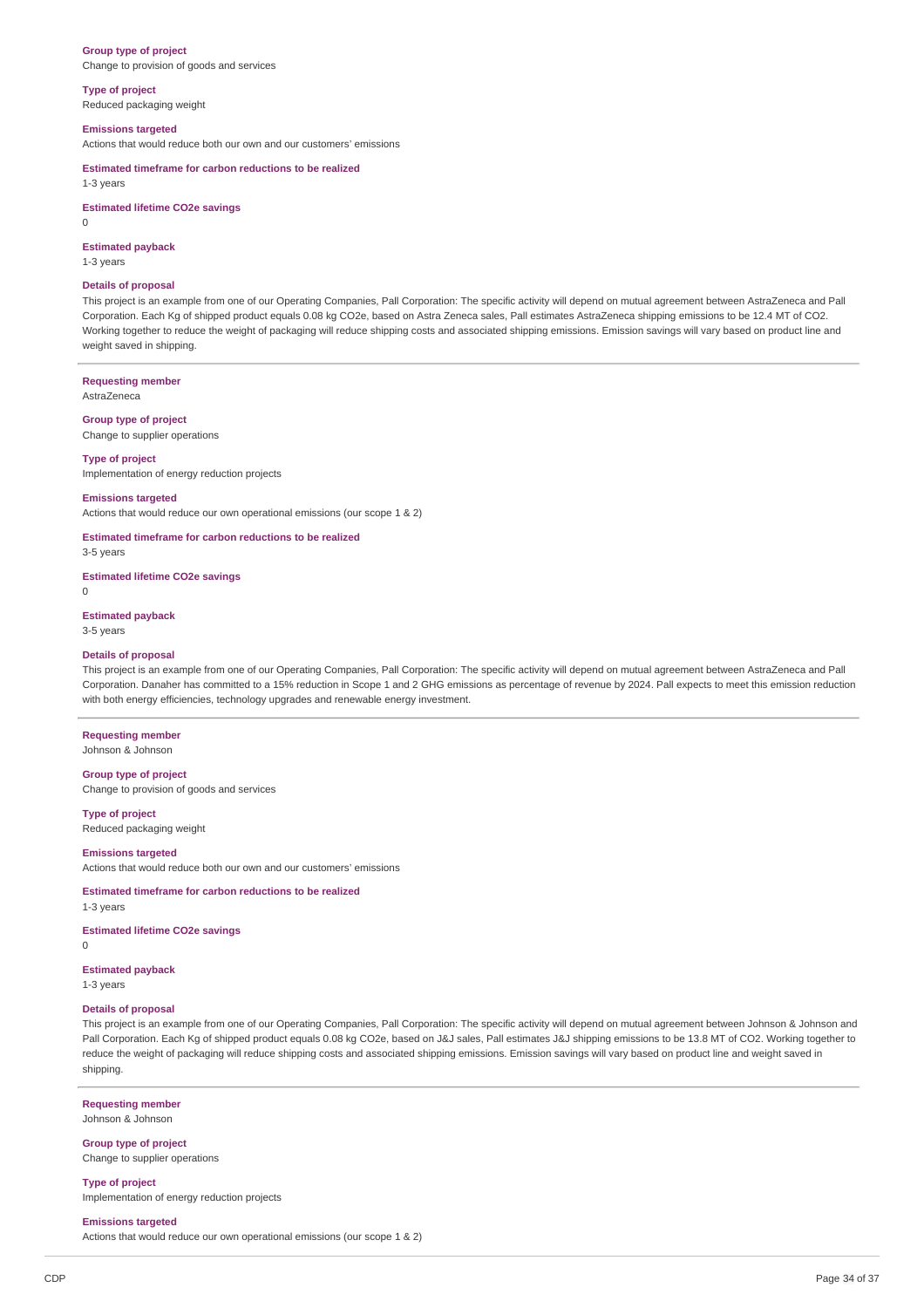#### **Group type of project**

Change to provision of goods and services

### **Type of project**

Reduced packaging weight

#### **Emissions targeted**

Actions that would reduce both our own and our customers' emissions

#### **Estimated timeframe for carbon reductions to be realized**

1-3 years

#### **Estimated lifetime CO2e savings**

0

### **Estimated payback**

1-3 years

#### **Details of proposal**

This project is an example from one of our Operating Companies, Pall Corporation: The specific activity will depend on mutual agreement between AstraZeneca and Pall Corporation. Each Kg of shipped product equals 0.08 kg CO2e, based on Astra Zeneca sales, Pall estimates AstraZeneca shipping emissions to be 12.4 MT of CO2. Working together to reduce the weight of packaging will reduce shipping costs and associated shipping emissions. Emission savings will vary based on product line and weight saved in shipping.

### **Requesting member**

AstraZeneca

#### **Group type of project**

Change to supplier operations

### **Type of project**

Implementation of energy reduction projects

### **Emissions targeted**

Actions that would reduce our own operational emissions (our scope 1 & 2)

### **Estimated timeframe for carbon reductions to be realized**

3-5 years

### **Estimated lifetime CO2e savings**

 $\Omega$ 

#### **Estimated payback**

3-5 years

#### **Details of proposal**

This project is an example from one of our Operating Companies, Pall Corporation: The specific activity will depend on mutual agreement between AstraZeneca and Pall Corporation. Danaher has committed to a 15% reduction in Scope 1 and 2 GHG emissions as percentage of revenue by 2024. Pall expects to meet this emission reduction with both energy efficiencies, technology upgrades and renewable energy investment.

### **Requesting member**

Johnson & Johnson

### **Group type of project**

Change to provision of goods and services

#### **Type of project**

Reduced packaging weight

#### **Emissions targeted**

Actions that would reduce both our own and our customers' emissions

#### **Estimated timeframe for carbon reductions to be realized**

1-3 years

### **Estimated lifetime CO2e savings**

 $\Omega$ 

### **Estimated payback**

1-3 years

### **Details of proposal**

This project is an example from one of our Operating Companies, Pall Corporation: The specific activity will depend on mutual agreement between Johnson & Johnson and Pall Corporation. Each Kg of shipped product equals 0.08 kg CO2e, based on J&J sales, Pall estimates J&J shipping emissions to be 13.8 MT of CO2. Working together to reduce the weight of packaging will reduce shipping costs and associated shipping emissions. Emission savings will vary based on product line and weight saved in shipping.

#### **Requesting member**

Johnson & Johnson

#### **Group type of project** Change to supplier operations

**Type of project** Implementation of energy reduction projects

#### **Emissions targeted**

Actions that would reduce our own operational emissions (our scope 1 & 2)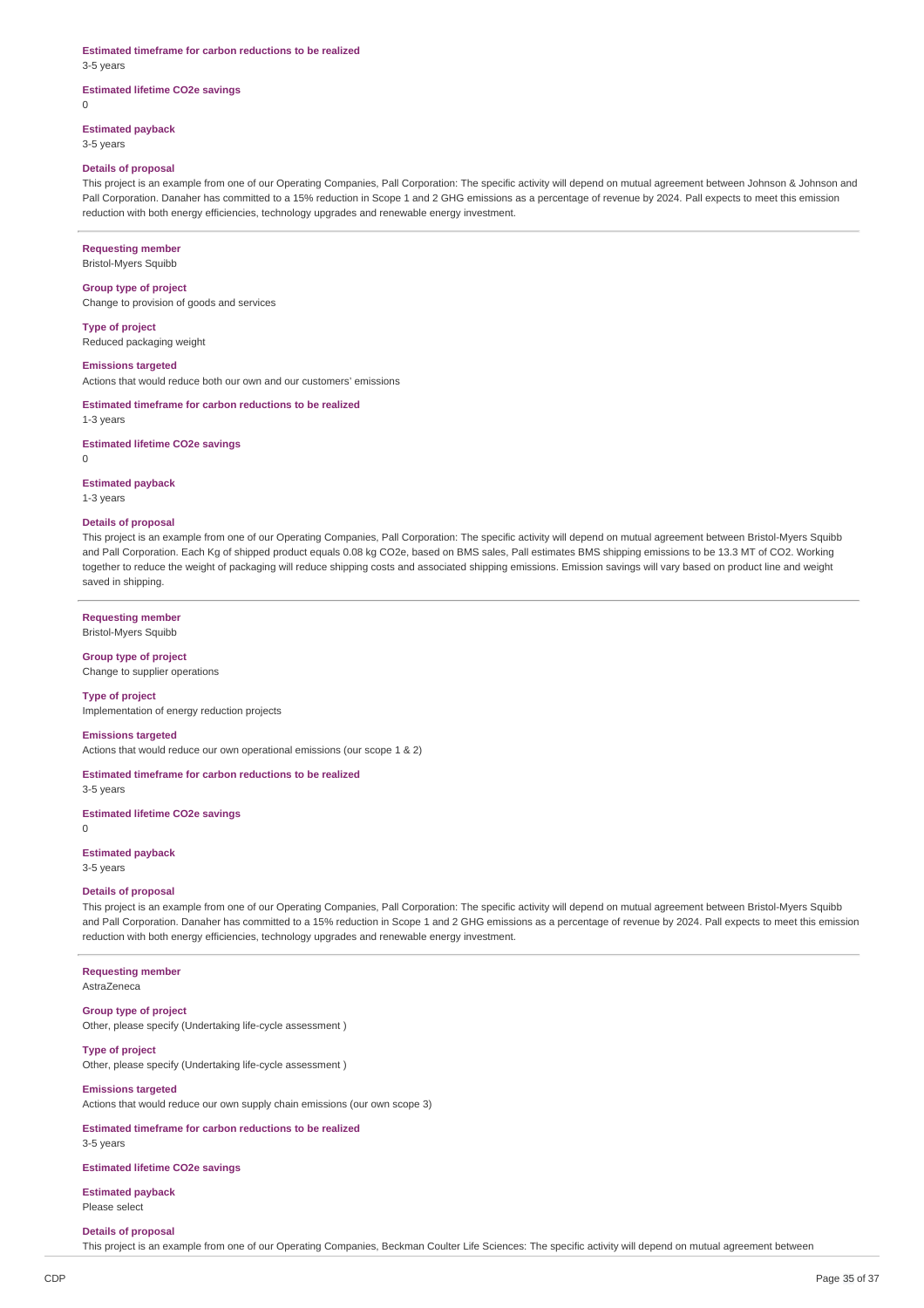#### **Estimated timeframe for carbon reductions to be realized**

3-5 years

 $\theta$ 

### **Estimated lifetime CO2e savings**

**Estimated payback**

3-5 years

#### **Details of proposal**

This project is an example from one of our Operating Companies, Pall Corporation: The specific activity will depend on mutual agreement between Johnson & Johnson and Pall Corporation. Danaher has committed to a 15% reduction in Scope 1 and 2 GHG emissions as a percentage of revenue by 2024. Pall expects to meet this emission reduction with both energy efficiencies, technology upgrades and renewable energy investment.

### **Requesting member**

Bristol-Myers Squibb

#### **Group type of project**

Change to provision of goods and services

#### **Type of project** Reduced packaging weight

## **Emissions targeted**

Actions that would reduce both our own and our customers' emissions

### **Estimated timeframe for carbon reductions to be realized**

1-3 years

### **Estimated lifetime CO2e savings**

 $\Omega$ 

### **Estimated payback**

1-3 years

### **Details of proposal**

This project is an example from one of our Operating Companies, Pall Corporation: The specific activity will depend on mutual agreement between Bristol-Myers Squibb and Pall Corporation. Each Kg of shipped product equals 0.08 kg CO2e, based on BMS sales, Pall estimates BMS shipping emissions to be 13.3 MT of CO2. Working together to reduce the weight of packaging will reduce shipping costs and associated shipping emissions. Emission savings will vary based on product line and weight saved in shipping.

#### **Requesting member**

Bristol-Myers Squibb

## **Group type of project**

Change to supplier operations

### **Type of project**

Implementation of energy reduction projects

#### **Emissions targeted**

Actions that would reduce our own operational emissions (our scope 1 & 2)

**Estimated timeframe for carbon reductions to be realized** 3-5 years

#### **Estimated lifetime CO2e savings**

 $\Omega$ 

### **Estimated payback**

3-5 years

#### **Details of proposal**

This project is an example from one of our Operating Companies, Pall Corporation: The specific activity will depend on mutual agreement between Bristol-Myers Squibb and Pall Corporation. Danaher has committed to a 15% reduction in Scope 1 and 2 GHG emissions as a percentage of revenue by 2024. Pall expects to meet this emission reduction with both energy efficiencies, technology upgrades and renewable energy investment.

#### **Requesting member**

AstraZeneca

### **Group type of project**

Other, please specify (Undertaking life-cycle assessment )

### **Type of project**

Other, please specify (Undertaking life-cycle assessment )

### **Emissions targeted**

Actions that would reduce our own supply chain emissions (our own scope 3)

### **Estimated timeframe for carbon reductions to be realized**

3-5 years

### **Estimated lifetime CO2e savings**

**Estimated payback** Please select

#### **Details of proposal**

This project is an example from one of our Operating Companies, Beckman Coulter Life Sciences: The specific activity will depend on mutual agreement between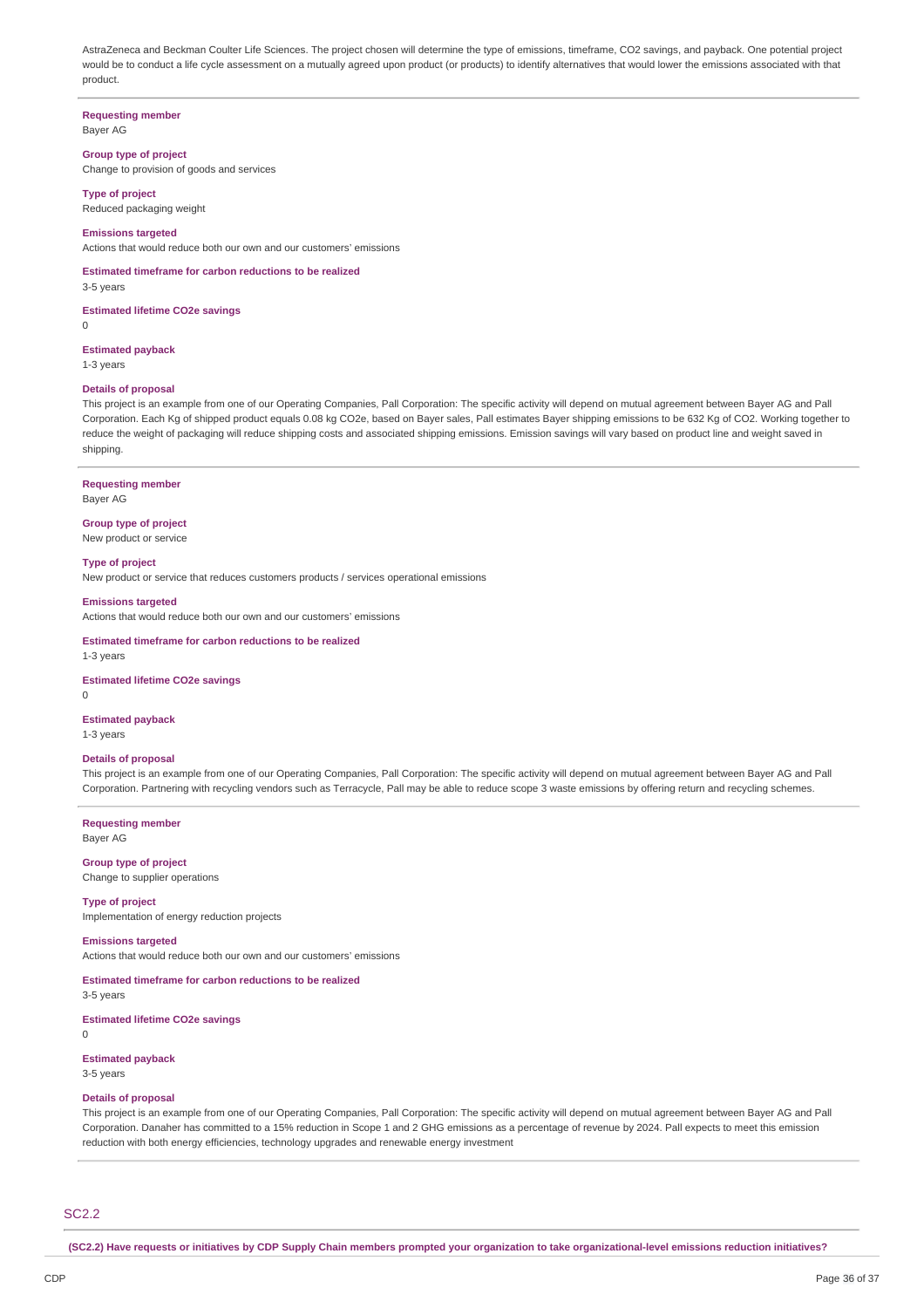AstraZeneca and Beckman Coulter Life Sciences. The project chosen will determine the type of emissions, timeframe, CO2 savings, and payback. One potential project would be to conduct a life cycle assessment on a mutually agreed upon product (or products) to identify alternatives that would lower the emissions associated with that product.

**Requesting member** Bayer AG

#### **Group type of project**

Change to provision of goods and services

#### **Type of project**

Reduced packaging weight

#### **Emissions targeted**

Actions that would reduce both our own and our customers' emissions

**Estimated timeframe for carbon reductions to be realized**

3-5 years

 $\Omega$ 

**Estimated lifetime CO2e savings**

**Estimated payback**

1-3 years

### **Details of proposal**

This project is an example from one of our Operating Companies, Pall Corporation: The specific activity will depend on mutual agreement between Bayer AG and Pall Corporation. Each Kg of shipped product equals 0.08 kg CO2e, based on Bayer sales, Pall estimates Bayer shipping emissions to be 632 Kg of CO2. Working together to reduce the weight of packaging will reduce shipping costs and associated shipping emissions. Emission savings will vary based on product line and weight saved in shipping.

#### **Requesting member**

Bayer AG

#### **Group type of project** New product or service

## **Type of project**

New product or service that reduces customers products / services operational emissions

#### **Emissions targeted**

Actions that would reduce both our own and our customers' emissions

#### **Estimated timeframe for carbon reductions to be realized** 1-3 years

**Estimated lifetime CO2e savings**

#### $\Omega$

**Estimated payback**

## 1-3 years

### **Details of proposal**

This project is an example from one of our Operating Companies, Pall Corporation: The specific activity will depend on mutual agreement between Bayer AG and Pall Corporation. Partnering with recycling vendors such as Terracycle, Pall may be able to reduce scope 3 waste emissions by offering return and recycling schemes.

**Requesting member** Bayer AG

**Group type of project** Change to supplier operations

#### **Type of project** Implementation of energy reduction projects

**Emissions targeted**

Actions that would reduce both our own and our customers' emissions

### **Estimated timeframe for carbon reductions to be realized**

3-5 years **Estimated lifetime CO2e savings**

**Estimated payback** 3-5 years

 $\Omega$ 

### **Details of proposal**

This project is an example from one of our Operating Companies, Pall Corporation: The specific activity will depend on mutual agreement between Bayer AG and Pall Corporation. Danaher has committed to a 15% reduction in Scope 1 and 2 GHG emissions as a percentage of revenue by 2024. Pall expects to meet this emission reduction with both energy efficiencies, technology upgrades and renewable energy investment

SC2.2